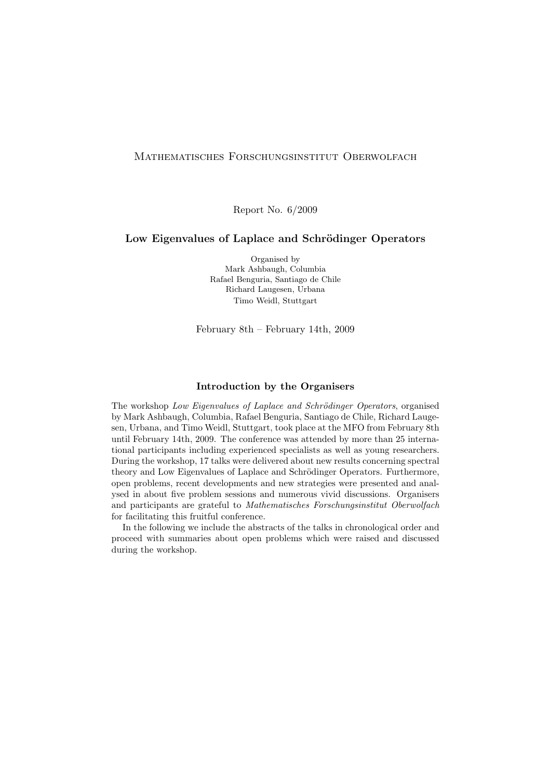# Mathematisches Forschungsinstitut Oberwolfach

Report No. 6/2009

# Low Eigenvalues of Laplace and Schrödinger Operators

Organised by Mark Ashbaugh, Columbia Rafael Benguria, Santiago de Chile Richard Laugesen, Urbana Timo Weidl, Stuttgart

February 8th – February 14th, 2009

# Introduction by the Organisers

The workshop Low Eigenvalues of Laplace and Schrödinger Operators, organised by Mark Ashbaugh, Columbia, Rafael Benguria, Santiago de Chile, Richard Laugesen, Urbana, and Timo Weidl, Stuttgart, took place at the MFO from February 8th until February 14th, 2009. The conference was attended by more than 25 international participants including experienced specialists as well as young researchers. During the workshop, 17 talks were delivered about new results concerning spectral theory and Low Eigenvalues of Laplace and Schrödinger Operators. Furthermore, open problems, recent developments and new strategies were presented and analysed in about five problem sessions and numerous vivid discussions. Organisers and participants are grateful to Mathematisches Forschungsinstitut Oberwolfach for facilitating this fruitful conference.

In the following we include the abstracts of the talks in chronological order and proceed with summaries about open problems which were raised and discussed during the workshop.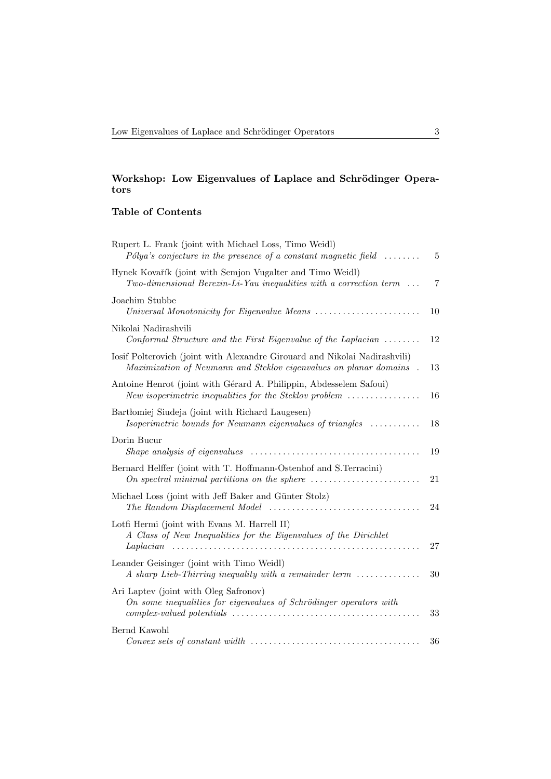# Workshop: Low Eigenvalues of Laplace and Schrödinger Operators

# Table of Contents

| Rupert L. Frank (joint with Michael Loss, Timo Weidl)<br>Pólya's conjecture in the presence of a constant magnetic field $\ldots \ldots$                 | 5  |
|----------------------------------------------------------------------------------------------------------------------------------------------------------|----|
| Hynek Kovařík (joint with Semjon Vugalter and Timo Weidl)<br>$Two-dimensional Berezin-Li-Yau inequalities with a correction term \dots$                  | 7  |
| Joachim Stubbe                                                                                                                                           | 10 |
| Nikolai Nadirashvili<br>Conformal Structure and the First Eigenvalue of the Laplacian $\ldots \ldots$                                                    | 12 |
| Iosif Polterovich (joint with Alexandre Girouard and Nikolai Nadirashvili)<br>Maximization of Neumann and Steklov eigenvalues on planar domains.         | 13 |
| Antoine Henrot (joint with Gérard A. Philippin, Abdesselem Safoui)<br>New isoperimetric inequalities for the Steklov problem $\dots\dots\dots\dots\dots$ | 16 |
| Bartłomiej Siudeja (joint with Richard Laugesen)<br>Isoperimetric bounds for Neumann eigenvalues of triangles                                            | 18 |
| Dorin Bucur                                                                                                                                              | 19 |
| Bernard Helffer (joint with T. Hoffmann-Ostenhof and S. Terracini)                                                                                       | 21 |
| Michael Loss (joint with Jeff Baker and Günter Stolz)                                                                                                    | 24 |
| Lotfi Hermi (joint with Evans M. Harrell II)<br>A Class of New Inequalities for the Eigenvalues of the Dirichlet                                         |    |
| $Laplacian$                                                                                                                                              | 27 |
| Leander Geisinger (joint with Timo Weidl)<br>A sharp Lieb-Thirring inequality with a remainder term                                                      | 30 |
| Ari Laptev (joint with Oleg Safronov)<br>On some inequalities for eigenvalues of Schrödinger operators with                                              | 33 |
| Bernd Kawohl<br>$Convex sets of constant width \dots \dots \dots \dots \dots \dots \dots \dots \dots \dots \dots \dots \dots$                            | 36 |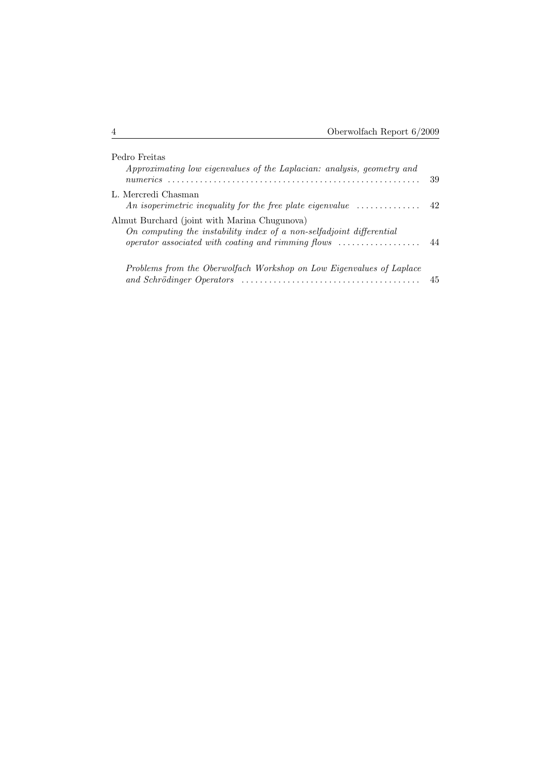| Pedro Freitas<br>Approximating low eigenvalues of the Laplacian: analysis, geometry and                                                                                                                     | 39 |
|-------------------------------------------------------------------------------------------------------------------------------------------------------------------------------------------------------------|----|
| L. Mercredi Chasman<br>An isoperimetric inequality for the free plate eigenvalue $\dots\dots\dots\dots\dots$                                                                                                | 42 |
| Almut Burchard (joint with Marina Chugunova)<br>On computing the instability index of a non-selfadjoint differential<br>operator associated with coating and rimming flows $\dots\dots\dots\dots\dots\dots$ | 44 |
| Problems from the Oberwolfach Workshop on Low Eigenvalues of Laplace                                                                                                                                        | 45 |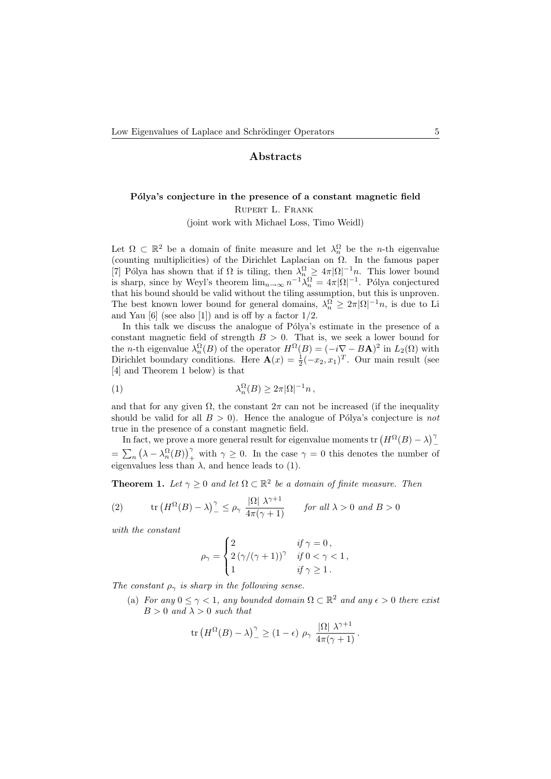# Abstracts

# Pólya's conjecture in the presence of a constant magnetic field

Rupert L. Frank

(joint work with Michael Loss, Timo Weidl)

Let  $\Omega \subset \mathbb{R}^2$  be a domain of finite measure and let  $\lambda_n^{\Omega}$  be the *n*-th eigenvalue (counting multiplicities) of the Dirichlet Laplacian on  $\Omega$ . In the famous paper [7] Pólya has shown that if  $\Omega$  is tiling, then  $\lambda_n^{\Omega} \geq 4\pi |\Omega|^{-1} n$ . This lower bound is sharp, since by Weyl's theorem  $\lim_{n\to\infty} n^{-1}\lambda_n^{\Omega} = 4\pi |\Omega|^{-1}$ . Pólya conjectured that his bound should be valid without the tiling assumption, but this is unproven. The best known lower bound for general domains,  $\lambda_n^{\Omega} \geq 2\pi |\Omega|^{-1} n$ , is due to Li and Yau  $[6]$  (see also  $[1]$ ) and is off by a factor  $1/2$ .

In this talk we discuss the analogue of Pólya's estimate in the presence of a constant magnetic field of strength  $B > 0$ . That is, we seek a lower bound for the *n*-th eigenvalue  $\lambda_n^{\Omega}(B)$  of the operator  $H^{\Omega}(B) = (-i\nabla - B\mathbf{A})^2$  in  $L_2(\Omega)$  with Dirichlet boundary conditions. Here  $\mathbf{A}(x) = \frac{1}{2}(-x_2, x_1)^T$ . Our main result (see [4] and Theorem 1 below) is that

$$
\lambda_n^{\Omega}(B) \ge 2\pi |\Omega|^{-1} n \,,
$$

and that for any given  $\Omega$ , the constant  $2\pi$  can not be increased (if the inequality should be valid for all  $B > 0$ ). Hence the analogue of Pólya's conjecture is not true in the presence of a constant magnetic field.

In fact, we prove a more general result for eigenvalue moments tr  $(H^{\Omega}(B) - \lambda)^{\gamma}$  $=\sum_n (\lambda - \lambda_n^{\Omega}(B))^{\gamma}_+$  with  $\gamma \geq 0$ . In the case  $\gamma = 0$  this denotes the number of eigenvalues less than  $\lambda$ , and hence leads to (1).

**Theorem 1.** Let  $\gamma \geq 0$  and let  $\Omega \subset \mathbb{R}^2$  be a domain of finite measure. Then

(2) tr 
$$
(H^{\Omega}(B) - \lambda)^{\gamma} \le \rho_{\gamma} \frac{|\Omega| \lambda^{\gamma+1}}{4\pi(\gamma+1)}
$$
 for all  $\lambda > 0$  and  $B > 0$ 

with the constant

$$
\rho_{\gamma} = \begin{cases} 2 & \text{if } \gamma = 0 \,, \\ 2(\gamma/(\gamma + 1))^{\gamma} & \text{if } 0 < \gamma < 1 \,, \\ 1 & \text{if } \gamma \ge 1 \,. \end{cases}
$$

The constant  $\rho_{\gamma}$  is sharp in the following sense.

(a) For any  $0 \leq \gamma < 1$ , any bounded domain  $\Omega \subset \mathbb{R}^2$  and any  $\epsilon > 0$  there exist  $B > 0$  and  $\lambda > 0$  such that

$$
\text{tr}\left(H^{\Omega}(B) - \lambda\right)^{\gamma} \ge (1 - \epsilon) \rho_{\gamma} \frac{|\Omega| \lambda^{\gamma + 1}}{4\pi(\gamma + 1)}.
$$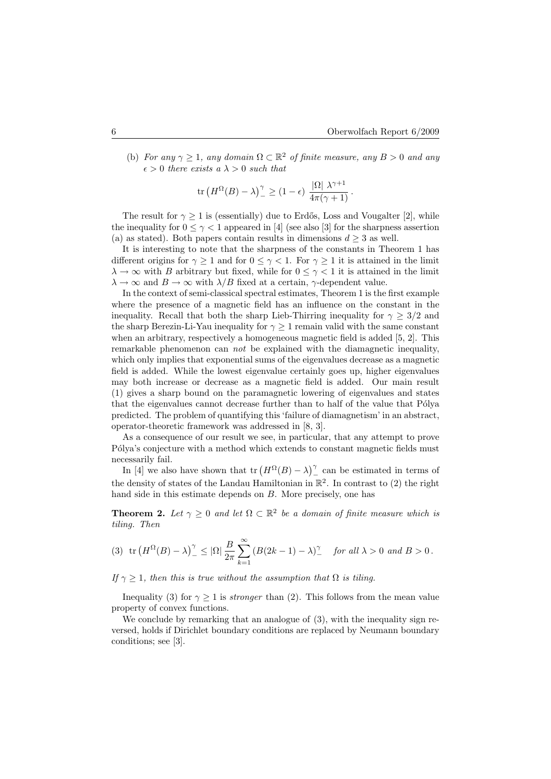(b) For any  $\gamma \geq 1$ , any domain  $\Omega \subset \mathbb{R}^2$  of finite measure, any  $B > 0$  and any  $\epsilon > 0$  there exists a  $\lambda > 0$  such that

$$
\text{tr}\left(H^{\Omega}(B) - \lambda\right)^{\gamma}_{-} \geq (1 - \epsilon) \frac{|\Omega| \lambda^{\gamma + 1}}{4\pi(\gamma + 1)}.
$$

The result for  $\gamma \geq 1$  is (essentially) due to Erdős, Loss and Vougalter [2], while the inequality for  $0 \leq \gamma < 1$  appeared in [4] (see also [3] for the sharpness assertion (a) as stated). Both papers contain results in dimensions  $d \geq 3$  as well.

It is interesting to note that the sharpness of the constants in Theorem 1 has different origins for  $\gamma \geq 1$  and for  $0 \leq \gamma < 1$ . For  $\gamma \geq 1$  it is attained in the limit  $\lambda \to \infty$  with B arbitrary but fixed, while for  $0 \leq \gamma < 1$  it is attained in the limit  $\lambda \to \infty$  and  $B \to \infty$  with  $\lambda/B$  fixed at a certain,  $\gamma$ -dependent value.

In the context of semi-classical spectral estimates, Theorem 1 is the first example where the presence of a magnetic field has an influence on the constant in the inequality. Recall that both the sharp Lieb-Thirring inequality for  $\gamma \geq 3/2$  and the sharp Berezin-Li-Yau inequality for  $\gamma \geq 1$  remain valid with the same constant when an arbitrary, respectively a homogeneous magnetic field is added [5, 2]. This remarkable phenomenon can not be explained with the diamagnetic inequality, which only implies that exponential sums of the eigenvalues decrease as a magnetic field is added. While the lowest eigenvalue certainly goes up, higher eigenvalues may both increase or decrease as a magnetic field is added. Our main result (1) gives a sharp bound on the paramagnetic lowering of eigenvalues and states that the eigenvalues cannot decrease further than to half of the value that Pólya predicted. The problem of quantifying this 'failure of diamagnetism' in an abstract, operator-theoretic framework was addressed in [8, 3].

As a consequence of our result we see, in particular, that any attempt to prove Pólya's conjecture with a method which extends to constant magnetic fields must necessarily fail.

In [4] we also have shown that  $tr(H^{\Omega}(B) - \lambda)^{\gamma}$  can be estimated in terms of the density of states of the Landau Hamiltonian in  $\mathbb{R}^2$ . In contrast to (2) the right hand side in this estimate depends on B. More precisely, one has

**Theorem 2.** Let  $\gamma \geq 0$  and let  $\Omega \subset \mathbb{R}^2$  be a domain of finite measure which is tiling. Then

(3) tr 
$$
(H^{\Omega}(B) - \lambda)^{\gamma} \leq |\Omega| \frac{B}{2\pi} \sum_{k=1}^{\infty} (B(2k-1) - \lambda)^{\gamma}
$$
 for all  $\lambda > 0$  and  $B > 0$ .

If  $\gamma \geq 1$ , then this is true without the assumption that  $\Omega$  is tiling.

Inequality (3) for  $\gamma \geq 1$  is *stronger* than (2). This follows from the mean value property of convex functions.

We conclude by remarking that an analogue of (3), with the inequality sign reversed, holds if Dirichlet boundary conditions are replaced by Neumann boundary conditions; see [3].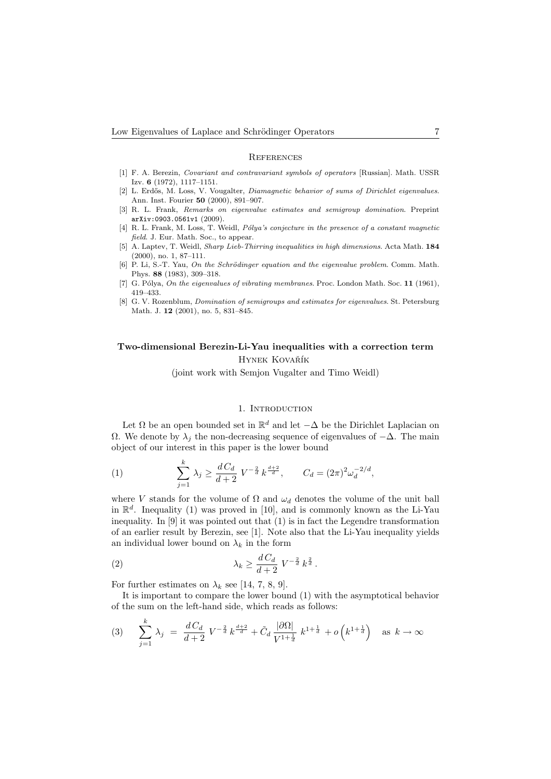#### **REFERENCES**

- [1] F. A. Berezin, Covariant and contravariant symbols of operators [Russian]. Math. USSR Izv. 6 (1972), 1117–1151.
- [2] L. Erdős, M. Loss, V. Vougalter, Diamagnetic behavior of sums of Dirichlet eigenvalues. Ann. Inst. Fourier 50 (2000), 891–907.
- [3] R. L. Frank, Remarks on eigenvalue estimates and semigroup domination. Preprint arXiv:0903.0561v1 (2009).
- [4] R. L. Frank, M. Loss, T. Weidl, Pólya's conjecture in the presence of a constant magnetic field. J. Eur. Math. Soc., to appear.
- [5] A. Laptev, T. Weidl, Sharp Lieb-Thirring inequalities in high dimensions. Acta Math. 184 (2000), no. 1, 87–111.
- [6] P. Li, S.-T. Yau, On the Schrödinger equation and the eigenvalue problem. Comm. Math. Phys. 88 (1983), 309–318.
- [7] G. Pólya, On the eigenvalues of vibrating membranes. Proc. London Math. Soc. 11 (1961), 419–433.
- [8] G. V. Rozenblum, Domination of semigroups and estimates for eigenvalues. St. Petersburg Math. J. 12 (2001), no. 5, 831–845.

# Two-dimensional Berezin-Li-Yau inequalities with a correction term HYNEK KOVAŘÍK

(joint work with Semjon Vugalter and Timo Weidl)

### 1. INTRODUCTION

Let  $\Omega$  be an open bounded set in  $\mathbb{R}^d$  and let  $-\Delta$  be the Dirichlet Laplacian on Ω. We denote by  $\lambda_i$  the non-decreasing sequence of eigenvalues of −∆. The main object of our interest in this paper is the lower bound

(1) 
$$
\sum_{j=1}^{k} \lambda_j \ge \frac{d C_d}{d+2} V^{-\frac{2}{d}} k^{\frac{d+2}{d}}, \qquad C_d = (2\pi)^2 \omega_d^{-2/d},
$$

where V stands for the volume of  $\Omega$  and  $\omega_d$  denotes the volume of the unit ball in  $\mathbb{R}^d$ . Inequality (1) was proved in [10], and is commonly known as the Li-Yau inequality. In  $[9]$  it was pointed out that  $(1)$  is in fact the Legendre transformation of an earlier result by Berezin, see [1]. Note also that the Li-Yau inequality yields an individual lower bound on  $\lambda_k$  in the form

(2) 
$$
\lambda_k \geq \frac{d C_d}{d+2} V^{-\frac{2}{d}} k^{\frac{2}{d}}.
$$

For further estimates on  $\lambda_k$  see [14, 7, 8, 9].

k

It is important to compare the lower bound (1) with the asymptotical behavior of the sum on the left-hand side, which reads as follows:

$$
(3) \qquad \sum_{j=1}^{k} \lambda_j \ = \ \frac{d \, C_d}{d+2} \ V^{-\frac{2}{d}} \, k^{\frac{d+2}{d}} + \tilde{C}_d \, \frac{|\partial \Omega|}{V^{1+\frac{1}{d}}} \ k^{1+\frac{1}{d}} + o\left(k^{1+\frac{1}{d}}\right) \quad \text{as } k \to \infty
$$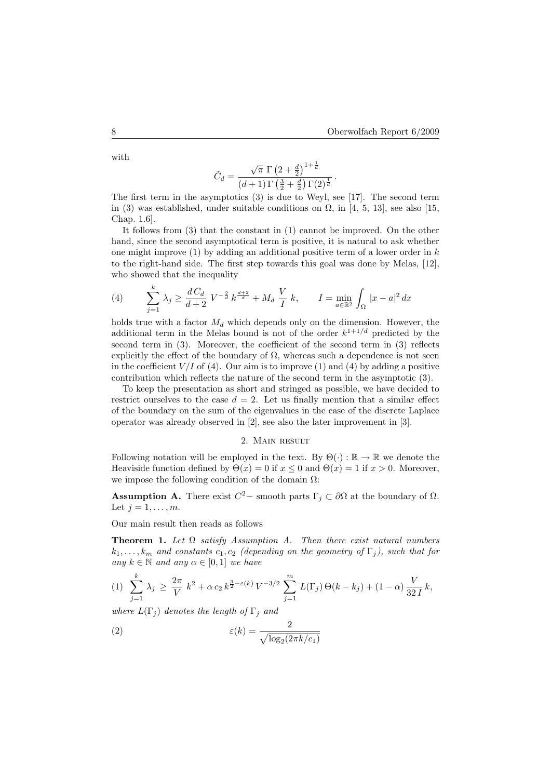with

$$
\tilde{C}_d = \frac{\sqrt{\pi} \, \Gamma \left(2+\frac{d}{2}\right)^{1+\frac{1}{d}}}{(d+1) \, \Gamma \left(\frac{3}{2}+\frac{d}{2}\right) \Gamma (2)^{\frac{1}{d}}} \, .
$$

 $1 + 1$ 

The first term in the asymptotics (3) is due to Weyl, see [17]. The second term in (3) was established, under suitable conditions on  $\Omega$ , in [4, 5, 13], see also [15, Chap. 1.6].

It follows from (3) that the constant in (1) cannot be improved. On the other hand, since the second asymptotical term is positive, it is natural to ask whether one might improve  $(1)$  by adding an additional positive term of a lower order in k to the right-hand side. The first step towards this goal was done by Melas, [12], who showed that the inequality

(4) 
$$
\sum_{j=1}^{k} \lambda_j \ge \frac{dC_d}{d+2} V^{-\frac{2}{d}} k^{\frac{d+2}{d}} + M_d \frac{V}{I} k, \qquad I = \min_{a \in \mathbb{R}^2} \int_{\Omega} |x - a|^2 dx
$$

holds true with a factor  $M_d$  which depends only on the dimension. However, the additional term in the Melas bound is not of the order  $k^{1+1/d}$  predicted by the second term in (3). Moreover, the coefficient of the second term in (3) reflects explicitly the effect of the boundary of  $\Omega$ , whereas such a dependence is not seen in the coefficient  $V/I$  of (4). Our aim is to improve (1) and (4) by adding a positive contribution which reflects the nature of the second term in the asymptotic (3).

To keep the presentation as short and stringed as possible, we have decided to restrict ourselves to the case  $d = 2$ . Let us finally mention that a similar effect of the boundary on the sum of the eigenvalues in the case of the discrete Laplace operator was already observed in [2], see also the later improvement in [3].

### 2. Main result

Following notation will be employed in the text. By  $\Theta(\cdot) : \mathbb{R} \to \mathbb{R}$  we denote the Heaviside function defined by  $\Theta(x) = 0$  if  $x \leq 0$  and  $\Theta(x) = 1$  if  $x > 0$ . Moreover, we impose the following condition of the domain  $\Omega$ :

**Assumption A.** There exist  $C^2$  – smooth parts  $\Gamma_j \subset \partial\Omega$  at the boundary of  $\Omega$ . Let  $j = 1, \ldots, m$ .

Our main result then reads as follows

**Theorem 1.** Let  $\Omega$  satisfy Assumption A. Then there exist natural numbers  $k_1, \ldots, k_m$  and constants  $c_1, c_2$  (depending on the geometry of  $\Gamma_j$ ), such that for any  $k \in \mathbb{N}$  and any  $\alpha \in [0, 1]$  we have

$$
(1) \sum_{j=1}^{k} \lambda_j \ge \frac{2\pi}{V} k^2 + \alpha c_2 k^{\frac{3}{2}-\varepsilon(k)} V^{-3/2} \sum_{j=1}^{m} L(\Gamma_j) \Theta(k-k_j) + (1-\alpha) \frac{V}{32I} k,
$$

where  $L(\Gamma_i)$  denotes the length of  $\Gamma_i$  and

(2) 
$$
\varepsilon(k) = \frac{2}{\sqrt{\log_2(2\pi k/c_1)}}
$$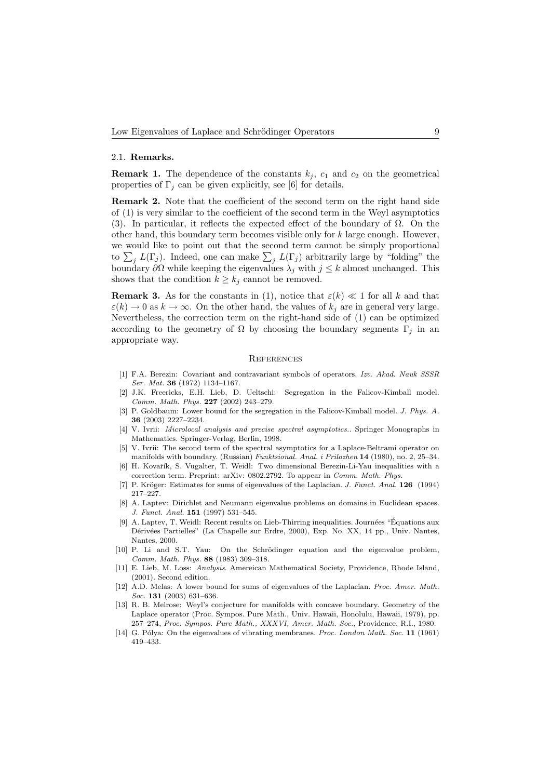### 2.1. Remarks.

**Remark 1.** The dependence of the constants  $k_j$ ,  $c_1$  and  $c_2$  on the geometrical properties of  $\Gamma_j$  can be given explicitly, see [6] for details.

Remark 2. Note that the coefficient of the second term on the right hand side of (1) is very similar to the coefficient of the second term in the Weyl asymptotics (3). In particular, it reflects the expected effect of the boundary of  $\Omega$ . On the other hand, this boundary term becomes visible only for  $k$  large enough. However, we would like to point out that the second term cannot be simply proportional to  $\sum_j L(\Gamma_j)$ . Indeed, one can make  $\sum_j L(\Gamma_j)$  arbitrarily large by "folding" the boundary  $\partial\Omega$  while keeping the eigenvalues  $\lambda_j$  with  $j \leq k$  almost unchanged. This shows that the condition  $k \geq k_i$  cannot be removed.

**Remark 3.** As for the constants in (1), notice that  $\varepsilon(k) \ll 1$  for all k and that  $\varepsilon(k) \to 0$  as  $k \to \infty$ . On the other hand, the values of  $k_j$  are in general very large. Nevertheless, the correction term on the right-hand side of (1) can be optimized according to the geometry of  $\Omega$  by choosing the boundary segments  $\Gamma_j$  in an appropriate way.

### **REFERENCES**

- [1] F.A. Berezin: Covariant and contravariant symbols of operators. Izv. Akad. Nauk SSSR Ser. Mat. 36 (1972) 1134–1167.
- [2] J.K. Freericks, E.H. Lieb, D. Ueltschi: Segregation in the Falicov-Kimball model. Comm. Math. Phys. 227 (2002) 243–279.
- [3] P. Goldbaum: Lower bound for the segregation in the Falicov-Kimball model. J. Phys. A. 36 (2003) 2227–2234.
- [4] V. Ivrii: Microlocal analysis and precise spectral asymptotics.. Springer Monographs in Mathematics. Springer-Verlag, Berlin, 1998.
- [5] V. Ivrii: The second term of the spectral asymptotics for a Laplace-Beltrami operator on manifolds with boundary. (Russian) Funktsional. Anal. i Prilozhen 14 (1980), no. 2, 25–34.
- [6] H. Kovařík, S. Vugalter, T. Weidl: Two dimensional Berezin-Li-Yau inequalities with a correction term. Preprint: arXiv: 0802.2792. To appear in Comm. Math. Phys.
- [7] P. Kröger: Estimates for sums of eigenvalues of the Laplacian. J. Funct. Anal. 126 (1994) 217–227.
- [8] A. Laptev: Dirichlet and Neumann eigenvalue problems on domains in Euclidean spaces. J. Funct. Anal. 151 (1997) 531–545.
- [9] A. Laptev, T. Weidl: Recent results on Lieb-Thirring inequalities. Journées "Équations aux Dérivées Partielles" (La Chapelle sur Erdre, 2000), Exp. No. XX, 14 pp., Univ. Nantes, Nantes, 2000.
- [10] P. Li and S.T. Yau: On the Schrödinger equation and the eigenvalue problem, Comm. Math. Phys. 88 (1983) 309–318.
- [11] E. Lieb, M. Loss: Analysis. Amereican Mathematical Society, Providence, Rhode Island, (2001). Second edition.
- [12] A.D. Melas: A lower bound for sums of eigenvalues of the Laplacian. Proc. Amer. Math. Soc. 131 (2003) 631–636.
- [13] R. B. Melrose: Weyl's conjecture for manifolds with concave boundary. Geometry of the Laplace operator (Proc. Sympos. Pure Math., Univ. Hawaii, Honolulu, Hawaii, 1979), pp. 257–274, Proc. Sympos. Pure Math., XXXVI, Amer. Math. Soc., Providence, R.I., 1980.
- [14] G. Pólya: On the eigenvalues of vibrating membranes. Proc. London Math. Soc. 11 (1961) 419–433.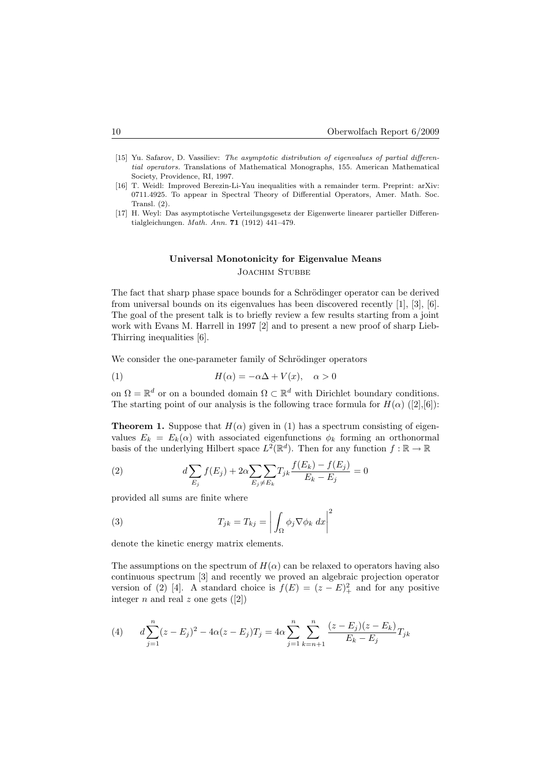- [15] Yu. Safarov, D. Vassiliev: The asymptotic distribution of eigenvalues of partial differential operators. Translations of Mathematical Monographs, 155. American Mathematical Society, Providence, RI, 1997.
- [16] T. Weidl: Improved Berezin-Li-Yau inequalities with a remainder term. Preprint: arXiv: 0711.4925. To appear in Spectral Theory of Differential Operators, Amer. Math. Soc. Transl. (2).
- [17] H. Weyl: Das asymptotische Verteilungsgesetz der Eigenwerte linearer partieller Differentialgleichungen. Math. Ann. 71 (1912) 441–479.

# Universal Monotonicity for Eigenvalue Means JOACHIM STUBBE

The fact that sharp phase space bounds for a Schrödinger operator can be derived from universal bounds on its eigenvalues has been discovered recently [1], [3], [6]. The goal of the present talk is to briefly review a few results starting from a joint work with Evans M. Harrell in 1997 [2] and to present a new proof of sharp Lieb-Thirring inequalities [6].

We consider the one-parameter family of Schrödinger operators

(1) 
$$
H(\alpha) = -\alpha \Delta + V(x), \quad \alpha > 0
$$

on  $\Omega = \mathbb{R}^d$  or on a bounded domain  $\Omega \subset \mathbb{R}^d$  with Dirichlet boundary conditions. The starting point of our analysis is the following trace formula for  $H(\alpha)$  ([2],[6]):

**Theorem 1.** Suppose that  $H(\alpha)$  given in (1) has a spectrum consisting of eigenvalues  $E_k = E_k(\alpha)$  with associated eigenfunctions  $\phi_k$  forming an orthonormal basis of the underlying Hilbert space  $L^2(\mathbb{R}^d)$ . Then for any function  $f : \mathbb{R} \to \mathbb{R}$ 

(2) 
$$
d \sum_{E_j} f(E_j) + 2\alpha \sum_{E_j \neq E_k} T_{jk} \frac{f(E_k) - f(E_j)}{E_k - E_j} = 0
$$

provided all sums are finite where

(3) 
$$
T_{jk} = T_{kj} = \left| \int_{\Omega} \phi_j \nabla \phi_k \, dx \right|^2
$$

denote the kinetic energy matrix elements.

The assumptions on the spectrum of  $H(\alpha)$  can be relaxed to operators having also continuous spectrum [3] and recently we proved an algebraic projection operator version of (2) [4]. A standard choice is  $f(E) = (z - E)^2$  and for any positive integer *n* and real *z* one gets  $([2])$ 

(4) 
$$
d\sum_{j=1}^{n} (z - E_j)^2 - 4\alpha (z - E_j)T_j = 4\alpha \sum_{j=1}^{n} \sum_{k=n+1}^{n} \frac{(z - E_j)(z - E_k)}{E_k - E_j}T_{jk}
$$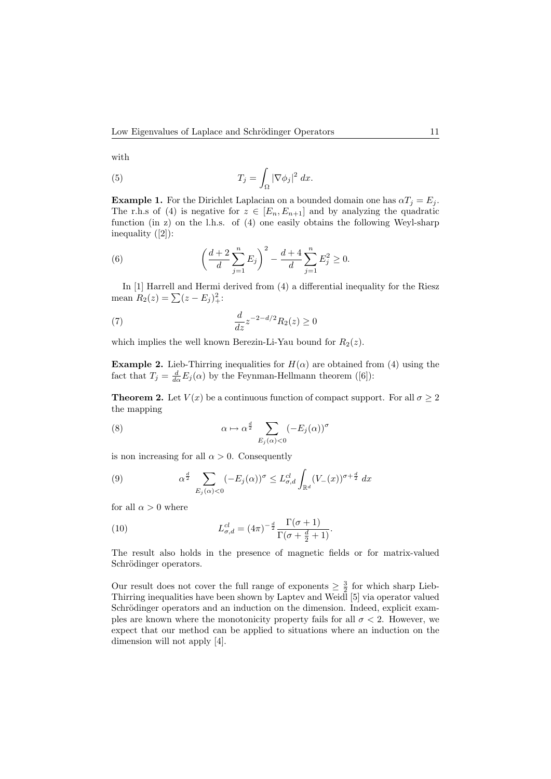with

(5) 
$$
T_j = \int_{\Omega} |\nabla \phi_j|^2 dx.
$$

**Example 1.** For the Dirichlet Laplacian on a bounded domain one has  $\alpha T_i = E_i$ . The r.h.s of (4) is negative for  $z \in [E_n, E_{n+1}]$  and by analyzing the quadratic function (in z) on the l.h.s. of (4) one easily obtains the following Weyl-sharp inequality ([2]):

(6) 
$$
\left(\frac{d+2}{d}\sum_{j=1}^n E_j\right)^2 - \frac{d+4}{d}\sum_{j=1}^n E_j^2 \ge 0.
$$

In [1] Harrell and Hermi derived from (4) a differential inequality for the Riesz mean  $R_2(z) = \sum (z - E_j)_+^2$ :

(7) 
$$
\frac{d}{dz}z^{-2-d/2}R_2(z) \ge 0
$$

which implies the well known Berezin-Li-Yau bound for  $R_2(z)$ .

**Example 2.** Lieb-Thirring inequalities for  $H(\alpha)$  are obtained from (4) using the fact that  $T_j = \frac{d}{d\alpha} E_j(\alpha)$  by the Feynman-Hellmann theorem ([6]):

**Theorem 2.** Let  $V(x)$  be a continuous function of compact support. For all  $\sigma \geq 2$ the mapping

(8) 
$$
\alpha \mapsto \alpha^{\frac{d}{2}} \sum_{E_j(\alpha) < 0} (-E_j(\alpha))^\sigma
$$

is non increasing for all  $\alpha > 0$ . Consequently

(9) 
$$
\alpha^{\frac{d}{2}} \sum_{E_j(\alpha) < 0} (-E_j(\alpha))^{\sigma} \leq L_{\sigma,d}^{cl} \int_{\mathbb{R}^d} (V_-(x))^{\sigma + \frac{d}{2}} dx
$$

for all  $\alpha > 0$  where

(10) 
$$
L_{\sigma,d}^{cl} = (4\pi)^{-\frac{d}{2}} \frac{\Gamma(\sigma+1)}{\Gamma(\sigma+\frac{d}{2}+1)}.
$$

The result also holds in the presence of magnetic fields or for matrix-valued Schrödinger operators.

Our result does not cover the full range of exponents  $\geq \frac{3}{2}$  for which sharp Lieb-Thirring inequalities have been shown by Laptev and Weidl [5] via operator valued Schrödinger operators and an induction on the dimension. Indeed, explicit examples are known where the monotonicity property fails for all  $\sigma < 2$ . However, we expect that our method can be applied to situations where an induction on the dimension will not apply [4].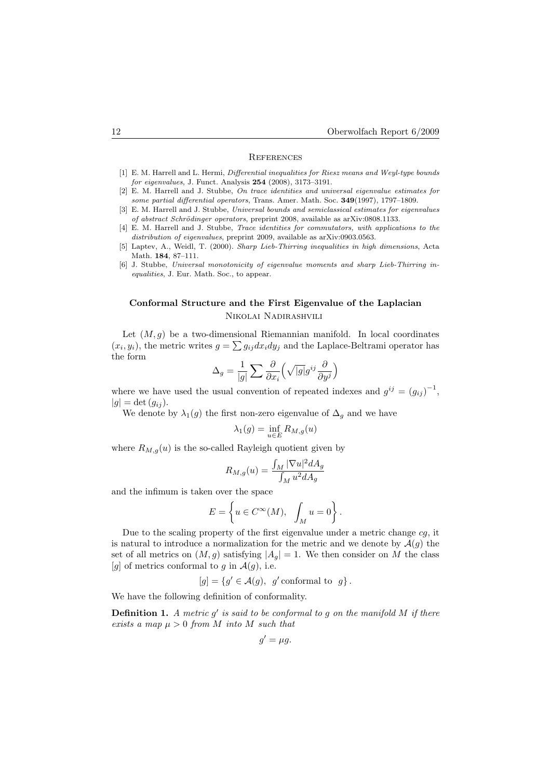### **REFERENCES**

- [1] E. M. Harrell and L. Hermi, *Differential inequalities for Riesz means and Weyl-type bounds* for eigenvalues, J. Funct. Analysis 254 (2008), 3173–3191.
- [2] E. M. Harrell and J. Stubbe, On trace identities and universal eigenvalue estimates for some partial differential operators, Trans. Amer. Math. Soc. 349(1997), 1797–1809.
- [3] E. M. Harrell and J. Stubbe, Universal bounds and semiclassical estimates for eigenvalues of abstract Schrödinger operators, preprint 2008, available as arXiv:0808.1133.
- [4] E. M. Harrell and J. Stubbe, Trace identities for commutators, with applications to the distribution of eigenvalues, preprint 2009, available as arXiv:0903.0563.
- [5] Laptev, A., Weidl, T. (2000). Sharp Lieb-Thirring inequalities in high dimensions, Acta Math. 184, 87–111.
- [6] J. Stubbe, Universal monotonicity of eigenvalue moments and sharp Lieb-Thirring inequalities, J. Eur. Math. Soc., to appear.

# Conformal Structure and the First Eigenvalue of the Laplacian Nikolai Nadirashvili

Let  $(M, g)$  be a two-dimensional Riemannian manifold. In local coordinates  $(x_i, y_i)$ , the metric writes  $g = \sum g_{ij} dx_i dy_j$  and the Laplace-Beltrami operator has the form

$$
\Delta_g = \frac{1}{|g|} \sum \frac{\partial}{\partial x_i} \left( \sqrt{|g|} g^{ij} \frac{\partial}{\partial y^j} \right)
$$

where we have used the usual convention of repeated indexes and  $g^{ij} = (g_{ij})^{-1}$ ,  $|q| = \det (q_{ij}).$ 

We denote by  $\lambda_1(g)$  the first non-zero eigenvalue of  $\Delta_g$  and we have

$$
\lambda_1(g) = \inf_{u \in E} R_{M,g}(u)
$$

where  $R_{M,g}(u)$  is the so-called Rayleigh quotient given by

$$
R_{M,g}(u) = \frac{\int_M |\nabla u|^2 dA_g}{\int_M u^2 dA_g}
$$

and the infimum is taken over the space

$$
E = \left\{ u \in C^{\infty}(M), \int_{M} u = 0 \right\}.
$$

Due to the scaling property of the first eigenvalue under a metric change  $cq$ , it is natural to introduce a normalization for the metric and we denote by  $\mathcal{A}(q)$  the set of all metrics on  $(M, g)$  satisfying  $|A_q| = 1$ . We then consider on M the class [g] of metrics conformal to g in  $\mathcal{A}(g)$ , i.e.

$$
[g] = \{ g' \in \mathcal{A}(g), g' \text{ conformal to } g \}.
$$

We have the following definition of conformality.

**Definition 1.** A metric  $g'$  is said to be conformal to  $g$  on the manifold M if there exists a map  $\mu > 0$  from M into M such that

$$
g' = \mu g.
$$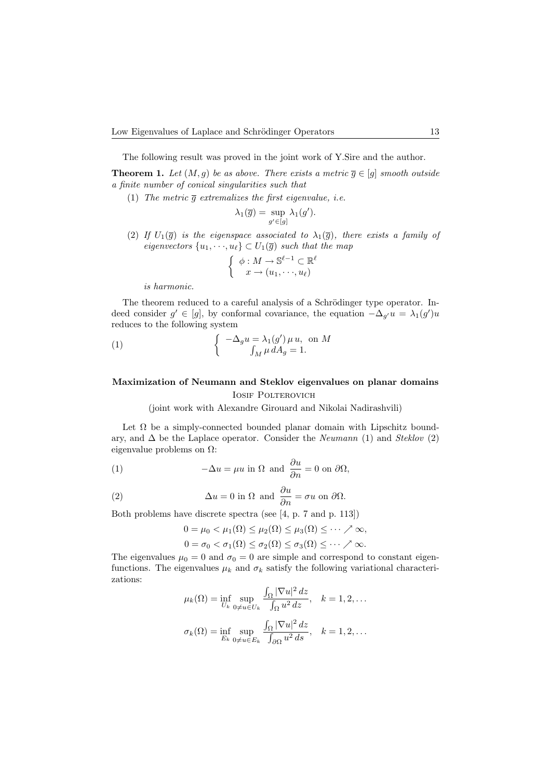The following result was proved in the joint work of Y.Sire and the author.

**Theorem 1.** Let  $(M, g)$  be as above. There exists a metric  $\overline{g} \in [g]$  smooth outside a finite number of conical singularities such that

(1) The metric  $\overline{g}$  extremalizes the first eigenvalue, i.e.

$$
\lambda_1(\overline{g}) = \sup_{g' \in [g]} \lambda_1(g').
$$

(2) If  $U_1(\bar{g})$  is the eigenspace associated to  $\lambda_1(\bar{g})$ , there exists a family of eigenvectors  $\{u_1, \dots, u_\ell\} \subset U_1(\overline{g})$  such that the map

$$
\begin{cases} \phi: M \to \mathbb{S}^{\ell-1} \subset \mathbb{R}^{\ell} \\ x \to (u_1, \dots, u_\ell) \end{cases}
$$

is harmonic.

The theorem reduced to a careful analysis of a Schrödinger type operator. Indeed consider  $g' \in [g]$ , by conformal covariance, the equation  $-\Delta_{g'} u = \lambda_1(g')u$ reduces to the following system

(1) 
$$
\begin{cases}\n-\Delta_g u = \lambda_1(g') \mu u, \text{ on } M \\
\int_M \mu dA_g = 1.\n\end{cases}
$$

# Maximization of Neumann and Steklov eigenvalues on planar domains IOSIF POLTEROVICH

(joint work with Alexandre Girouard and Nikolai Nadirashvili)

Let  $\Omega$  be a simply-connected bounded planar domain with Lipschitz boundary, and  $\Delta$  be the Laplace operator. Consider the *Neumann* (1) and *Steklov* (2) eigenvalue problems on  $\Omega$ :

(1) 
$$
-\Delta u = \mu u \text{ in } \Omega \text{ and } \frac{\partial u}{\partial n} = 0 \text{ on } \partial \Omega,
$$

(2) 
$$
\Delta u = 0 \text{ in } \Omega \text{ and } \frac{\partial u}{\partial n} = \sigma u \text{ on } \partial \Omega.
$$

Both problems have discrete spectra (see [4, p. 7 and p. 113])

$$
0 = \mu_0 < \mu_1(\Omega) \leq \mu_2(\Omega) \leq \mu_3(\Omega) \leq \cdots \nearrow \infty,
$$
\n
$$
0 = \sigma_0 < \sigma_1(\Omega) \leq \sigma_2(\Omega) \leq \sigma_3(\Omega) \leq \cdots \nearrow \infty.
$$

The eigenvalues  $\mu_0 = 0$  and  $\sigma_0 = 0$  are simple and correspond to constant eigenfunctions. The eigenvalues  $\mu_k$  and  $\sigma_k$  satisfy the following variational characterizations:

$$
\mu_k(\Omega) = \inf_{U_k} \sup_{0 \neq u \in U_k} \frac{\int_{\Omega} |\nabla u|^2 dz}{\int_{\Omega} u^2 dz}, \quad k = 1, 2, \dots
$$

$$
\sigma_k(\Omega) = \inf_{E_k} \sup_{0 \neq u \in E_k} \frac{\int_{\Omega} |\nabla u|^2 dz}{\int_{\partial \Omega} u^2 ds}, \quad k = 1, 2, \dots
$$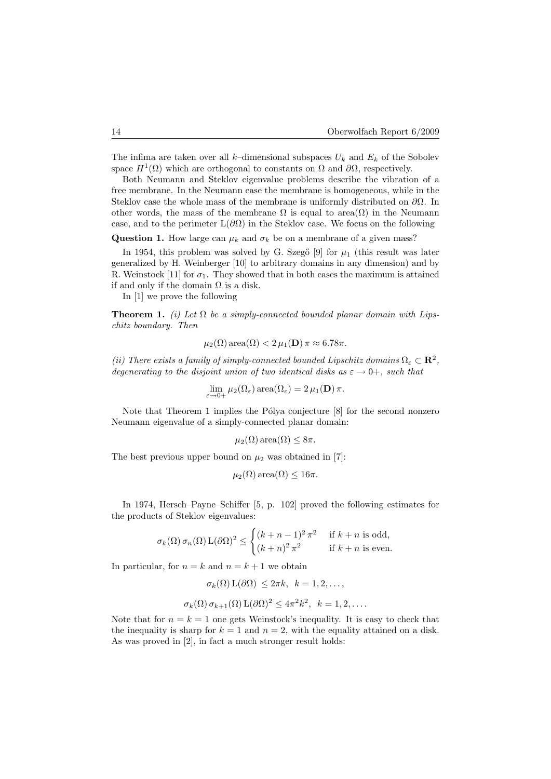The infima are taken over all k–dimensional subspaces  $U_k$  and  $E_k$  of the Sobolev space  $H^1(\Omega)$  which are orthogonal to constants on  $\Omega$  and  $\partial\Omega$ , respectively.

Both Neumann and Steklov eigenvalue problems describe the vibration of a free membrane. In the Neumann case the membrane is homogeneous, while in the Steklov case the whole mass of the membrane is uniformly distributed on  $\partial\Omega$ . In other words, the mass of the membrane  $\Omega$  is equal to area $(\Omega)$  in the Neumann case, and to the perimeter  $L(\partial\Omega)$  in the Steklov case. We focus on the following

Question 1. How large can  $\mu_k$  and  $\sigma_k$  be on a membrane of a given mass?

In 1954, this problem was solved by G. Szegő  $[9]$  for  $\mu_1$  (this result was later generalized by H. Weinberger [10] to arbitrary domains in any dimension) and by R. Weinstock [11] for  $\sigma_1$ . They showed that in both cases the maximum is attained if and only if the domain  $\Omega$  is a disk.

In [1] we prove the following

**Theorem 1.** (i) Let  $\Omega$  be a simply-connected bounded planar domain with Lipschitz boundary. Then

$$
\mu_2(\Omega)
$$
 area $(\Omega)$  < 2  $\mu_1(\mathbf{D}) \pi \approx 6.78\pi$ .

(ii) There exists a family of simply-connected bounded Lipschitz domains  $\Omega_{\varepsilon} \subset \mathbb{R}^2$ , degenerating to the disjoint union of two identical disks as  $\varepsilon \to 0^+$ , such that

$$
\lim_{\varepsilon \to 0+} \mu_2(\Omega_{\varepsilon}) \operatorname{area}(\Omega_{\varepsilon}) = 2 \mu_1(\mathbf{D}) \pi.
$$

Note that Theorem 1 implies the Pólya conjecture  $[8]$  for the second nonzero Neumann eigenvalue of a simply-connected planar domain:

$$
\mu_2(\Omega)\operatorname{area}(\Omega) \leq 8\pi.
$$

The best previous upper bound on  $\mu_2$  was obtained in [7]:

$$
\mu_2(\Omega)
$$
area $(\Omega) \leq 16\pi$ .

In 1974, Hersch–Payne–Schiffer [5, p. 102] proved the following estimates for the products of Steklov eigenvalues:

$$
\sigma_k(\Omega) \sigma_n(\Omega) L(\partial \Omega)^2 \le \begin{cases} (k+n-1)^2 \pi^2 & \text{if } k+n \text{ is odd,} \\ (k+n)^2 \pi^2 & \text{if } k+n \text{ is even.} \end{cases}
$$

In particular, for  $n = k$  and  $n = k + 1$  we obtain

$$
\sigma_k(\Omega) \mathcal{L}(\partial \Omega) \le 2\pi k, \quad k = 1, 2, \dots,
$$
  

$$
\sigma_k(\Omega) \sigma_{k+1}(\Omega) \mathcal{L}(\partial \Omega)^2 \le 4\pi^2 k^2, \quad k = 1, 2, \dots.
$$

Note that for  $n = k = 1$  one gets Weinstock's inequality. It is easy to check that the inequality is sharp for  $k = 1$  and  $n = 2$ , with the equality attained on a disk. As was proved in [2], in fact a much stronger result holds: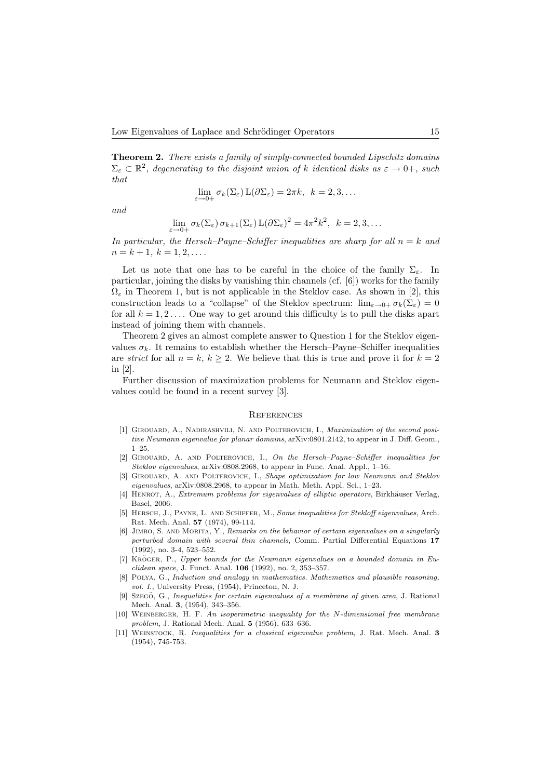Theorem 2. There exists a family of simply-connected bounded Lipschitz domains  $\Sigma_{\varepsilon} \subset \mathbb{R}^2$ , degenerating to the disjoint union of k identical disks as  $\varepsilon \to 0^+$ , such that

$$
\lim_{\varepsilon \to 0+} \sigma_k(\Sigma_{\varepsilon}) \mathop{\rm L}(\partial \Sigma_{\varepsilon}) = 2\pi k, \ \ k = 2, 3, \dots
$$

and

$$
\lim_{\varepsilon \to 0+} \sigma_k(\Sigma_{\varepsilon}) \, \sigma_{k+1}(\Sigma_{\varepsilon}) \, \mathcal{L}(\partial \Sigma_{\varepsilon})^2 = 4\pi^2 k^2, \ \ k = 2, 3, \dots
$$

In particular, the Hersch–Payne–Schiffer inequalities are sharp for all  $n = k$  and  $n = k + 1, k = 1, 2, \ldots$ 

Let us note that one has to be careful in the choice of the family  $\Sigma_{\varepsilon}$ . In particular, joining the disks by vanishing thin channels (cf. [6]) works for the family  $\Omega_{\varepsilon}$  in Theorem 1, but is not applicable in the Steklov case. As shown in [2], this construction leads to a "collapse" of the Steklov spectrum:  $\lim_{\varepsilon\to 0+} \sigma_k(\Sigma_{\varepsilon}) = 0$ for all  $k = 1, 2, \ldots$  One way to get around this difficulty is to pull the disks apart instead of joining them with channels.

Theorem 2 gives an almost complete answer to Question 1 for the Steklov eigenvalues  $\sigma_k$ . It remains to establish whether the Hersch–Payne–Schiffer inequalities are *strict* for all  $n = k, k \geq 2$ . We believe that this is true and prove it for  $k = 2$ in [2].

Further discussion of maximization problems for Neumann and Steklov eigenvalues could be found in a recent survey [3].

#### **REFERENCES**

- [1] GIROUARD, A., NADIRASHVILI, N. AND POLTEROVICH, I., *Maximization of the second posi*tive Neumann eigenvalue for planar domains, arXiv:0801.2142, to appear in J. Diff. Geom., 1–25.
- [2] GIROUARD, A. AND POLTEROVICH, I., On the Hersch-Payne–Schiffer inequalities for Steklov eigenvalues, arXiv:0808.2968, to appear in Func. Anal. Appl., 1–16.
- [3] GIROUARD, A. AND POLTEROVICH, I., Shape optimization for low Neumann and Steklov eigenvalues, arXiv:0808.2968, to appear in Math. Meth. Appl. Sci., 1–23.
- [4] HENROT, A., *Extremum problems for eigenvalues of elliptic operators*, Birkhäuser Verlag, Basel, 2006.
- [5] HERSCH, J., PAYNE, L. AND SCHIFFER, M., Some inequalities for Stekloff eigenvalues, Arch. Rat. Mech. Anal. 57 (1974), 99-114.
- [6] JIMBO, S. AND MORITA, Y., Remarks on the behavior of certain eigenvalues on a singularly perturbed domain with several thin channels, Comm. Partial Differential Equations 17 (1992), no. 3-4, 523–552.
- [7] KRÖGER, P., Upper bounds for the Neumann eigenvalues on a bounded domain in Euclidean space, J. Funct. Anal. 106 (1992), no. 2, 353–357.
- [8] Polya, G., Induction and analogy in mathematics. Mathematics and plausible reasoning, vol. I., University Press, (1954), Princeton, N. J.
- [9] Szegö, G., Inequalities for certain eigenvalues of a membrane of given area, J. Rational Mech. Anal. 3, (1954), 343–356.
- [10] WEINBERGER, H. F. An isoperimetric inequality for the N-dimensional free membrane problem, J. Rational Mech. Anal. 5 (1956), 633–636.
- [11] WEINSTOCK, R. Inequalities for a classical eigenvalue problem, J. Rat. Mech. Anal. 3 (1954), 745-753.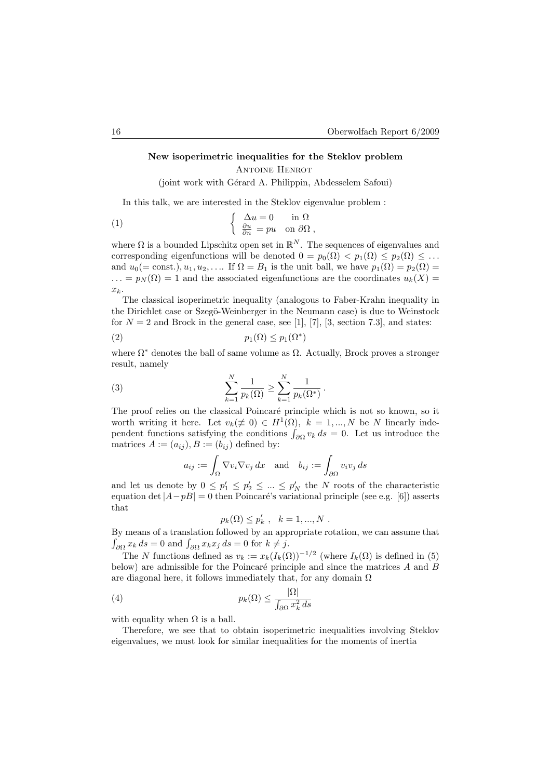# New isoperimetric inequalities for the Steklov problem Antoine Henrot (joint work with Gérard A. Philippin, Abdesselem Safoui)

In this talk, we are interested in the Steklov eigenvalue problem :

(1) 
$$
\begin{cases} \Delta u = 0 & \text{in } \Omega \\ \frac{\partial u}{\partial n} = pu & \text{on } \partial \Omega \end{cases}
$$

where  $\Omega$  is a bounded Lipschitz open set in  $\mathbb{R}^N$ . The sequences of eigenvalues and corresponding eigenfunctions will be denoted  $0 = p_0(\Omega) < p_1(\Omega) \leq p_2(\Omega) \leq \ldots$ and  $u_0(=\text{const.})$ ,  $u_1, u_2, \ldots$  If  $\Omega = B_1$  is the unit ball, we have  $p_1(\Omega) = p_2(\Omega) =$  $\ldots = p_N(\Omega) = 1$  and the associated eigenfunctions are the coordinates  $u_k(X) =$  $x_k$ .

The classical isoperimetric inequality (analogous to Faber-Krahn inequality in the Dirichlet case or Szegö-Weinberger in the Neumann case) is due to Weinstock for  $N = 2$  and Brock in the general case, see [1], [7], [3, section 7.3], and states:

(2) p1(Ω) ≤ p1(Ω<sup>∗</sup> )

where  $\Omega^*$  denotes the ball of same volume as  $\Omega$ . Actually, Brock proves a stronger result, namely

(3) 
$$
\sum_{k=1}^{N} \frac{1}{p_k(\Omega)} \ge \sum_{k=1}^{N} \frac{1}{p_k(\Omega^*)}.
$$

The proof relies on the classical Poincaré principle which is not so known, so it worth writing it here. Let  $v_k(\neq 0) \in H^1(\Omega)$ ,  $k = 1, ..., N$  be N linearly independent functions satisfying the conditions  $\int_{\partial\Omega} v_k ds = 0$ . Let us introduce the matrices  $A := (a_{ij}), B := (b_{ij})$  defined by:

$$
a_{ij} := \int_{\Omega} \nabla v_i \nabla v_j \, dx \quad \text{and} \quad b_{ij} := \int_{\partial \Omega} v_i v_j \, ds
$$

and let us denote by  $0 \leq p'_1 \leq p'_2 \leq \ldots \leq p'_N$  the N roots of the characteristic equation det  $|A-pB| = 0$  then Poincaré's variational principle (see e.g. [6]) asserts that

$$
p_k(\Omega) \le p'_k , \quad k = 1, ..., N .
$$

By means of a translation followed by an appropriate rotation, we can assume that  $\int_{\partial\Omega} x_k ds = 0$  and  $\int_{\partial\Omega} x_k x_j ds = 0$  for  $k \neq j$ .

The N functions defined as  $v_k := x_k(I_k(\Omega))^{-1/2}$  (where  $I_k(\Omega)$  is defined in (5) below) are admissible for the Poincaré principle and since the matrices  $A$  and  $B$ are diagonal here, it follows immediately that, for any domain  $\Omega$ 

(4) 
$$
p_k(\Omega) \leq \frac{|\Omega|}{\int_{\partial\Omega} x_k^2 ds}
$$

with equality when  $\Omega$  is a ball.

Therefore, we see that to obtain isoperimetric inequalities involving Steklov eigenvalues, we must look for similar inequalities for the moments of inertia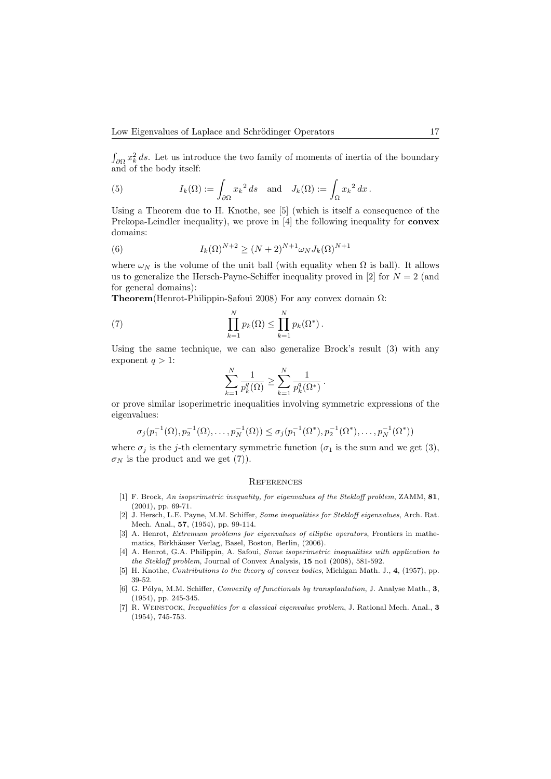$\int_{\partial\Omega} x_k^2 ds$ . Let us introduce the two family of moments of inertia of the boundary and of the body itself:

(5) 
$$
I_k(\Omega) := \int_{\partial\Omega} x_k^2 ds \text{ and } J_k(\Omega) := \int_{\Omega} x_k^2 dx.
$$

Using a Theorem due to H. Knothe, see [5] (which is itself a consequence of the Prekopa-Leindler inequality), we prove in [4] the following inequality for convex domains:

(6) 
$$
I_k(\Omega)^{N+2} \ge (N+2)^{N+1} \omega_N J_k(\Omega)^{N+1}
$$

where  $\omega_N$  is the volume of the unit ball (with equality when  $\Omega$  is ball). It allows us to generalize the Hersch-Payne-Schiffer inequality proved in [2] for  $N = 2$  (and for general domains):

Theorem(Henrot-Philippin-Safoui 2008) For any convex domain Ω:

(7) 
$$
\prod_{k=1}^{N} p_k(\Omega) \leq \prod_{k=1}^{N} p_k(\Omega^*).
$$

Using the same technique, we can also generalize Brock's result (3) with any exponent  $q > 1$ :

$$
\sum_{k=1}^N \frac{1}{p_k^q(\Omega)} \geq \sum_{k=1}^N \frac{1}{p_k^q(\Omega^*)} \, .
$$

or prove similar isoperimetric inequalities involving symmetric expressions of the eigenvalues:

$$
\sigma_j(p_1^{-1}(\Omega), p_2^{-1}(\Omega), \dots, p_N^{-1}(\Omega)) \le \sigma_j(p_1^{-1}(\Omega^*), p_2^{-1}(\Omega^*), \dots, p_N^{-1}(\Omega^*))
$$

where  $\sigma_j$  is the j-th elementary symmetric function ( $\sigma_1$  is the sum and we get (3),  $\sigma_N$  is the product and we get (7)).

### **REFERENCES**

- [1] F. Brock, An isoperimetric inequality, for eigenvalues of the Stekloff problem, ZAMM, 81, (2001), pp. 69-71.
- [2] J. Hersch, L.E. Payne, M.M. Schiffer, Some inequalities for Stekloff eigenvalues, Arch. Rat. Mech. Anal., 57, (1954), pp. 99-114.
- [3] A. Henrot, *Extremum problems for eigenvalues of elliptic operators*, Frontiers in mathematics, Birkhäuser Verlag, Basel, Boston, Berlin, (2006).
- [4] A. Henrot, G.A. Philippin, A. Safoui, Some isoperimetric inequalities with application to the Stekloff problem, Journal of Convex Analysis, 15 no1 (2008), 581-592.
- [5] H. Knothe, *Contributions to the theory of convex bodies*, Michigan Math. J., 4, (1957), pp. 39-52.
- [6] G. Pólya, M.M. Schiffer, Convexity of functionals by transplantation, J. Analyse Math., 3, (1954), pp. 245-345.
- [7] R. Weinstock, Inequalities for a classical eigenvalue problem, J. Rational Mech. Anal., 3 (1954), 745-753.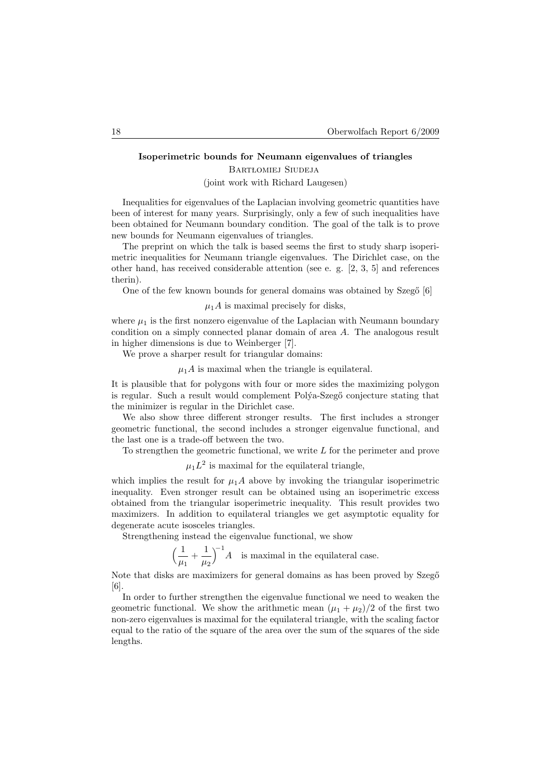### Isoperimetric bounds for Neumann eigenvalues of triangles

BARTŁOMIEJ SIUDEJA (joint work with Richard Laugesen)

Inequalities for eigenvalues of the Laplacian involving geometric quantities have been of interest for many years. Surprisingly, only a few of such inequalities have been obtained for Neumann boundary condition. The goal of the talk is to prove new bounds for Neumann eigenvalues of triangles.

The preprint on which the talk is based seems the first to study sharp isoperimetric inequalities for Neumann triangle eigenvalues. The Dirichlet case, on the other hand, has received considerable attention (see e. g. [2, 3, 5] and references therin).

One of the few known bounds for general domains was obtained by Szegő [6]

### $\mu_1 A$  is maximal precisely for disks,

where  $\mu_1$  is the first nonzero eigenvalue of the Laplacian with Neumann boundary condition on a simply connected planar domain of area A. The analogous result in higher dimensions is due to Weinberger [7].

We prove a sharper result for triangular domains:

 $\mu_1 A$  is maximal when the triangle is equilateral.

It is plausible that for polygons with four or more sides the maximizing polygon is regular. Such a result would complement Poly<sup>a</sup>-Szegő conjecture stating that the minimizer is regular in the Dirichlet case.

We also show three different stronger results. The first includes a stronger geometric functional, the second includes a stronger eigenvalue functional, and the last one is a trade-off between the two.

To strengthen the geometric functional, we write  $L$  for the perimeter and prove

 $\mu_1 L^2$  is maximal for the equilateral triangle,

which implies the result for  $\mu_1 A$  above by invoking the triangular isoperimetric inequality. Even stronger result can be obtained using an isoperimetric excess obtained from the triangular isoperimetric inequality. This result provides two maximizers. In addition to equilateral triangles we get asymptotic equality for degenerate acute isosceles triangles.

Strengthening instead the eigenvalue functional, we show

$$
\left(\frac{1}{\mu_1} + \frac{1}{\mu_2}\right)^{-1} A
$$
 is maximal in the equilateral case.

Note that disks are maximizers for general domains as has been proved by Szegő [6].

In order to further strengthen the eigenvalue functional we need to weaken the geometric functional. We show the arithmetic mean  $(\mu_1 + \mu_2)/2$  of the first two non-zero eigenvalues is maximal for the equilateral triangle, with the scaling factor equal to the ratio of the square of the area over the sum of the squares of the side lengths.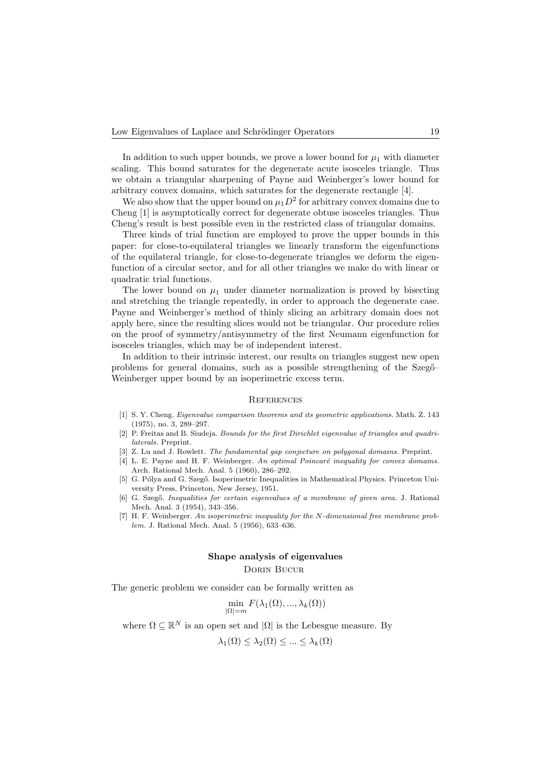In addition to such upper bounds, we prove a lower bound for  $\mu_1$  with diameter scaling. This bound saturates for the degenerate acute isosceles triangle. Thus we obtain a triangular sharpening of Payne and Weinberger's lower bound for arbitrary convex domains, which saturates for the degenerate rectangle [4].

We also show that the upper bound on  $\mu_1 D^2$  for arbitrary convex domains due to Cheng [1] is asymptotically correct for degenerate obtuse isosceles triangles. Thus Cheng's result is best possible even in the restricted class of triangular domains.

Three kinds of trial function are employed to prove the upper bounds in this paper: for close-to-equilateral triangles we linearly transform the eigenfunctions of the equilateral triangle, for close-to-degenerate triangles we deform the eigenfunction of a circular sector, and for all other triangles we make do with linear or quadratic trial functions.

The lower bound on  $\mu_1$  under diameter normalization is proved by bisecting and stretching the triangle repeatedly, in order to approach the degenerate case. Payne and Weinberger's method of thinly slicing an arbitrary domain does not apply here, since the resulting slices would not be triangular. Our procedure relies on the proof of symmetry/antisymmetry of the first Neumann eigenfunction for isosceles triangles, which may be of independent interest.

In addition to their intrinsic interest, our results on triangles suggest new open problems for general domains, such as a possible strengthening of the Szeg<sup>"</sup>– Weinberger upper bound by an isoperimetric excess term.

### **REFERENCES**

- [1] S. Y. Cheng. Eigenvalue comparison theorems and its geometric applications. Math. Z. 143 (1975), no. 3, 289–297.
- [2] P. Freitas and B. Siudeja. Bounds for the first Dirichlet eigenvalue of triangles and quadrilaterals. Preprint.
- [3] Z. Lu and J. Rowlett. The fundamental gap conjecture on polygonal domains. Preprint.
- [4] L. E. Payne and H. F. Weinberger. An optimal Poincaré inequality for convex domains. Arch. Rational Mech. Anal. 5 (1960), 286–292.
- [5] G. Pólya and G. Szegő. Isoperimetric Inequalities in Mathematical Physics. Princeton University Press, Princeton, New Jersey, 1951.
- [6] G. Szegő. Inequalities for certain eigenvalues of a membrane of given area. J. Rational Mech. Anal. 3 (1954), 343–356.
- [7] H. F. Weinberger. An isoperimetric inequality for the N-dimensional free membrane problem. J. Rational Mech. Anal. 5 (1956), 633–636.

# Shape analysis of eigenvalues

Dorin Bucur

The generic problem we consider can be formally written as

$$
\min_{|\Omega|=m} F(\lambda_1(\Omega),...,\lambda_k(\Omega))
$$

where  $\Omega \subseteq \mathbb{R}^N$  is an open set and  $|\Omega|$  is the Lebesgue measure. By

$$
\lambda_1(\Omega) \leq \lambda_2(\Omega) \leq \ldots \leq \lambda_k(\Omega)
$$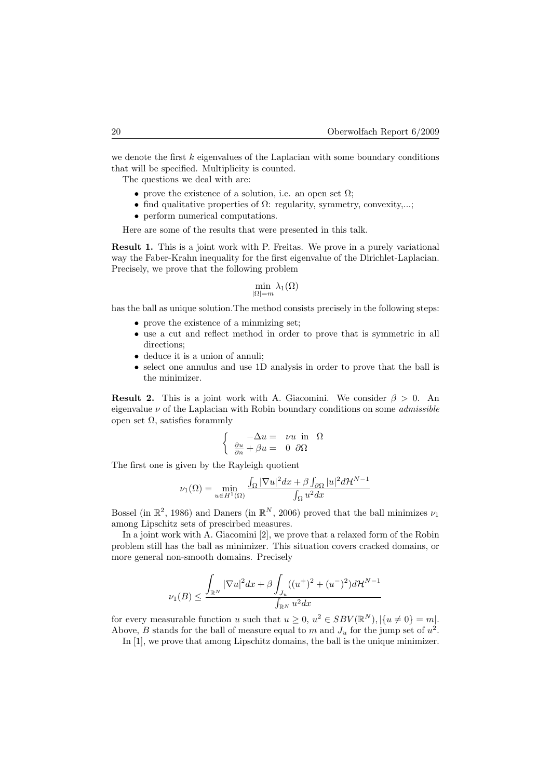we denote the first  $k$  eigenvalues of the Laplacian with some boundary conditions that will be specified. Multiplicity is counted.

The questions we deal with are:

- prove the existence of a solution, i.e. an open set  $\Omega$ ;
- find qualitative properties of  $\Omega$ : regularity, symmetry, convexity,...;
- perform numerical computations.

Here are some of the results that were presented in this talk.

Result 1. This is a joint work with P. Freitas. We prove in a purely variational way the Faber-Krahn inequality for the first eigenvalue of the Dirichlet-Laplacian. Precisely, we prove that the following problem

$$
\min_{|\Omega|=m} \lambda_1(\Omega)
$$

has the ball as unique solution.The method consists precisely in the following steps:

- prove the existence of a minmizing set;
- use a cut and reflect method in order to prove that is symmetric in all directions;
- deduce it is a union of annuli;
- select one annulus and use 1D analysis in order to prove that the ball is the minimizer.

**Result 2.** This is a joint work with A. Giacomini. We consider  $\beta > 0$ . An eigenvalue  $\nu$  of the Laplacian with Robin boundary conditions on some *admissible* open set  $Ω$ , satisfies forammly

$$
\left\{\begin{array}{ccc} -\Delta u = & \nu u & \text{in} & \Omega\\ \frac{\partial u}{\partial n} + \beta u = & 0 & \partial \Omega \end{array}\right.
$$

The first one is given by the Rayleigh quotient

$$
\nu_1(\Omega) = \min_{u \in H^1(\Omega)} \frac{\int_{\Omega} |\nabla u|^2 dx + \beta \int_{\partial \Omega} |u|^2 d\mathcal{H}^{N-1}}{\int_{\Omega} u^2 dx}
$$

Bossel (in  $\mathbb{R}^2$ , 1986) and Daners (in  $\mathbb{R}^N$ , 2006) proved that the ball minimizes  $\nu_1$ among Lipschitz sets of prescirbed measures.

In a joint work with A. Giacomini [2], we prove that a relaxed form of the Robin problem still has the ball as minimizer. This situation covers cracked domains, or more general non-smooth domains. Precisely

$$
\nu_1(B) \le \frac{\displaystyle \int_{\mathbb{R}^N} |\nabla u|^2 dx + \beta \int_{J_u} ((u^+)^2 + (u^-)^2) d\mathcal{H}^{N-1}}{\int_{\mathbb{R}^N} u^2 dx}
$$

for every measurable function u such that  $u \geq 0$ ,  $u^2 \in SBV(\mathbb{R}^N)$ ,  $|\{u \neq 0\} = m|$ . Above, B stands for the ball of measure equal to m and  $J_u$  for the jump set of  $u^2$ .

In [1], we prove that among Lipschitz domains, the ball is the unique minimizer.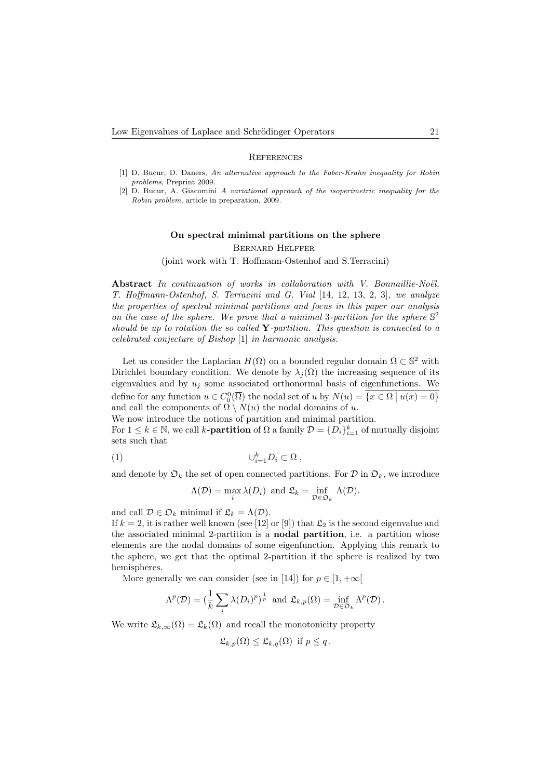#### **REFERENCES**

- [1] D. Bucur, D. Daners, An alternative approach to the Faber-Krahn inequality for Robin problems, Preprint 2009.
- [2] D. Bucur, A. Giacomini A variational approach of the isoperimetric inequality for the Robin problem, article in preparation, 2009.

# On spectral minimal partitions on the sphere Bernard Helffer

(joint work with T. Hoffmann-Ostenhof and S.Terracini)

Abstract In continuation of works in collaboration with V. Bonnaillie-Noël, T. Hoffmann-Ostenhof, S. Terracini and G. Vial [14, 12, 13, 2, 3], we analyze the properties of spectral minimal partitions and focus in this paper our analysis on the case of the sphere. We prove that a minimal 3-partition for the sphere  $\mathbb{S}^2$ should be up to rotation the so called  $Y$ -partition. This question is connected to a celebrated conjecture of Bishop [1] in harmonic analysis.

Let us consider the Laplacian  $H(\Omega)$  on a bounded regular domain  $\Omega \subset \mathbb{S}^2$  with Dirichlet boundary condition. We denote by  $\lambda_i(\Omega)$  the increasing sequence of its eigenvalues and by  $u_i$  some associated orthonormal basis of eigenfunctions. We define for any function  $u \in C_0^0(\overline{\Omega})$  the nodal set of u by  $N(u) = \{x \in \Omega \mid u(x) = 0\}$ and call the components of  $\Omega \setminus N(u)$  the nodal domains of u.

We now introduce the notions of partition and minimal partition.

For  $1 \leq k \in \mathbb{N}$ , we call k-**partition** of  $\Omega$  a family  $\mathcal{D} = \{D_i\}_{i=1}^k$  of mutually disjoint sets such that

$$
(1) \t\t\t U_{i=1}^k D_i \subset \Omega ,
$$

and denote by  $\mathfrak{O}_k$  the set of open connected partitions. For  $\mathcal{D}$  in  $\mathfrak{O}_k$ , we introduce

$$
\Lambda(\mathcal{D}) = \max_{i} \lambda(D_i) \text{ and } \mathfrak{L}_k = \inf_{\mathcal{D} \in \mathfrak{D}_k} \Lambda(\mathcal{D}).
$$

and call  $\mathcal{D} \in \mathfrak{D}_k$  minimal if  $\mathfrak{L}_k = \Lambda(\mathcal{D})$ .

If  $k = 2$ , it is rather well known (see [12] or [9]) that  $\mathfrak{L}_2$  is the second eigenvalue and the associated minimal 2-partition is a nodal partition, i.e. a partition whose elements are the nodal domains of some eigenfunction. Applying this remark to the sphere, we get that the optimal 2-partition if the sphere is realized by two hemispheres.

More generally we can consider (see in [14]) for  $p \in [1, +\infty[$ 

$$
\Lambda^{p}(\mathcal{D}) = (\frac{1}{k} \sum_{i} \lambda(D_{i})^{p})^{\frac{1}{p}} \text{ and } \mathfrak{L}_{k,p}(\Omega) = \inf_{\mathcal{D} \in \mathfrak{D}_{k}} \Lambda^{p}(\mathcal{D}).
$$

We write  $\mathfrak{L}_{k,\infty}(\Omega) = \mathfrak{L}_k(\Omega)$  and recall the monotonicity property

$$
\mathfrak{L}_{k,p}(\Omega) \leq \mathfrak{L}_{k,q}(\Omega) \text{ if } p \leq q.
$$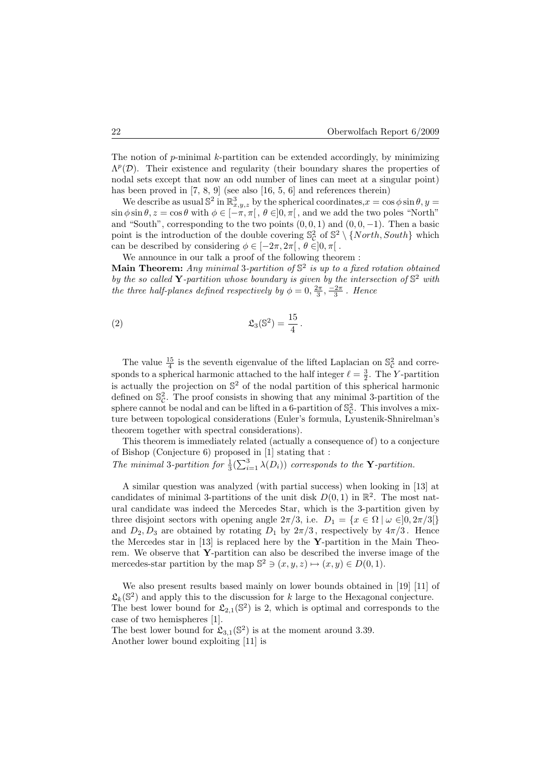The notion of  $p$ -minimal  $k$ -partition can be extended accordingly, by minimizing  $\Lambda^p(\mathcal{D})$ . Their existence and regularity (their boundary shares the properties of nodal sets except that now an odd number of lines can meet at a singular point) has been proved in [7, 8, 9] (see also [16, 5, 6] and references therein)

We describe as usual  $\mathbb{S}^2$  in  $\mathbb{R}^3_{x,y,z}$  by the spherical coordinates,  $x = \cos \phi \sin \theta$ ,  $y =$  $\sin \phi \sin \theta$ ,  $z = \cos \theta$  with  $\phi \in [-\pi, \pi], \theta \in ]0, \pi[$ , and we add the two poles "North" and "South", corresponding to the two points  $(0, 0, 1)$  and  $(0, 0, -1)$ . Then a basic point is the introduction of the double covering  $\mathbb{S}_{\mathcal{C}}^2$  of  $\mathbb{S}^2 \setminus \{North, South\}$  which can be described by considering  $\phi \in [-2\pi, 2\pi], \theta \in ]0, \pi[$ .

We announce in our talk a proof of the following theorem :

Main Theorem: Any minimal 3-partition of  $\mathbb{S}^2$  is up to a fixed rotation obtained by the so called Y-partition whose boundary is given by the intersection of  $\mathbb{S}^2$  with the three half-planes defined respectively by  $\phi = 0, \frac{2\pi}{3}, \frac{-2\pi}{3}$ . Hence

$$
\mathfrak{L}_3(\mathbb{S}^2) = \frac{15}{4}.
$$

The value  $\frac{15}{4}$  is the seventh eigenvalue of the lifted Laplacian on  $\mathbb{S}_{\mathcal{C}}^2$  and corresponds to a spherical harmonic attached to the half integer  $\ell = \frac{3}{2}$ . The Y-partition is actually the projection on  $\mathbb{S}^2$  of the nodal partition of this spherical harmonic defined on  $\mathbb{S}_{\mathcal{C}}^2$ . The proof consists in showing that any minimal 3-partition of the sphere cannot be nodal and can be lifted in a 6-partition of  $\mathbb{S}_{\mathcal{C}}^2$ . This involves a mixture between topological considerations (Euler's formula, Lyustenik-Shnirelman's theorem together with spectral considerations).

This theorem is immediately related (actually a consequence of) to a conjecture of Bishop (Conjecture 6) proposed in [1] stating that :

The minimal 3-partition for  $\frac{1}{3}(\sum_{i=1}^{3} \lambda(D_i))$  corresponds to the **Y**-partition.

A similar question was analyzed (with partial success) when looking in [13] at candidates of minimal 3-partitions of the unit disk  $D(0,1)$  in  $\mathbb{R}^2$ . The most natural candidate was indeed the Mercedes Star, which is the 3-partition given by three disjoint sectors with opening angle  $2\pi/3$ , i.e.  $D_1 = \{x \in \Omega \mid \omega \in ]0, 2\pi/3[\}$ and  $D_2, D_3$  are obtained by rotating  $D_1$  by  $2\pi/3$ , respectively by  $4\pi/3$ . Hence the Mercedes star in  $[13]$  is replaced here by the Y-partition in the Main Theorem. We observe that Y-partition can also be described the inverse image of the mercedes-star partition by the map  $\mathbb{S}^2 \ni (x, y, z) \mapsto (x, y) \in D(0, 1)$ .

We also present results based mainly on lower bounds obtained in [19] [11] of  $\mathfrak{L}_k(\mathbb{S}^2)$  and apply this to the discussion for k large to the Hexagonal conjecture. The best lower bound for  $\mathfrak{L}_{2,1}(\mathbb{S}^2)$  is 2, which is optimal and corresponds to the case of two hemispheres [1].

The best lower bound for  $\mathfrak{L}_{3,1}(\mathbb{S}^2)$  is at the moment around 3.39. Another lower bound exploiting [11] is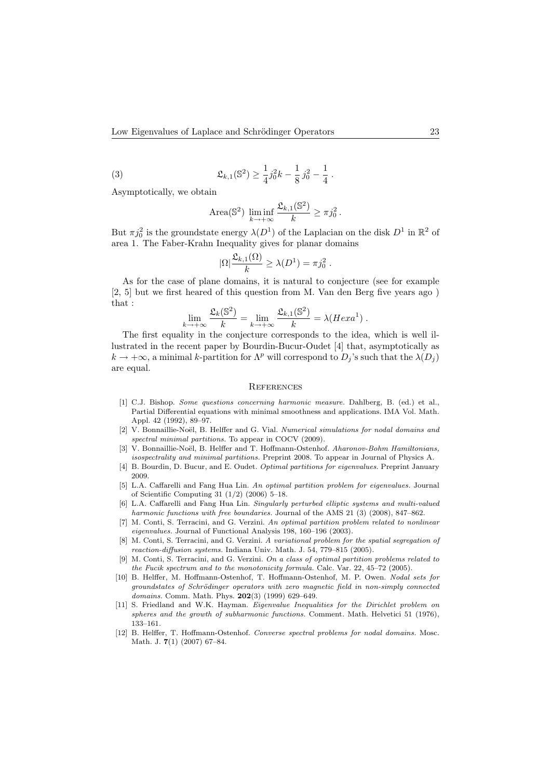(3) 
$$
\mathfrak{L}_{k,1}(\mathbb{S}^2) \geq \frac{1}{4}j_0^2k - \frac{1}{8}j_0^2 - \frac{1}{4}.
$$

Asymptotically, we obtain

Area(S<sup>2</sup>) 
$$
\liminf_{k \to +\infty} \frac{\mathfrak{L}_{k,1}(S^2)}{k} \geq \pi j_0^2
$$
.

But  $\pi j_0^2$  is the groundstate energy  $\lambda(D^1)$  of the Laplacian on the disk  $D^1$  in  $\mathbb{R}^2$  of area 1. The Faber-Krahn Inequality gives for planar domains

$$
|\Omega|\frac{\mathfrak{L}_{k,1}(\Omega)}{k} \geq \lambda(D^1) = \pi j_0^2.
$$

As for the case of plane domains, it is natural to conjecture (see for example [2, 5] but we first heared of this question from M. Van den Berg five years ago ) that :

$$
\lim_{k \to +\infty} \frac{\mathfrak{L}_k(\mathbb{S}^2)}{k} = \lim_{k \to +\infty} \frac{\mathfrak{L}_{k,1}(\mathbb{S}^2)}{k} = \lambda(Hexa^1) .
$$

The first equality in the conjecture corresponds to the idea, which is well illustrated in the recent paper by Bourdin-Bucur-Oudet [4] that, asymptotically as  $k \to +\infty$ , a minimal k-partition for  $\Lambda^p$  will correspond to  $D_j$ 's such that the  $\lambda(D_j)$ are equal.

### **REFERENCES**

- [1] C.J. Bishop. Some questions concerning harmonic measure. Dahlberg, B. (ed.) et al., Partial Differential equations with minimal smoothness and applications. IMA Vol. Math. Appl. 42 (1992), 89–97.
- [2] V. Bonnaillie-Noël, B. Helffer and G. Vial. Numerical simulations for nodal domains and spectral minimal partitions. To appear in COCV (2009).
- [3] V. Bonnaillie-Noël, B. Helffer and T. Hoffmann-Ostenhof. Aharonov-Bohm Hamiltonians, isospectrality and minimal partitions. Preprint 2008. To appear in Journal of Physics A.
- [4] B. Bourdin, D. Bucur, and E. Oudet. Optimal partitions for eigenvalues. Preprint January 2009.
- [5] L.A. Caffarelli and Fang Hua Lin. An optimal partition problem for eigenvalues. Journal of Scientific Computing 31 (1/2) (2006) 5–18.
- [6] L.A. Caffarelli and Fang Hua Lin. Singularly perturbed elliptic systems and multi-valued harmonic functions with free boundaries. Journal of the AMS 21 (3) (2008), 847–862.
- [7] M. Conti, S. Terracini, and G. Verzini. An optimal partition problem related to nonlinear eigenvalues. Journal of Functional Analysis 198, 160–196 (2003).
- [8] M. Conti, S. Terracini, and G. Verzini. A variational problem for the spatial segregation of reaction-diffusion systems. Indiana Univ. Math. J. 54, 779–815 (2005).
- [9] M. Conti, S. Terracini, and G. Verzini. On a class of optimal partition problems related to the Fucik spectrum and to the monotonicity formula. Calc. Var. 22, 45–72 (2005).
- [10] B. Helffer, M. Hoffmann-Ostenhof, T. Hoffmann-Ostenhof, M. P. Owen. Nodal sets for groundstates of Schrödinger operators with zero magnetic field in non-simply connected domains. Comm. Math. Phys. **202**(3) (1999) 629-649.
- [11] S. Friedland and W.K. Hayman. Eigenvalue Inequalities for the Dirichlet problem on spheres and the growth of subharmonic functions. Comment. Math. Helvetici 51 (1976), 133–161.
- [12] B. Helffer, T. Hoffmann-Ostenhof. Converse spectral problems for nodal domains. Mosc. Math. J. 7(1) (2007) 67–84.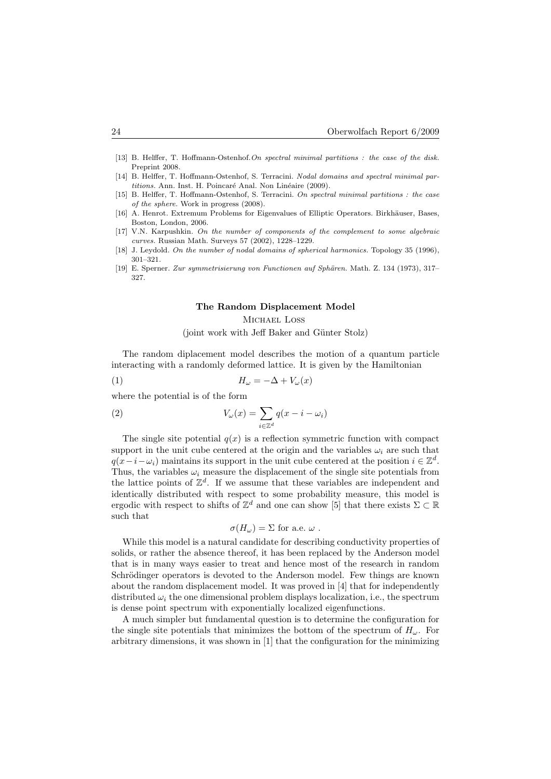- [13] B. Helffer, T. Hoffmann-Ostenhof. On spectral minimal partitions : the case of the disk. Preprint 2008.
- [14] B. Helffer, T. Hoffmann-Ostenhof, S. Terracini. Nodal domains and spectral minimal partitions. Ann. Inst. H. Poincaré Anal. Non Linéaire (2009).
- [15] B. Helffer, T. Hoffmann-Ostenhof, S. Terracini. On spectral minimal partitions : the case of the sphere. Work in progress (2008).
- [16] A. Henrot. Extremum Problems for Eigenvalues of Elliptic Operators. Birkhäuser, Bases, Boston, London, 2006.
- [17] V.N. Karpushkin. On the number of components of the complement to some algebraic curves. Russian Math. Surveys 57 (2002), 1228–1229.
- [18] J. Leydold. On the number of nodal domains of spherical harmonics. Topology 35 (1996), 301–321.
- [19] E. Sperner. Zur symmetrisierung von Functionen auf Sphären. Math. Z. 134 (1973), 317– 327.

### The Random Displacement Model

### Michael Loss

 $(ioint work with Jeff Baker and Günter Stolz)$ 

The random diplacement model describes the motion of a quantum particle interacting with a randomly deformed lattice. It is given by the Hamiltonian

$$
(1) \t\t\t H_{\omega} = -\Delta + V_{\omega}(x)
$$

where the potential is of the form

(2) 
$$
V_{\omega}(x) = \sum_{i \in \mathbb{Z}^d} q(x - i - \omega_i)
$$

The single site potential  $q(x)$  is a reflection symmetric function with compact support in the unit cube centered at the origin and the variables  $\omega_i$  are such that  $q(x-i-\omega_i)$  maintains its support in the unit cube centered at the position  $i \in \mathbb{Z}^d$ . Thus, the variables  $\omega_i$  measure the displacement of the single site potentials from the lattice points of  $\mathbb{Z}^d$ . If we assume that these variables are independent and identically distributed with respect to some probability measure, this model is ergodic with respect to shifts of  $\mathbb{Z}^d$  and one can show [5] that there exists  $\Sigma \subset \mathbb{R}$ such that

$$
\sigma(H_{\omega}) = \Sigma \text{ for a.e. } \omega .
$$

While this model is a natural candidate for describing conductivity properties of solids, or rather the absence thereof, it has been replaced by the Anderson model that is in many ways easier to treat and hence most of the research in random Schrödinger operators is devoted to the Anderson model. Few things are known about the random displacement model. It was proved in [4] that for independently distributed  $\omega_i$ , the one dimensional problem displays localization, i.e., the spectrum is dense point spectrum with exponentially localized eigenfunctions.

A much simpler but fundamental question is to determine the configuration for the single site potentials that minimizes the bottom of the spectrum of  $H_{\omega}$ . For arbitrary dimensions, it was shown in [1] that the configuration for the minimizing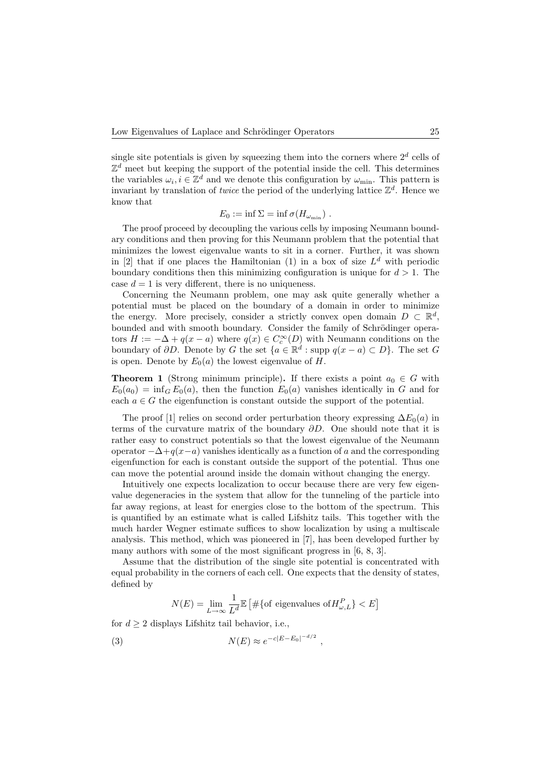single site potentials is given by squeezing them into the corners where  $2<sup>d</sup>$  cells of  $\mathbb{Z}^d$  meet but keeping the support of the potential inside the cell. This determines the variables  $\omega_i, i \in \mathbb{Z}^d$  and we denote this configuration by  $\omega_{\min}$ . This pattern is invariant by translation of *twice* the period of the underlying lattice  $\mathbb{Z}^d$ . Hence we know that

$$
E_0 := \inf \Sigma = \inf \sigma(H_{\omega_{\min}}) .
$$

The proof proceed by decoupling the various cells by imposing Neumann boundary conditions and then proving for this Neumann problem that the potential that minimizes the lowest eigenvalue wants to sit in a corner. Further, it was shown in [2] that if one places the Hamiltonian (1) in a box of size  $L^d$  with periodic boundary conditions then this minimizing configuration is unique for  $d > 1$ . The case  $d = 1$  is very different, there is no uniqueness.

Concerning the Neumann problem, one may ask quite generally whether a potential must be placed on the boundary of a domain in order to minimize the energy. More precisely, consider a strictly convex open domain  $D \subset \mathbb{R}^d$ , bounded and with smooth boundary. Consider the family of Schrödinger operators  $H := -\Delta + q(x - a)$  where  $q(x) \in C_c^{\infty}(D)$  with Neumann conditions on the boundary of  $\partial D$ . Denote by G the set  $\{a \in \mathbb{R}^d : \text{supp } q(x-a) \subset D\}$ . The set G is open. Denote by  $E_0(a)$  the lowest eigenvalue of H.

**Theorem 1** (Strong minimum principle). If there exists a point  $a_0 \in G$  with  $E_0(a_0) = \inf_G E_0(a)$ , then the function  $E_0(a)$  vanishes identically in G and for each  $a \in G$  the eigenfunction is constant outside the support of the potential.

The proof [1] relies on second order perturbation theory expressing  $\Delta E_0(a)$  in terms of the curvature matrix of the boundary  $\partial D$ . One should note that it is rather easy to construct potentials so that the lowest eigenvalue of the Neumann operator  $-\Delta+q(x-a)$  vanishes identically as a function of a and the corresponding eigenfunction for each is constant outside the support of the potential. Thus one can move the potential around inside the domain without changing the energy.

Intuitively one expects localization to occur because there are very few eigenvalue degeneracies in the system that allow for the tunneling of the particle into far away regions, at least for energies close to the bottom of the spectrum. This is quantified by an estimate what is called Lifshitz tails. This together with the much harder Wegner estimate suffices to show localization by using a multiscale analysis. This method, which was pioneered in [7], has been developed further by many authors with some of the most significant progress in [6, 8, 3].

Assume that the distribution of the single site potential is concentrated with equal probability in the corners of each cell. One expects that the density of states, defined by

$$
N(E) = \lim_{L \to \infty} \frac{1}{L^d} \mathbb{E} \left[ \# \{ \text{of eigenvalues of } H_{\omega, L}^P \} < E \right]
$$

,

for  $d > 2$  displays Lifshitz tail behavior, i.e.,

$$
N(E) \approx e^{-c|E - E_0|^{-d/2}}
$$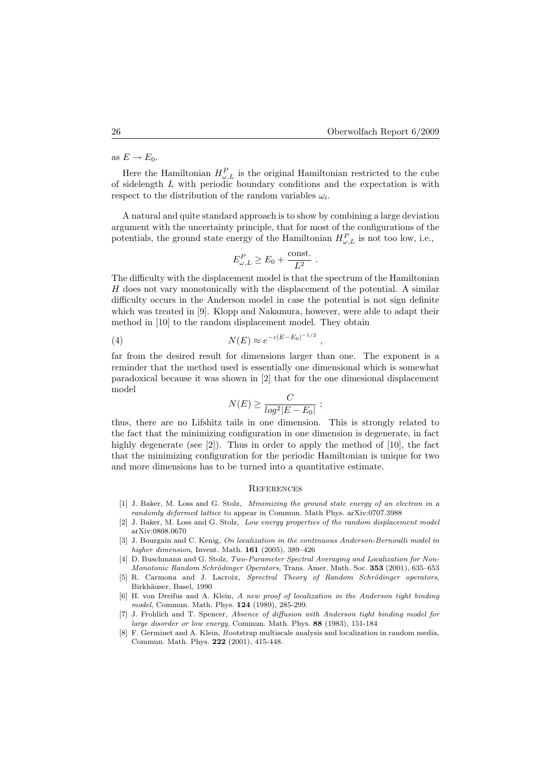as  $E \to E_0$ .

Here the Hamiltonian  $H_{\omega,L}^P$  is the original Hamiltonian restricted to the cube of sidelength L with periodic boundary conditions and the expectation is with respect to the distribution of the random variables  $\omega_i$ .

A natural and quite standard approach is to show by combining a large deviation argument with the uncertainty principle, that for most of the configurations of the potentials, the ground state energy of the Hamiltonian  $H_{\omega,L}^P$  is not too low, i.e.,

$$
E_{\omega,L}^P \ge E_0 + \frac{\text{const.}}{L^2} \; .
$$

The difficulty with the displacement model is that the spectrum of the Hamiltonian H does not vary monotonically with the displacement of the potential. A similar difficulty occurs in the Anderson model in case the potential is not sign definite which was treated in [9]. Klopp and Nakamura, however, were able to adapt their method in [10] to the random displacement model. They obtain

(4) 
$$
N(E) \approx e^{-c|E - E_0|^{-1/2}},
$$

far from the desired result for dimensions larger than one. The exponent is a reminder that the method used is essentially one dimensional which is somewhat paradoxical because it was shown in [2] that for the one dimesional displacement model

$$
N(E) \ge \frac{C}{log^2|E - E_0|} ;
$$

thus, there are no Lifshitz tails in one dimension. This is strongly related to the fact that the minimizing configuration in one dimension is degenerate, in fact highly degenerate (see [2]). Thus in order to apply the method of [10], the fact that the minimizing configuration for the periodic Hamiltonian is unique for two and more dimensions has to be turned into a quantitative estimate.

#### **REFERENCES**

- [1] J. Baker, M. Loss and G. Stolz, Minimizing the ground state energy of an electron in a randomly deformed lattice to appear in Commun. Math Phys. arXiv:0707.3988
- [2] J. Baker, M. Loss and G. Stolz, Low energy properties of the random displacement model arXiv:0808.0670
- [3] J. Bourgain and C. Kenig, On localization in the continuous Anderson-Bernoulli model in higher dimension, Invent. Math. 161 (2005), 389–426
- [4] D. Buschmann and G. Stolz, Two-Parameter Spectral Averaging and Localization for Non-Monotonic Random Schrödinger Operators, Trans. Amer. Math. Soc. 353 (2001), 635–653
- [5] R. Carmona and J. Lacroix, Sprectral Theory of Random Schrödinger operators, Birkhäuser, Basel, 1990
- [6] H. von Dreifus and A. Klein, A new proof of localization in the Anderson tight binding model, Commun. Math. Phys. 124 (1989), 285-299.
- [7] J. Frohlich and T. Spencer, Absence of diffusion with Anderson tight binding model for large disorder or low energy, Commun. Math. Phys. 88 (1983), 151-184
- [8] F. Germinet and A. Klein, Bootstrap multiscale analysis and localization in random media, Commun. Math. Phys. 222 (2001), 415-448.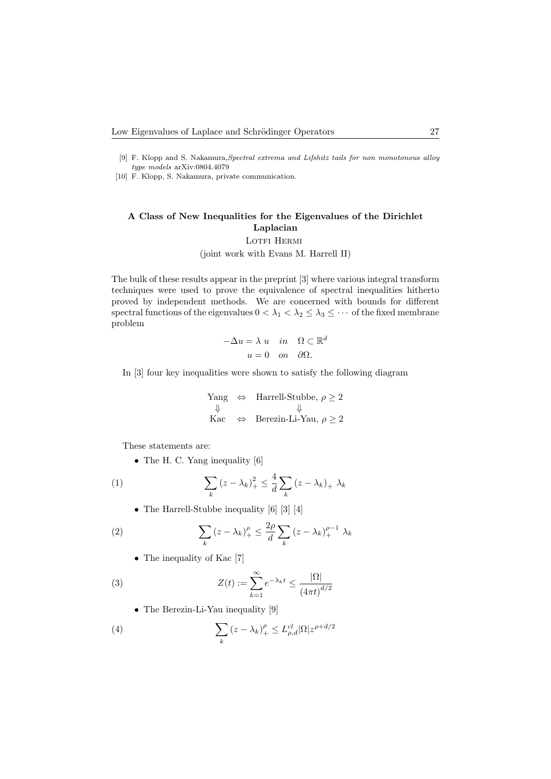- [9] F. Klopp and S. Nakamura,Spectral extrema and Lifshitz tails for non monotonous alloy  $type\ models$ arXiv:0804.4079
- [10] F. Klopp, S. Nakamura, private communication.

# A Class of New Inequalities for the Eigenvalues of the Dirichlet Laplacian LOTFI HERMI

(joint work with Evans M. Harrell II)

The bulk of these results appear in the preprint [3] where various integral transform techniques were used to prove the equivalence of spectral inequalities hitherto proved by independent methods. We are concerned with bounds for different spectral functions of the eigenvalues  $0 < \lambda_1 < \lambda_2 \leq \lambda_3 \leq \cdots$  of the fixed membrane problem

$$
-\Delta u = \lambda u \quad in \quad \Omega \subset \mathbb{R}^d
$$

$$
u = 0 \quad on \quad \partial\Omega.
$$

In [3] four key inequalities were shown to satisfy the following diagram

$$
Yang ⇒ Harrell-Stubble, ρ ≥ 2\n↓ ↓\nKac ⇒ Berezin-Li-Yau, ρ ≥ 2
$$

These statements are:

• The H. C. Yang inequality [6]

(1) 
$$
\sum_{k} (z - \lambda_{k})_{+}^{2} \leq \frac{4}{d} \sum_{k} (z - \lambda_{k})_{+} \lambda_{k}
$$

• The Harrell-Stubbe inequality [6] [3] [4]

(2) 
$$
\sum_{k} (z - \lambda_k)_+^{\rho} \leq \frac{2\rho}{d} \sum_{k} (z - \lambda_k)_+^{\rho - 1} \lambda_k
$$

• The inequality of Kac [7]

(3) 
$$
Z(t) := \sum_{k=1}^{\infty} e^{-\lambda_k t} \le \frac{|\Omega|}{\left(4\pi t\right)^{d/2}}
$$

• The Berezin-Li-Yau inequality [9]

(4) 
$$
\sum_{k} (z - \lambda_k)_+^{\rho} \leq L_{\rho,d}^{cl} |\Omega| z^{\rho + d/2}
$$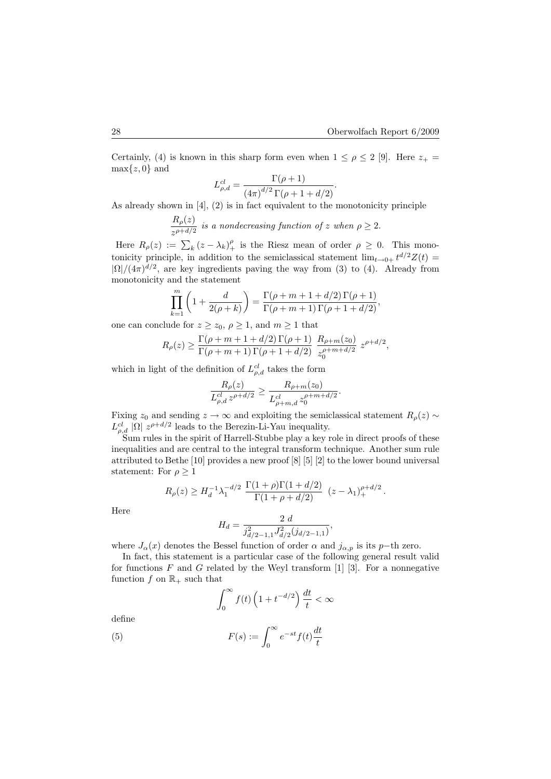Certainly, (4) is known in this sharp form even when  $1 \leq \rho \leq 2$  [9]. Here  $z_{+} =$  $\max\{z, 0\}$  and

$$
L_{\rho,d}^{cl} = \frac{\Gamma(\rho + 1)}{(4\pi)^{d/2} \Gamma(\rho + 1 + d/2)}.
$$

As already shown in [4], (2) is in fact equivalent to the monotonicity principle

 $R_\rho(z)$  $\frac{1-\rho_1(x)}{z^{\rho+d/2}}$  is a nondecreasing function of z when  $\rho \geq 2$ .

Here  $R_{\rho}(z) := \sum_{k} (z - \lambda_k)_{+}^{\rho}$  is the Riesz mean of order  $\rho \geq 0$ . This monotonicity principle, in addition to the semiclassical statement  $\lim_{t\to 0+} t^{d/2}Z(t) =$  $|\Omega|/(4\pi)^{d/2}$ , are key ingredients paving the way from (3) to (4). Already from monotonicity and the statement

$$
\prod_{k=1}^{m} \left( 1 + \frac{d}{2(\rho + k)} \right) = \frac{\Gamma(\rho + m + 1 + d/2) \Gamma(\rho + 1)}{\Gamma(\rho + m + 1) \Gamma(\rho + 1 + d/2)},
$$

one can conclude for  $z \ge z_0$ ,  $\rho \ge 1$ , and  $m \ge 1$  that

$$
R_{\rho}(z) \ge \frac{\Gamma(\rho+m+1+d/2)\Gamma(\rho+1)}{\Gamma(\rho+m+1)\Gamma(\rho+1+d/2)} \frac{R_{\rho+m}(z_0)}{z_0^{\rho+m+d/2}} z^{\rho+d/2},
$$

which in light of the definition of  $L_{\rho,d}^{cl}$  takes the form

$$
\frac{R_{\rho}(z)}{L_{\rho,d}^{cl} z^{\rho+d/2}} \ge \frac{R_{\rho+m}(z_0)}{L_{\rho+m,d}^{cl} z_0^{\rho+m+d/2}}.
$$

Fixing  $z_0$  and sending  $z \to \infty$  and exploiting the semiclassical statement  $R_\rho(z) \sim$  $L_{\rho,d}^{cl} |\Omega| z^{\rho+d/2}$  leads to the Berezin-Li-Yau inequality.

Sum rules in the spirit of Harrell-Stubbe play a key role in direct proofs of these inequalities and are central to the integral transform technique. Another sum rule attributed to Bethe [10] provides a new proof [8] [5] [2] to the lower bound universal statement: For  $\rho \geq 1$ 

$$
R_{\rho}(z) \ge H_d^{-1} \lambda_1^{-d/2} \frac{\Gamma(1+\rho)\Gamma(1+d/2)}{\Gamma(1+\rho+d/2)} (z-\lambda_1)_+^{\rho+d/2}.
$$

Here

$$
H_d = \frac{2 d}{j_{d/2-1,1}^2 J_{d/2}^2 (j_{d/2-1,1})},
$$

where  $J_{\alpha}(x)$  denotes the Bessel function of order  $\alpha$  and  $j_{\alpha,p}$  is its p−th zero.

In fact, this statement is a particular case of the following general result valid for functions F and G related by the Weyl transform  $[1]$  [3]. For a nonnegative function f on  $\mathbb{R}_+$  such that

$$
\int_0^\infty f(t)\left(1+t^{-d/2}\right)\frac{dt}{t} < \infty
$$

define

(5) 
$$
F(s) := \int_0^\infty e^{-st} f(t) \frac{dt}{t}
$$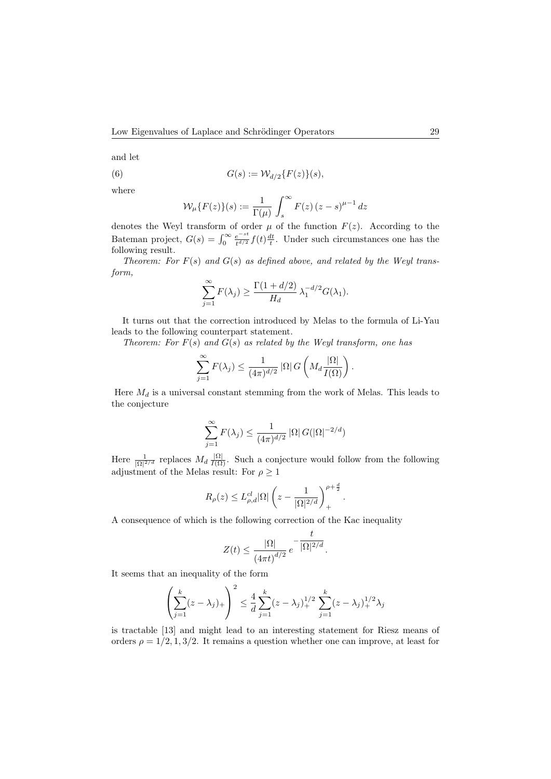and let

(6) 
$$
G(s) := \mathcal{W}_{d/2}\{F(z)\}(s),
$$

where

$$
\mathcal{W}_{\mu}\lbrace F(z)\rbrace(s) := \frac{1}{\Gamma(\mu)} \int_{s}^{\infty} F(z) (z - s)^{\mu - 1} dz
$$

denotes the Weyl transform of order  $\mu$  of the function  $F(z)$ . According to the Bateman project,  $G(s) = \int_0^\infty \frac{e^{-st}}{t^{d/2}}$  $\frac{e^{-st}}{t^{d/2}}f(t)\frac{dt}{t}$ . Under such circumstances one has the following result.

Theorem: For  $F(s)$  and  $G(s)$  as defined above, and related by the Weyl transform,

$$
\sum_{j=1}^{\infty} F(\lambda_j) \ge \frac{\Gamma(1 + d/2)}{H_d} \lambda_1^{-d/2} G(\lambda_1).
$$

It turns out that the correction introduced by Melas to the formula of Li-Yau leads to the following counterpart statement.

Theorem: For  $F(s)$  and  $G(s)$  as related by the Weyl transform, one has

$$
\sum_{j=1}^{\infty} F(\lambda_j) \le \frac{1}{(4\pi)^{d/2}} |\Omega| G\left(M_d \frac{|\Omega|}{I(\Omega)}\right).
$$

Here  $M_d$  is a universal constant stemming from the work of Melas. This leads to the conjecture

$$
\sum_{j=1}^{\infty} F(\lambda_j) \le \frac{1}{(4\pi)^{d/2}} |\Omega| G(|\Omega|^{-2/d})
$$

Here  $\frac{1}{|\Omega|^{2/d}}$  replaces  $M_d \frac{|\Omega|}{I(\Omega)}$ . Such a conjecture would follow from the following adjustment of the Melas result: For  $\rho \geq 1$ 

$$
R_{\rho}(z) \leq L_{\rho,d}^{cl} |\Omega| \left(z - \frac{1}{|\Omega|^{2/d}}\right)_+^{\rho + \frac{d}{2}}.
$$

A consequence of which is the following correction of the Kac inequality

$$
Z(t) \le \frac{|\Omega|}{(4\pi t)^{d/2}} e^{-\frac{t}{|\Omega|^{2/d}}}.
$$

It seems that an inequality of the form

$$
\left(\sum_{j=1}^{k} (z - \lambda_j)_+\right)^2 \le \frac{4}{d} \sum_{j=1}^{k} (z - \lambda_j)_+^{1/2} \sum_{j=1}^{k} (z - \lambda_j)_+^{1/2} \lambda_j
$$

is tractable [13] and might lead to an interesting statement for Riesz means of orders  $\rho = 1/2, 1, 3/2$ . It remains a question whether one can improve, at least for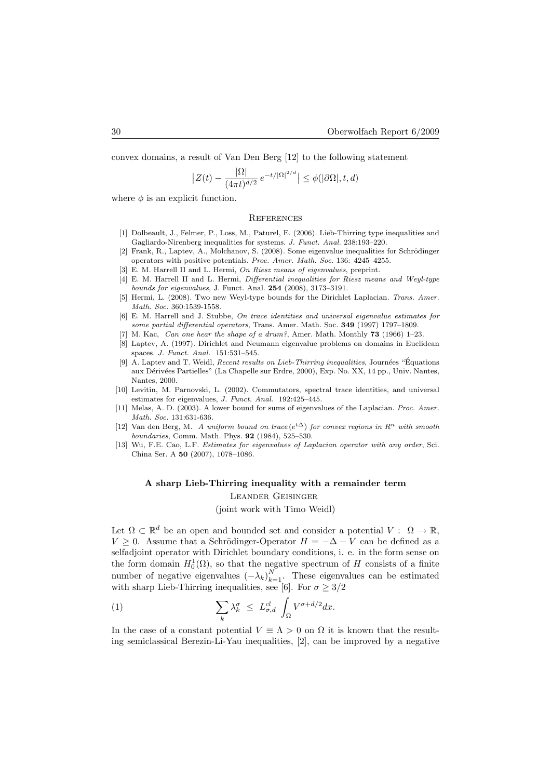convex domains, a result of Van Den Berg [12] to the following statement

$$
\left| Z(t) - \frac{|\Omega|}{(4\pi t)^{d/2}} e^{-t/|\Omega|^{2/d}} \right| \le \phi(|\partial \Omega|, t, d)
$$

where  $\phi$  is an explicit function.

### **REFERENCES**

- [1] Dolbeault, J., Felmer, P., Loss, M., Paturel, E. (2006). Lieb-Thirring type inequalities and Gagliardo-Nirenberg inequalities for systems. J. Funct. Anal. 238:193–220.
- [2] Frank, R., Laptev, A., Molchanov, S. (2008). Some eigenvalue inequalities for Schrödinger operators with positive potentials. Proc. Amer. Math. Soc. 136: 4245–4255.
- E. M. Harrell II and L. Hermi, On Riesz means of eigenvalues, preprint.
- [4] E. M. Harrell II and L. Hermi, Differential inequalities for Riesz means and Weyl-type bounds for eigenvalues, J. Funct. Anal. 254 (2008), 3173–3191.
- [5] Hermi, L. (2008). Two new Weyl-type bounds for the Dirichlet Laplacian. Trans. Amer. Math. Soc. 360:1539-1558.
- [6] E. M. Harrell and J. Stubbe, On trace identities and universal eigenvalue estimates for some partial differential operators, Trans. Amer. Math. Soc. 349 (1997) 1797–1809.
- [7] M. Kac, Can one hear the shape of a drum?, Amer. Math. Monthly  $73$  (1966) 1-23.
- [8] Laptev, A. (1997). Dirichlet and Neumann eigenvalue problems on domains in Euclidean spaces. J. Funct. Anal. 151:531–545.
- [9] A. Laptev and T. Weidl, *Recent results on Lieb-Thirring inequalities*, Journées "Équations aux Dérivées Partielles" (La Chapelle sur Erdre, 2000), Exp. No. XX, 14 pp., Univ. Nantes, Nantes, 2000.
- [10] Levitin, M. Parnovski, L. (2002). Commutators, spectral trace identities, and universal estimates for eigenvalues, J. Funct. Anal. 192:425-445.
- [11] Melas, A. D. (2003). A lower bound for sums of eigenvalues of the Laplacian. Proc. Amer. Math. Soc. 131:631-636.
- [12] Van den Berg, M. A uniform bound on trace  $(e^{t\Delta})$  for convex regions in  $R^n$  with smooth boundaries, Comm. Math. Phys. 92 (1984), 525–530.
- [13] Wu, F.E. Cao, L.F. Estimates for eigenvalues of Laplacian operator with any order, Sci. China Ser. A 50 (2007), 1078–1086.

### A sharp Lieb-Thirring inequality with a remainder term

Leander Geisinger

(joint work with Timo Weidl)

Let  $\Omega \subset \mathbb{R}^d$  be an open and bounded set and consider a potential  $V: \Omega \to \mathbb{R}$ ,  $V \geq 0$ . Assume that a Schrödinger-Operator  $H = -\Delta - V$  can be defined as a selfadjoint operator with Dirichlet boundary conditions, i. e. in the form sense on the form domain  $H_0^1(\Omega)$ , so that the negative spectrum of H consists of a finite number of negative eigenvalues  $(-\lambda_k)_{k=1}^N$ . These eigenvalues can be estimated with sharp Lieb-Thirring inequalities, see [6]. For  $\sigma \geq 3/2$ 

(1) 
$$
\sum_{k} \lambda_k^{\sigma} \leq L_{\sigma,d}^{cl} \int_{\Omega} V^{\sigma+d/2} dx.
$$

In the case of a constant potential  $V \equiv \Lambda > 0$  on  $\Omega$  it is known that the resulting semiclassical Berezin-Li-Yau inequalities, [2], can be improved by a negative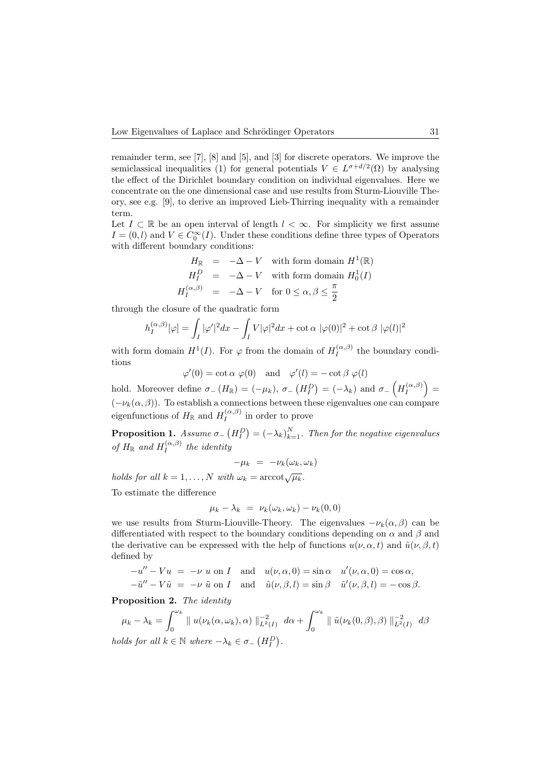remainder term, see [7], [8] and [5], and [3] for discrete operators. We improve the semiclassical inequalities (1) for general potentials  $V \in L^{\sigma+d/2}(\Omega)$  by analysing the effect of the Dirichlet boundary condition on individual eigenvalues. Here we concentrate on the one dimensional case and use results from Sturm-Liouville Theory, see e.g. [9], to derive an improved Lieb-Thirring inequality with a remainder term.

Let  $I \subset \mathbb{R}$  be an open interval of length  $l < \infty$ . For simplicity we first assume  $I = (0, l)$  and  $V \in C_0^{\infty}(I)$ . Under these conditions define three types of Operators with different boundary conditions:

$$
H_{\mathbb{R}} = -\Delta - V \quad \text{with form domain } H^{1}(\mathbb{R})
$$
  
\n
$$
H_{I}^{D} = -\Delta - V \quad \text{with form domain } H_{0}^{1}(I)
$$
  
\n
$$
H_{I}^{(\alpha,\beta)} = -\Delta - V \quad \text{for } 0 \le \alpha, \beta \le \frac{\pi}{2}
$$

through the closure of the quadratic form

$$
h_I^{(\alpha,\beta)}[\varphi] = \int_I |\varphi'|^2 dx - \int_I V|\varphi|^2 dx + \cot \alpha |\varphi(0)|^2 + \cot \beta |\varphi(l)|^2
$$

with form domain  $H^1(I)$ . For  $\varphi$  from the domain of  $H_I^{(\alpha,\beta)}$  $I_I^{(\alpha,\beta)}$  the boundary conditions

 $\varphi'(0) = \cot \alpha \varphi(0)$  and  $\varphi'(l) = -\cot \beta \varphi(l)$ 

hold. Moreover define  $\sigma_{-}(H_{\mathbb{R}}) = (-\mu_{k}), \sigma_{-}(H_{I}^{D}) = (-\lambda_{k})$  and  $\sigma_{-}(H_{I}^{(\alpha,\beta)})$  $\left(\begin{smallmatrix} \alpha,\beta\end{smallmatrix}\right) =$  $(-\nu_k(\alpha, \beta))$ . To establish a connections between these eigenvalues one can compare eigenfunctions of  $H_{\mathbb{R}}$  and  $H_I^{(\alpha,\beta)}$  $I_I^{(\alpha,\rho)}$  in order to prove

**Proposition 1.** Assume  $\sigma$   $(H_I^D) = (-\lambda_k)_{k=1}^N$ . Then for the negative eigenvalues of  $H_{\mathbb{R}}$  and  $H_I^{(\alpha,\beta)}$  $\prod_{I}^{(\alpha,\beta)}$  the identity

$$
-\mu_k = -\nu_k(\omega_k, \omega_k)
$$

holds for all  $k = 1, ..., N$  with  $\omega_k = \operatorname{arccot}\sqrt{\mu_k}$ .

To estimate the difference

$$
\mu_k - \lambda_k = \nu_k(\omega_k, \omega_k) - \nu_k(0, 0)
$$

we use results from Sturm-Liouville-Theory. The eigenvalues  $-\nu_k(\alpha, \beta)$  can be differentiated with respect to the boundary conditions depending on  $\alpha$  and  $\beta$  and the derivative can be expressed with the help of functions  $u(\nu, \alpha, t)$  and  $\tilde{u}(\nu, \beta, t)$ defined by

$$
-u'' - Vu = -\nu \text{ u on } I \text{ and } u(\nu, \alpha, 0) = \sin \alpha \quad u'(\nu, \alpha, 0) = \cos \alpha,
$$

 $-\tilde{u}'' - V\tilde{u} = -\nu \tilde{u}$  on I and  $\tilde{u}(\nu, \beta, l) = \sin \beta \tilde{u}'(\nu, \beta, l) = -\cos \beta$ .

Proposition 2. The identity

$$
\mu_k - \lambda_k = \int_0^{\omega_k} || u(\nu_k(\alpha, \omega_k), \alpha) ||_{L^2(I)}^{-2} d\alpha + \int_0^{\omega_k} || \tilde{u}(\nu_k(0, \beta), \beta) ||_{L^2(I)}^{-2} d\beta
$$
  
holds for all  $k \in \mathbb{N}$  where  $-\lambda_k \in \sigma_{-}(H_I^D)$ .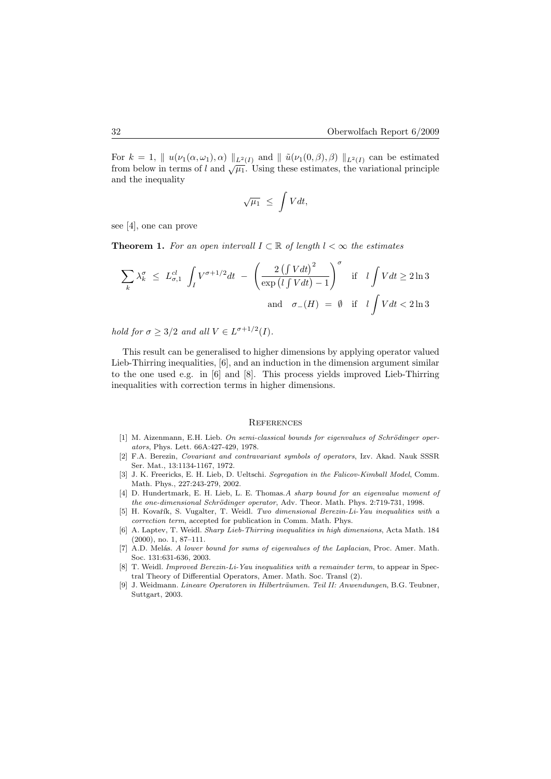For  $k = 1$ ,  $\| u(\nu_1(\alpha, \omega_1), \alpha) \|_{L^2(I)}$  and  $\| \tilde{u}(\nu_1(0, \beta), \beta) \|_{L^2(I)}$  can be estimated from below in terms of l and  $\sqrt{\mu_1}$ . Using these estimates, the variational principle and the inequality

$$
\sqrt{\mu_1} \leq \int V dt,
$$

see [4], one can prove

**Theorem 1.** For an open intervall  $I \subset \mathbb{R}$  of length  $l < \infty$  the estimates

$$
\sum_{k} \lambda_k^{\sigma} \le L_{\sigma,1}^{cl} \int_I V^{\sigma+1/2} dt - \left(\frac{2\left(\int V dt\right)^2}{\exp\left(l \int V dt\right) - 1}\right)^{\sigma} \quad \text{if} \quad l \int V dt \ge 2 \ln 3
$$
  
and  $\sigma_{-}(H) = \emptyset$  if  $l \int V dt < 2 \ln 3$ 

hold for  $\sigma \geq 3/2$  and all  $V \in L^{\sigma+1/2}(I)$ .

This result can be generalised to higher dimensions by applying operator valued Lieb-Thirring inequalities, [6], and an induction in the dimension argument similar to the one used e.g. in [6] and [8]. This process yields improved Lieb-Thirring inequalities with correction terms in higher dimensions.

#### **REFERENCES**

- $[1]$  M. Aizenmann, E.H. Lieb. On semi-classical bounds for eigenvalues of Schrödinger operators, Phys. Lett. 66A:427-429, 1978.
- [2] F.A. Berezin, Covariant and contravariant symbols of operators, Izv. Akad. Nauk SSSR Ser. Mat., 13:1134-1167, 1972.
- [3] J. K. Freericks, E. H. Lieb, D. Ueltschi. Segregation in the Falicov-Kimball Model, Comm. Math. Phys., 227:243-279, 2002.
- [4] D. Hundertmark, E. H. Lieb, L. E. Thomas. A sharp bound for an eigenvalue moment of the one-dimensional Schrödinger operator, Adv. Theor. Math. Phys. 2:719-731, 1998.
- [5] H. Kovařík, S. Vugalter, T. Weidl. Two dimensional Berezin-Li-Yau inequalities with a correction term, accepted for publication in Comm. Math. Phys.
- [6] A. Laptev, T. Weidl. Sharp Lieb-Thirring inequalities in high dimensions, Acta Math. 184 (2000), no. 1, 87–111.
- [7] A.D. Melás. A lower bound for sums of eigenvalues of the Laplacian, Proc. Amer. Math. Soc. 131:631-636, 2003.
- [8] T. Weidl. Improved Berezin-Li-Yau inequalities with a remainder term, to appear in Spectral Theory of Differential Operators, Amer. Math. Soc. Transl (2).
- [9] J. Weidmann. Lineare Operatoren in Hilberträumen. Teil II: Anwendungen, B.G. Teubner, Suttgart, 2003.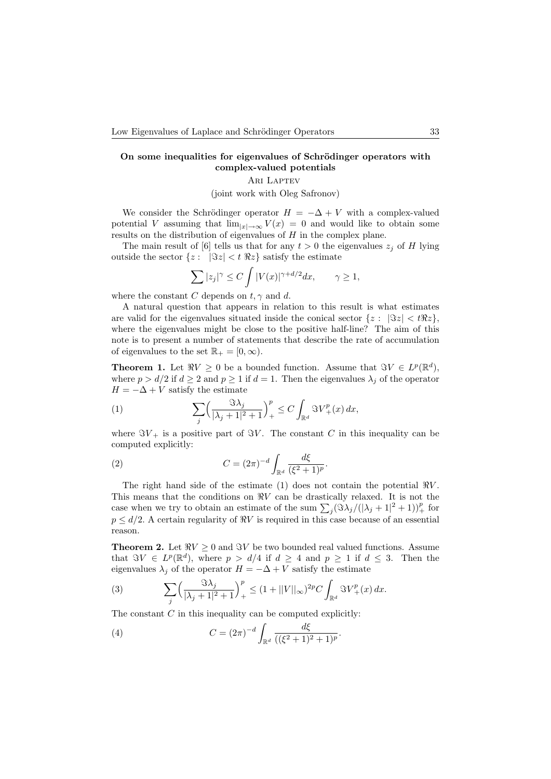# On some inequalities for eigenvalues of Schrödinger operators with complex-valued potentials

# ARI LAPTEV

(joint work with Oleg Safronov)

We consider the Schrödinger operator  $H = -\Delta + V$  with a complex-valued potential V assuming that  $\lim_{|x|\to\infty} V(x) = 0$  and would like to obtain some results on the distribution of eigenvalues of  $H$  in the complex plane.

The main result of [6] tells us that for any  $t > 0$  the eigenvalues  $z_i$  of H lying outside the sector  $\{z: |\Im z| < t \Re z\}$  satisfy the estimate

$$
\sum |z_j|^\gamma \le C \int |V(x)|^{\gamma + d/2} dx, \qquad \gamma \ge 1,
$$

where the constant C depends on  $t, \gamma$  and d.

A natural question that appears in relation to this result is what estimates are valid for the eigenvalues situated inside the conical sector  $\{z: |\Im z| < t \Re z\}$ , where the eigenvalues might be close to the positive half-line? The aim of this note is to present a number of statements that describe the rate of accumulation of eigenvalues to the set  $\mathbb{R}_+ = [0, \infty)$ .

**Theorem 1.** Let  $\Re V \ge 0$  be a bounded function. Assume that  $\Im V \in L^p(\mathbb{R}^d)$ , where  $p > d/2$  if  $d \ge 2$  and  $p \ge 1$  if  $d = 1$ . Then the eigenvalues  $\lambda_i$  of the operator  $H = -\Delta + V$  satisfy the estimate

(1) 
$$
\sum_{j} \left( \frac{\Im \lambda_j}{|\lambda_j + 1|^2 + 1} \right)_+^p \leq C \int_{\mathbb{R}^d} \Im V_+^p(x) dx,
$$

where  $\Im V_+$  is a positive part of  $\Im V$ . The constant C in this inequality can be computed explicitly:

(2) 
$$
C = (2\pi)^{-d} \int_{\mathbb{R}^d} \frac{d\xi}{(\xi^2 + 1)^p}.
$$

The right hand side of the estimate (1) does not contain the potential  $\Re V$ . This means that the conditions on  $\Re V$  can be drastically relaxed. It is not the case when we try to obtain an estimate of the sum  $\sum_j (\Im \lambda_j/(|\lambda_j + 1|^2 + 1))^p_+$  for  $p \leq d/2$ . A certain regularity of  $\Re V$  is required in this case because of an essential reason.

**Theorem 2.** Let  $\Re V \geq 0$  and  $\Im V$  be two bounded real valued functions. Assume that  $\Im V \in L^p(\mathbb{R}^d)$ , where  $p > d/4$  if  $d \geq 4$  and  $p \geq 1$  if  $d \leq 3$ . Then the eigenvalues  $\lambda_j$  of the operator  $H = -\Delta + V$  satisfy the estimate

(3) 
$$
\sum_{j} \left( \frac{\Im \lambda_j}{|\lambda_j + 1|^2 + 1} \right)^p_+ \leq (1 + ||V||_{\infty})^{2p} C \int_{\mathbb{R}^d} \Im V_+^p(x) dx.
$$

The constant  $C$  in this inequality can be computed explicitly:

(4) 
$$
C = (2\pi)^{-d} \int_{\mathbb{R}^d} \frac{d\xi}{((\xi^2 + 1)^2 + 1)^p}.
$$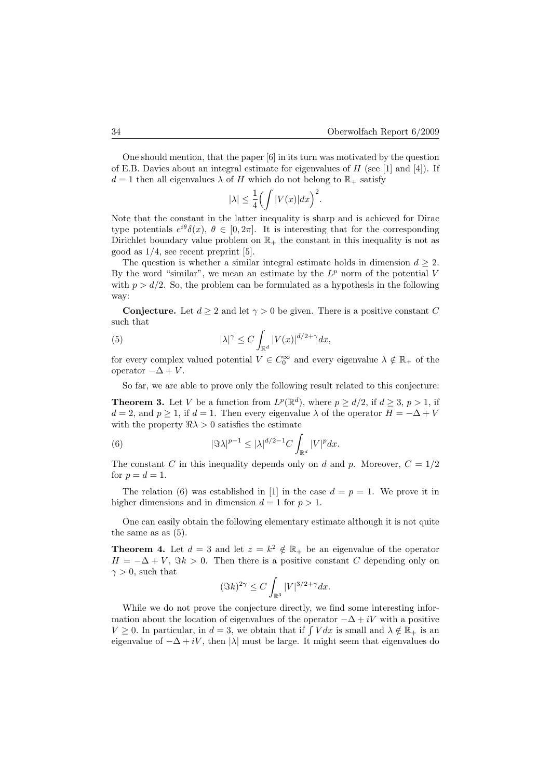One should mention, that the paper [6] in its turn was motivated by the question of E.B. Davies about an integral estimate for eigenvalues of  $H$  (see [1] and [4]). If  $d = 1$  then all eigenvalues  $\lambda$  of H which do not belong to  $\mathbb{R}_+$  satisfy

$$
|\lambda| \le \frac{1}{4} \Big( \int |V(x)| dx \Big)^2.
$$

Note that the constant in the latter inequality is sharp and is achieved for Dirac type potentials  $e^{i\theta}\delta(x)$ ,  $\theta \in [0, 2\pi]$ . It is interesting that for the corresponding Dirichlet boundary value problem on  $\mathbb{R}_+$  the constant in this inequality is not as good as 1/4, see recent preprint [5].

The question is whether a similar integral estimate holds in dimension  $d \geq 2$ . By the word "similar", we mean an estimate by the  $L^p$  norm of the potential V with  $p > d/2$ . So, the problem can be formulated as a hypothesis in the following way:

**Conjecture.** Let  $d > 2$  and let  $\gamma > 0$  be given. There is a positive constant C such that

(5) 
$$
|\lambda|^{\gamma} \leq C \int_{\mathbb{R}^d} |V(x)|^{d/2 + \gamma} dx,
$$

for every complex valued potential  $V \in C_0^{\infty}$  and every eigenvalue  $\lambda \notin \mathbb{R}_+$  of the operator  $-\Delta + V$ .

So far, we are able to prove only the following result related to this conjecture:

**Theorem 3.** Let V be a function from  $L^p(\mathbb{R}^d)$ , where  $p \ge d/2$ , if  $d \ge 3$ ,  $p > 1$ , if  $d = 2$ , and  $p > 1$ , if  $d = 1$ . Then every eigenvalue  $\lambda$  of the operator  $H = -\Delta + V$ with the property  $\Re \lambda > 0$  satisfies the estimate

(6) 
$$
|\Im \lambda|^{p-1} \leq |\lambda|^{d/2-1} C \int_{\mathbb{R}^d} |V|^p dx.
$$

The constant C in this inequality depends only on d and p. Moreover,  $C = 1/2$ for  $p=d=1$ .

The relation (6) was established in [1] in the case  $d = p = 1$ . We prove it in higher dimensions and in dimension  $d = 1$  for  $p > 1$ .

One can easily obtain the following elementary estimate although it is not quite the same as as (5).

**Theorem 4.** Let  $d = 3$  and let  $z = k^2 \notin \mathbb{R}_+$  be an eigenvalue of the operator  $H = -\Delta + V$ ,  $\Im k > 0$ . Then there is a positive constant C depending only on  $\gamma > 0$ , such that

$$
(\Im k)^{2\gamma} \le C \int_{\mathbb{R}^3} |V|^{3/2 + \gamma} dx.
$$

While we do not prove the conjecture directly, we find some interesting information about the location of eigenvalues of the operator  $-\Delta + iV$  with a positive  $V \geq 0$ . In particular, in  $d = 3$ , we obtain that if  $\int V dx$  is small and  $\lambda \notin \mathbb{R}_+$  is an eigenvalue of  $-\Delta + iV$ , then  $|\lambda|$  must be large. It might seem that eigenvalues do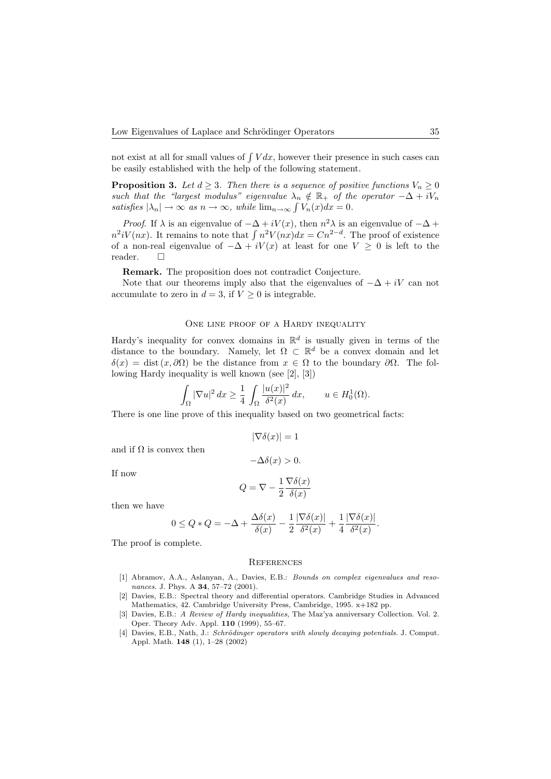not exist at all for small values of  $\int V dx$ , however their presence in such cases can be easily established with the help of the following statement.

**Proposition 3.** Let  $d \geq 3$ . Then there is a sequence of positive functions  $V_n \geq 0$ such that the "largest modulus" eigenvalue  $\lambda_n \notin \mathbb{R}_+$  of the operator  $-\Delta + iV_n$ satisfies  $|\lambda_n| \to \infty$  as  $n \to \infty$ , while  $\lim_{n \to \infty} \int V_n(x) dx = 0$ .

*Proof.* If  $\lambda$  is an eigenvalue of  $-\Delta + iV(x)$ , then  $n^2\lambda$  is an eigenvalue of  $-\Delta +$  $n^2iV(nx)$ . It remains to note that  $\int n^2V(nx)dx = Cn^{2-d}$ . The proof of existence of a non-real eigenvalue of  $-\Delta + iV(x)$  at least for one  $V \geq 0$  is left to the reader.

Remark. The proposition does not contradict Conjecture.

Note that our theorems imply also that the eigenvalues of  $-\Delta + iV$  can not accumulate to zero in  $d = 3$ , if  $V \geq 0$  is integrable.

### ONE LINE PROOF OF A HARDY INEQUALITY

Hardy's inequality for convex domains in  $\mathbb{R}^d$  is usually given in terms of the distance to the boundary. Namely, let  $\Omega \subset \mathbb{R}^d$  be a convex domain and let  $\delta(x) = \text{dist}(x, \partial \Omega)$  be the distance from  $x \in \Omega$  to the boundary  $\partial \Omega$ . The following Hardy inequality is well known (see [2], [3])

$$
\int_{\Omega} |\nabla u|^2 dx \ge \frac{1}{4} \int_{\Omega} \frac{|u(x)|^2}{\delta^2(x)} dx, \qquad u \in H_0^1(\Omega).
$$

There is one line prove of this inequality based on two geometrical facts:

$$
|\nabla \delta(x)| = 1
$$

and if  $\Omega$  is convex then

If now

$$
-\Delta\delta(x) > 0.
$$
  

$$
Q = \nabla - \frac{1}{2} \frac{\nabla \delta(x)}{\delta(x)}
$$

 $\delta(x)$ 

.

$$
\qquad \qquad \text{then we have} \qquad
$$

$$
0 \le Q \ast Q = -\Delta + \frac{\Delta \delta(x)}{\delta(x)} - \frac{1}{2} \frac{|\nabla \delta(x)|}{\delta^2(x)} + \frac{1}{4} \frac{|\nabla \delta(x)|}{\delta^2(x)}
$$

The proof is complete.

#### **REFERENCES**

- [1] Abramov, A.A., Aslanyan, A., Davies, E.B.: Bounds on complex eigenvalues and resonances. J. Phys. A 34, 57-72 (2001).
- [2] Davies, E.B.: Spectral theory and differential operators. Cambridge Studies in Advanced Mathematics, 42. Cambridge University Press, Cambridge, 1995. x+182 pp.
- [3] Davies, E.B.: A Review of Hardy inequalities, The Maz'ya anniversary Collection. Vol. 2. Oper. Theory Adv. Appl. 110 (1999), 55–67.
- [4] Davies, E.B., Nath, J.: Schrödinger operators with slowly decaying potentials. J. Comput. Appl. Math. 148 (1), 1–28 (2002)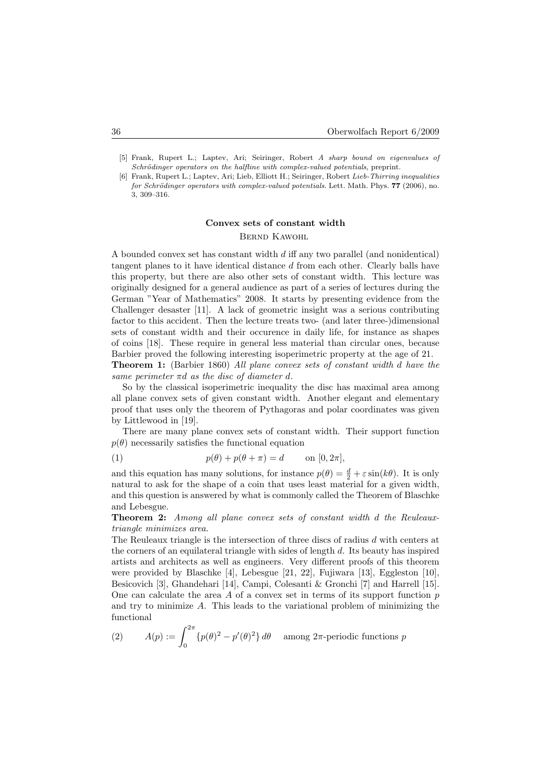- [5] Frank, Rupert L.; Laptev, Ari; Seiringer, Robert A sharp bound on eigenvalues of Schrödinger operators on the halfline with complex-valued potentials, preprint.
- [6] Frank, Rupert L.; Laptev, Ari; Lieb, Elliott H.; Seiringer, Robert Lieb-Thirring inequalities for Schrödinger operators with complex-valued potentials. Lett. Math. Phys.  $77$  (2006), no. 3, 309–316.

# Convex sets of constant width Bernd Kawohl

A bounded convex set has constant width d iff any two parallel (and nonidentical) tangent planes to it have identical distance  $d$  from each other. Clearly balls have this property, but there are also other sets of constant width. This lecture was originally designed for a general audience as part of a series of lectures during the German "Year of Mathematics" 2008. It starts by presenting evidence from the Challenger desaster [11]. A lack of geometric insight was a serious contributing factor to this accident. Then the lecture treats two- (and later three-)dimensional sets of constant width and their occurence in daily life, for instance as shapes of coins [18]. These require in general less material than circular ones, because Barbier proved the following interesting isoperimetric property at the age of 21.

Theorem 1: (Barbier 1860) All plane convex sets of constant width d have the same perimeter  $\pi d$  as the disc of diameter d.

So by the classical isoperimetric inequality the disc has maximal area among all plane convex sets of given constant width. Another elegant and elementary proof that uses only the theorem of Pythagoras and polar coordinates was given by Littlewood in [19].

There are many plane convex sets of constant width. Their support function  $p(\theta)$  necessarily satisfies the functional equation

(1) 
$$
p(\theta) + p(\theta + \pi) = d \quad \text{on } [0, 2\pi],
$$

and this equation has many solutions, for instance  $p(\theta) = \frac{d}{2} + \varepsilon \sin(k\theta)$ . It is only natural to ask for the shape of a coin that uses least material for a given width, and this question is answered by what is commonly called the Theorem of Blaschke and Lebesgue.

Theorem 2: Among all plane convex sets of constant width d the Reuleauxtriangle minimizes area.

The Reuleaux triangle is the intersection of three discs of radius d with centers at the corners of an equilateral triangle with sides of length  $d$ . Its beauty has inspired artists and architects as well as engineers. Very different proofs of this theorem were provided by Blaschke [4], Lebesgue [21, 22], Fujiwara [13], Eggleston [10], Besicovich [3], Ghandehari [14], Campi, Colesanti & Gronchi [7] and Harrell [15]. One can calculate the area  $\tilde{A}$  of a convex set in terms of its support function  $p$ and try to minimize A. This leads to the variational problem of minimizing the functional

(2) 
$$
A(p) := \int_0^{2\pi} \{p(\theta)^2 - p'(\theta)^2\} d\theta \quad \text{among } 2\pi \text{-periodic functions } p
$$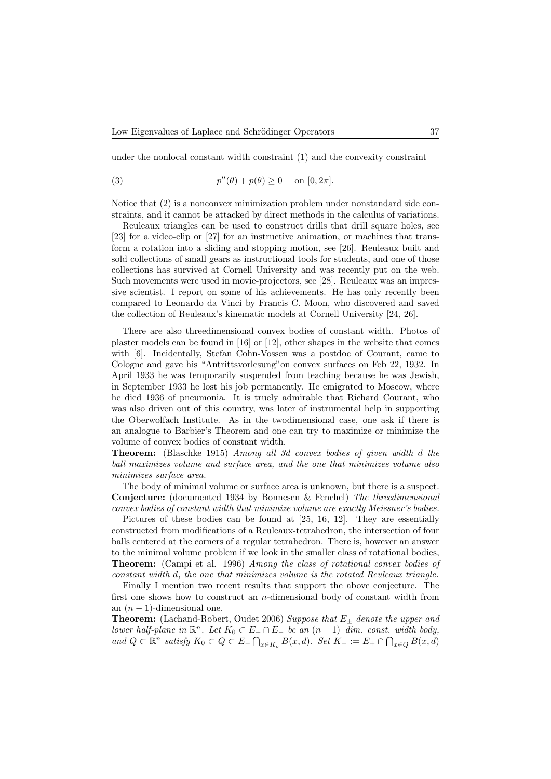under the nonlocal constant width constraint (1) and the convexity constraint

(3) 
$$
p''(\theta) + p(\theta) \ge 0 \quad \text{on } [0, 2\pi].
$$

Notice that (2) is a nonconvex minimization problem under nonstandard side constraints, and it cannot be attacked by direct methods in the calculus of variations.

Reuleaux triangles can be used to construct drills that drill square holes, see [23] for a video-clip or [27] for an instructive animation, or machines that transform a rotation into a sliding and stopping motion, see [26]. Reuleaux built and sold collections of small gears as instructional tools for students, and one of those collections has survived at Cornell University and was recently put on the web. Such movements were used in movie-projectors, see [28]. Reuleaux was an impressive scientist. I report on some of his achievements. He has only recently been compared to Leonardo da Vinci by Francis C. Moon, who discovered and saved the collection of Reuleaux's kinematic models at Cornell University [24, 26].

There are also threedimensional convex bodies of constant width. Photos of plaster models can be found in [16] or [12], other shapes in the website that comes with [6]. Incidentally, Stefan Cohn-Vossen was a postdoc of Courant, came to Cologne and gave his "Antrittsvorlesung"on convex surfaces on Feb 22, 1932. In April 1933 he was temporarily suspended from teaching because he was Jewish, in September 1933 he lost his job permanently. He emigrated to Moscow, where he died 1936 of pneumonia. It is truely admirable that Richard Courant, who was also driven out of this country, was later of instrumental help in supporting the Oberwolfach Institute. As in the twodimensional case, one ask if there is an analogue to Barbier's Theorem and one can try to maximize or minimize the volume of convex bodies of constant width.

Theorem: (Blaschke 1915) Among all 3d convex bodies of given width d the ball maximizes volume and surface area, and the one that minimizes volume also minimizes surface area.

The body of minimal volume or surface area is unknown, but there is a suspect. Conjecture: (documented 1934 by Bonnesen & Fenchel) The threedimensional convex bodies of constant width that minimize volume are exactly Meissner's bodies.

Pictures of these bodies can be found at [25, 16, 12]. They are essentially constructed from modifications of a Reuleaux-tetrahedron, the intersection of four balls centered at the corners of a regular tetrahedron. There is, however an answer to the minimal volume problem if we look in the smaller class of rotational bodies, Theorem: (Campi et al. 1996) Among the class of rotational convex bodies of constant width d, the one that minimizes volume is the rotated Reuleaux triangle.

Finally I mention two recent results that support the above conjecture. The first one shows how to construct an n-dimensional body of constant width from an  $(n-1)$ -dimensional one.

**Theorem:** (Lachand-Robert, Oudet 2006) Suppose that  $E_{\pm}$  denote the upper and lower half-plane in  $\mathbb{R}^n$ . Let  $K_0 \subset E_+ \cap E_-$  be an  $(n-1)$ -dim. const. width body, and  $Q \subset \mathbb{R}^n$  satisfy  $K_0 \subset Q \subset E_-\bigcap_{x\in K_o} B(x,d)$ . Set  $K_+ := E_+ \cap \bigcap_{x\in Q} B(x,d)$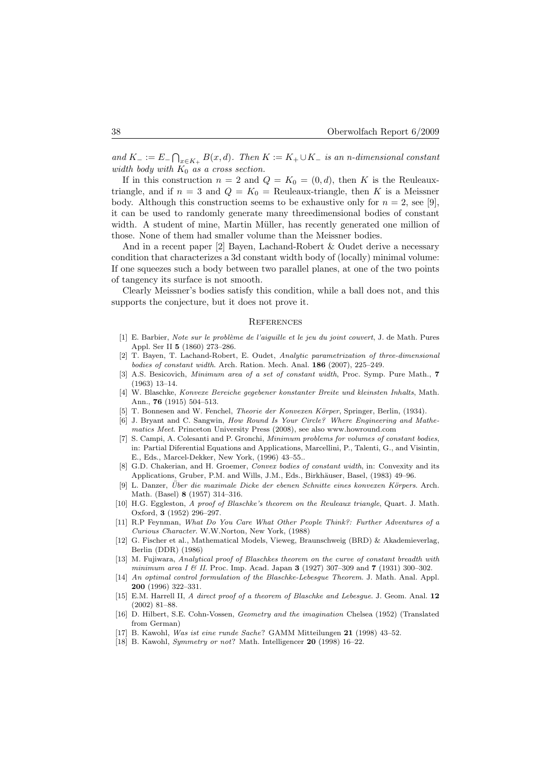and  $K_- := E_-\bigcap_{x\in K_+} B(x,d)$ . Then  $K := K_+ \cup K_-$  is an n-dimensional constant width body with  $K_0$  as a cross section.

If in this construction  $n = 2$  and  $Q = K_0 = (0, d)$ , then K is the Reuleauxtriangle, and if  $n = 3$  and  $Q = K_0$  = Reuleaux-triangle, then K is a Meissner body. Although this construction seems to be exhaustive only for  $n = 2$ , see [9]. it can be used to randomly generate many threedimensional bodies of constant width. A student of mine, Martin Müller, has recently generated one million of those. None of them had smaller volume than the Meissner bodies.

And in a recent paper [2] Bayen, Lachand-Robert & Oudet derive a necessary condition that characterizes a 3d constant width body of (locally) minimal volume: If one squeezes such a body between two parallel planes, at one of the two points of tangency its surface is not smooth.

Clearly Meissner's bodies satisfy this condition, while a ball does not, and this supports the conjecture, but it does not prove it.

### **REFERENCES**

- [1] E. Barbier, Note sur le problème de l'aiguille et le jeu du joint couvert, J. de Math. Pures Appl. Ser II 5 (1860) 273–286.
- [2] T. Bayen, T. Lachand-Robert, E. Oudet, Analytic parametrization of three-dimensional bodies of constant width. Arch. Ration. Mech. Anal. 186 (2007), 225–249.
- [3] A.S. Besicovich, *Minimum area of a set of constant width*, Proc. Symp. Pure Math., **7** (1963) 13–14.
- [4] W. Blaschke, Konvexe Bereiche gegebener konstanter Breite und kleinsten Inhalts, Math. Ann., 76 (1915) 504–513.
- [5] T. Bonnesen and W. Fenchel, *Theorie der Konvexen Körper*, Springer, Berlin, (1934).
- [6] J. Bryant and C. Sangwin, How Round Is Your Circle? Where Engineering and Mathematics Meet. Princeton University Press (2008), see also www.howround.com
- [7] S. Campi, A. Colesanti and P. Gronchi, Minimum problems for volumes of constant bodies, in: Partial Diferential Equations and Applications, Marcellini, P., Talenti, G., and Visintin, E., Eds., Marcel-Dekker, New York, (1996) 43–55..
- [8] G.D. Chakerian, and H. Groemer, Convex bodies of constant width, in: Convexity and its Applications, Gruber, P.M. and Wills, J.M., Eds., Birkhäuser, Basel, (1983) 49–96.
- [9] L. Danzer, Über die maximale Dicke der ebenen Schnitte eines konvexen Körpers. Arch. Math. (Basel) 8 (1957) 314–316.
- [10] H.G. Eggleston, A proof of Blaschke's theorem on the Reuleaux triangle, Quart. J. Math. Oxford, 3 (1952) 296–297.
- [11] R.P Feynman, What Do You Care What Other People Think?: Further Adventures of a Curious Character. W.W.Norton, New York, (1988)
- [12] G. Fischer et al., Mathematical Models, Vieweg, Braunschweig (BRD) & Akademieverlag, Berlin (DDR) (1986)
- [13] M. Fujiwara, Analytical proof of Blaschkes theorem on the curve of constant breadth with minimum area I & II. Proc. Imp. Acad. Japan 3 (1927) 307-309 and 7 (1931) 300-302.
- [14] An optimal control formulation of the Blaschke-Lebesgue Theorem. J. Math. Anal. Appl. 200 (1996) 322–331.
- [15] E.M. Harrell II, A direct proof of a theorem of Blaschke and Lebesgue. J. Geom. Anal. 12 (2002) 81–88.
- [16] D. Hilbert, S.E. Cohn-Vossen, Geometry and the imagination Chelsea (1952) (Translated from German)
- [17] B. Kawohl, Was ist eine runde Sache? GAMM Mitteilungen 21 (1998) 43–52.
- [18] B. Kawohl, Symmetry or not? Math. Intelligencer 20 (1998) 16–22.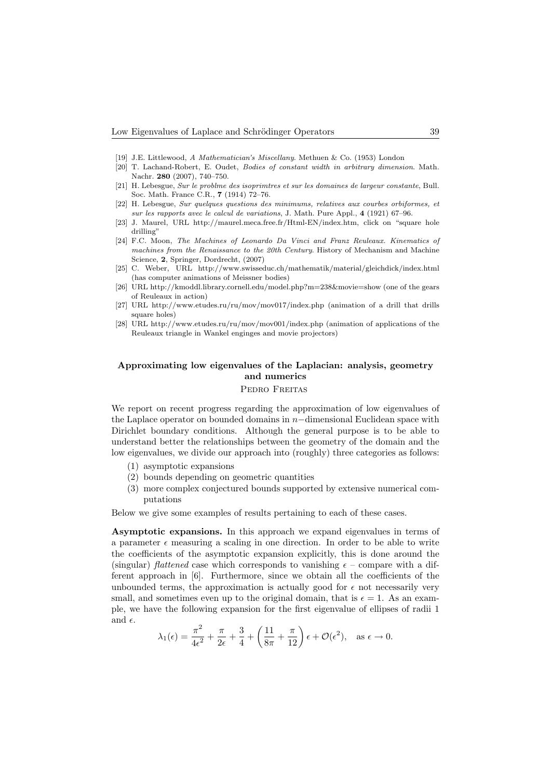- [19] J.E. Littlewood, A Mathematician's Miscellany. Methuen & Co. (1953) London
- [20] T. Lachand-Robert, E. Oudet, Bodies of constant width in arbitrary dimension. Math. Nachr. 280 (2007), 740–750.
- [21] H. Lebesgue, Sur le problme des isoprimtres et sur les domaines de largeur constante, Bull. Soc. Math. France C.R., 7 (1914) 72–76.
- [22] H. Lebesgue, Sur quelques questions des minimums, relatives aux courbes orbiformes, et sur les rapports avec le calcul de variations, J. Math. Pure Appl., 4 (1921) 67–96.
- [23] J. Maurel, URL http://maurel.meca.free.fr/Html-EN/index.htm, click on "square hole drilling"
- [24] F.C. Moon, The Machines of Leonardo Da Vinci and Franz Reuleaux. Kinematics of machines from the Renaissance to the 20th Century. History of Mechanism and Machine Science, 2, Springer, Dordrecht, (2007)
- [25] C. Weber, URL http://www.swisseduc.ch/mathematik/material/gleichdick/index.html (has computer animations of Meissner bodies)
- [26] URL http://kmoddl.library.cornell.edu/model.php?m=238&movie=show (one of the gears of Reuleaux in action)
- [27] URL http://www.etudes.ru/ru/mov/mov017/index.php (animation of a drill that drills square holes)
- [28] URL http://www.etudes.ru/ru/mov/mov001/index.php (animation of applications of the Reuleaux triangle in Wankel enginges and movie projectors)

# Approximating low eigenvalues of the Laplacian: analysis, geometry and numerics

# Pedro Freitas

We report on recent progress regarding the approximation of low eigenvalues of the Laplace operator on bounded domains in n−dimensional Euclidean space with Dirichlet boundary conditions. Although the general purpose is to be able to understand better the relationships between the geometry of the domain and the low eigenvalues, we divide our approach into (roughly) three categories as follows:

- (1) asymptotic expansions
- (2) bounds depending on geometric quantities
- (3) more complex conjectured bounds supported by extensive numerical computations

Below we give some examples of results pertaining to each of these cases.

Asymptotic expansions. In this approach we expand eigenvalues in terms of a parameter  $\epsilon$  measuring a scaling in one direction. In order to be able to write the coefficients of the asymptotic expansion explicitly, this is done around the (singular) *flattened* case which corresponds to vanishing  $\epsilon$  – compare with a different approach in [6]. Furthermore, since we obtain all the coefficients of the unbounded terms, the approximation is actually good for  $\epsilon$  not necessarily very small, and sometimes even up to the original domain, that is  $\epsilon = 1$ . As an example, we have the following expansion for the first eigenvalue of ellipses of radii 1 and  $\epsilon$ .

$$
\lambda_1(\epsilon)=\frac{\pi^2}{4\epsilon^2}+\frac{\pi}{2\epsilon}+\frac{3}{4}+\left(\frac{11}{8\pi}+\frac{\pi}{12}\right)\epsilon+\mathcal{O}(\epsilon^2),\quad \text{as } \epsilon\to 0.
$$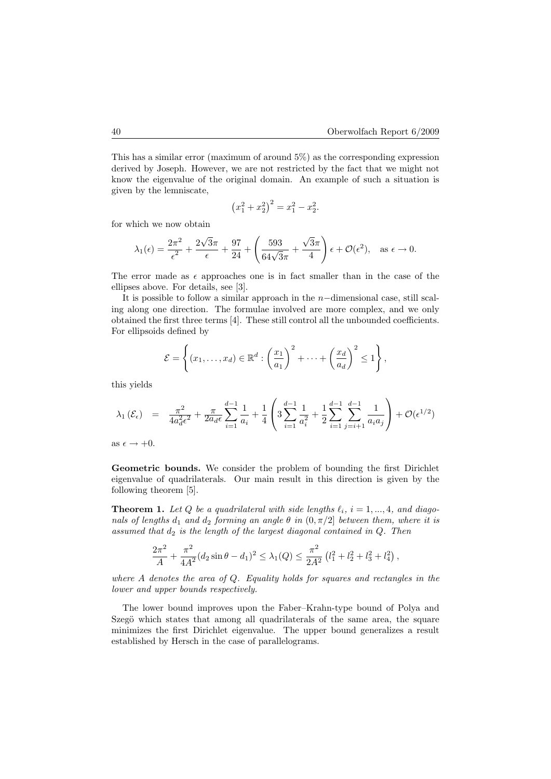This has a similar error (maximum of around 5%) as the corresponding expression derived by Joseph. However, we are not restricted by the fact that we might not know the eigenvalue of the original domain. An example of such a situation is given by the lemniscate,

$$
(x_1^2 + x_2^2)^2 = x_1^2 - x_2^2.
$$

for which we now obtain

$$
\lambda_1(\epsilon) = \frac{2\pi^2}{\epsilon^2} + \frac{2\sqrt{3}\pi}{\epsilon} + \frac{97}{24} + \left(\frac{593}{64\sqrt{3}\pi} + \frac{\sqrt{3}\pi}{4}\right)\epsilon + \mathcal{O}(\epsilon^2), \text{ as } \epsilon \to 0.
$$

The error made as  $\epsilon$  approaches one is in fact smaller than in the case of the ellipses above. For details, see [3].

It is possible to follow a similar approach in the n−dimensional case, still scaling along one direction. The formulae involved are more complex, and we only obtained the first three terms [4]. These still control all the unbounded coefficients. For ellipsoids defined by

$$
\mathcal{E} = \left\{ (x_1, \ldots, x_d) \in \mathbb{R}^d : \left( \frac{x_1}{a_1} \right)^2 + \cdots + \left( \frac{x_d}{a_d} \right)^2 \leq 1 \right\},\
$$

this yields

$$
\lambda_1(\mathcal{E}_{\epsilon}) = \frac{\pi^2}{4a_d^2 \epsilon^2} + \frac{\pi}{2a_d \epsilon} \sum_{i=1}^{d-1} \frac{1}{a_i} + \frac{1}{4} \left( 3 \sum_{i=1}^{d-1} \frac{1}{a_i^2} + \frac{1}{2} \sum_{i=1}^{d-1} \sum_{j=i+1}^{d-1} \frac{1}{a_i a_j} \right) + \mathcal{O}(\epsilon^{1/2})
$$

as  $\epsilon \rightarrow +0$ .

Geometric bounds. We consider the problem of bounding the first Dirichlet eigenvalue of quadrilaterals. Our main result in this direction is given by the following theorem [5].

**Theorem 1.** Let Q be a quadrilateral with side lengths  $\ell_i$ ,  $i = 1, ..., 4$ , and diagonals of lengths  $d_1$  and  $d_2$  forming an angle  $\theta$  in  $(0, \pi/2]$  between them, where it is assumed that  $d_2$  is the length of the largest diagonal contained in  $Q$ . Then

$$
\frac{2\pi^2}{A} + \frac{\pi^2}{4A^2} (d_2 \sin \theta - d_1)^2 \le \lambda_1(Q) \le \frac{\pi^2}{2A^2} (l_1^2 + l_2^2 + l_3^2 + l_4^2),
$$

where A denotes the area of  $Q$ . Equality holds for squares and rectangles in the lower and upper bounds respectively.

The lower bound improves upon the Faber–Krahn-type bound of Polya and Szegö which states that among all quadrilaterals of the same area, the square minimizes the first Dirichlet eigenvalue. The upper bound generalizes a result established by Hersch in the case of parallelograms.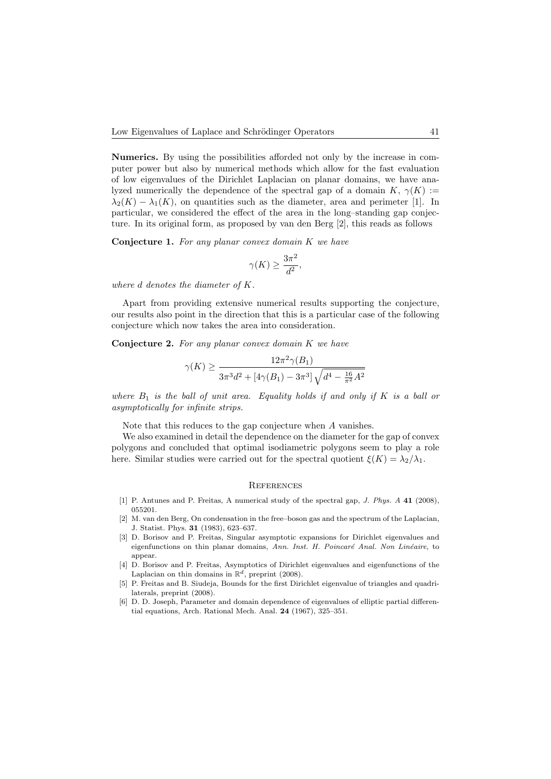Numerics. By using the possibilities afforded not only by the increase in computer power but also by numerical methods which allow for the fast evaluation of low eigenvalues of the Dirichlet Laplacian on planar domains, we have analyzed numerically the dependence of the spectral gap of a domain  $K, \gamma(K) :=$  $\lambda_2(K) - \lambda_1(K)$ , on quantities such as the diameter, area and perimeter [1]. In particular, we considered the effect of the area in the long–standing gap conjecture. In its original form, as proposed by van den Berg [2], this reads as follows

**Conjecture 1.** For any planar convex domain  $K$  we have

$$
\gamma(K) \geq \frac{3\pi^2}{d^2},
$$

where d denotes the diameter of K.

Apart from providing extensive numerical results supporting the conjecture, our results also point in the direction that this is a particular case of the following conjecture which now takes the area into consideration.

**Conjecture 2.** For any planar convex domain  $K$  we have

$$
\gamma(K) \ge \frac{12\pi^2\gamma(B_1)}{3\pi^3d^2 + \left[4\gamma(B_1) - 3\pi^3\right]\sqrt{d^4 - \frac{16}{\pi^2}A^2}}
$$

where  $B_1$  is the ball of unit area. Equality holds if and only if K is a ball or asymptotically for infinite strips.

Note that this reduces to the gap conjecture when A vanishes.

We also examined in detail the dependence on the diameter for the gap of convex polygons and concluded that optimal isodiametric polygons seem to play a role here. Similar studies were carried out for the spectral quotient  $\xi(K) = \lambda_2/\lambda_1$ .

### **REFERENCES**

- [1] P. Antunes and P. Freitas, A numerical study of the spectral gap, J. Phys. A 41 (2008), 055201.
- [2] M. van den Berg, On condensation in the free–boson gas and the spectrum of the Laplacian, J. Statist. Phys. 31 (1983), 623–637.
- [3] D. Borisov and P. Freitas, Singular asymptotic expansions for Dirichlet eigenvalues and eigenfunctions on thin planar domains, Ann. Inst. H. Poincaré Anal. Non Linéaire, to appear.
- [4] D. Borisov and P. Freitas, Asymptotics of Dirichlet eigenvalues and eigenfunctions of the Laplacian on thin domains in  $\mathbb{R}^d$ , preprint (2008).
- [5] P. Freitas and B. Siudeja, Bounds for the first Dirichlet eigenvalue of triangles and quadrilaterals, preprint (2008).
- [6] D. D. Joseph, Parameter and domain dependence of eigenvalues of elliptic partial differential equations, Arch. Rational Mech. Anal. 24 (1967), 325–351.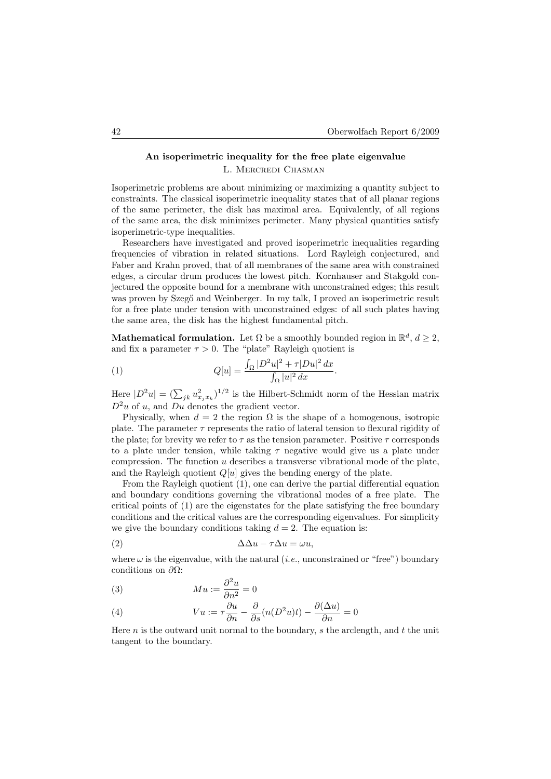# An isoperimetric inequality for the free plate eigenvalue L. Mercredi Chasman

Isoperimetric problems are about minimizing or maximizing a quantity subject to constraints. The classical isoperimetric inequality states that of all planar regions of the same perimeter, the disk has maximal area. Equivalently, of all regions of the same area, the disk minimizes perimeter. Many physical quantities satisfy isoperimetric-type inequalities.

Researchers have investigated and proved isoperimetric inequalities regarding frequencies of vibration in related situations. Lord Rayleigh conjectured, and Faber and Krahn proved, that of all membranes of the same area with constrained edges, a circular drum produces the lowest pitch. Kornhauser and Stakgold conjectured the opposite bound for a membrane with unconstrained edges; this result was proven by Szegő and Weinberger. In my talk, I proved an isoperimetric result for a free plate under tension with unconstrained edges: of all such plates having the same area, the disk has the highest fundamental pitch.

Mathematical formulation. Let  $\Omega$  be a smoothly bounded region in  $\mathbb{R}^d$ ,  $d \geq 2$ , and fix a parameter  $\tau > 0$ . The "plate" Rayleigh quotient is

(1) 
$$
Q[u] = \frac{\int_{\Omega} |D^2 u|^2 + \tau |Du|^2 dx}{\int_{\Omega} |u|^2 dx}.
$$

Here  $|D^2u| = (\sum_{jk} u_{x_jx_k}^2)^{1/2}$  is the Hilbert-Schmidt norm of the Hessian matrix  $D^2u$  of u, and Du denotes the gradient vector.

Physically, when  $d = 2$  the region  $\Omega$  is the shape of a homogenous, isotropic plate. The parameter  $\tau$  represents the ratio of lateral tension to flexural rigidity of the plate; for brevity we refer to  $\tau$  as the tension parameter. Positive  $\tau$  corresponds to a plate under tension, while taking  $\tau$  negative would give us a plate under compression. The function  $u$  describes a transverse vibrational mode of the plate, and the Rayleigh quotient  $Q[u]$  gives the bending energy of the plate.

From the Rayleigh quotient (1), one can derive the partial differential equation and boundary conditions governing the vibrational modes of a free plate. The critical points of (1) are the eigenstates for the plate satisfying the free boundary conditions and the critical values are the corresponding eigenvalues. For simplicity we give the boundary conditions taking  $d = 2$ . The equation is:

$$
\Delta \Delta u - \tau \Delta u = \omega u,
$$

where  $\omega$  is the eigenvalue, with the natural (*i.e.*, unconstrained or "free") boundary conditions on  $\partial\Omega$ :

(3) 
$$
Mu := \frac{\partial^2 u}{\partial n^2} = 0
$$

(4) 
$$
Vu := \tau \frac{\partial u}{\partial n} - \frac{\partial}{\partial s} (n(D^2u)t) - \frac{\partial (\Delta u)}{\partial n} = 0
$$

Here  $n$  is the outward unit normal to the boundary,  $s$  the arclength, and  $t$  the unit tangent to the boundary.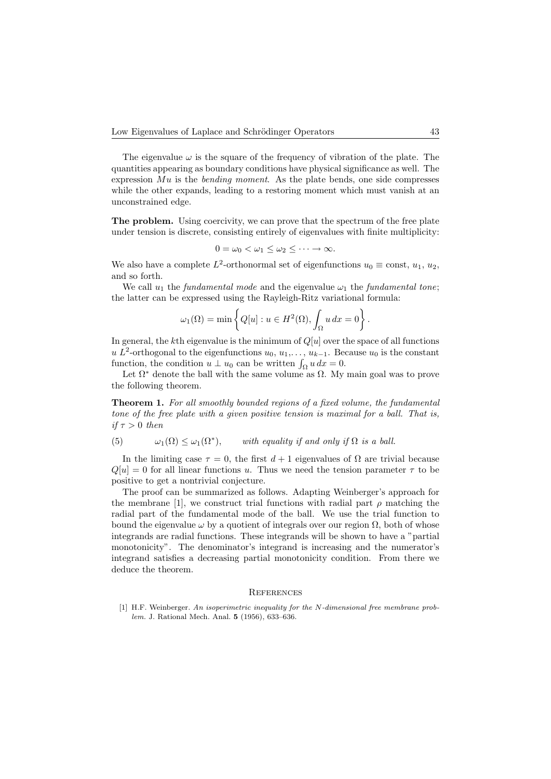The eigenvalue  $\omega$  is the square of the frequency of vibration of the plate. The quantities appearing as boundary conditions have physical significance as well. The expression  $Mu$  is the *bending moment*. As the plate bends, one side compresses while the other expands, leading to a restoring moment which must vanish at an unconstrained edge.

The problem. Using coercivity, we can prove that the spectrum of the free plate under tension is discrete, consisting entirely of eigenvalues with finite multiplicity:

$$
0 = \omega_0 < \omega_1 \leq \omega_2 \leq \cdots \to \infty.
$$

We also have a complete  $L^2$ -orthonormal set of eigenfunctions  $u_0 \equiv \text{const}, u_1, u_2,$ and so forth.

We call  $u_1$  the *fundamental mode* and the eigenvalue  $\omega_1$  the *fundamental tone*; the latter can be expressed using the Rayleigh-Ritz variational formula:

$$
\omega_1(\Omega) = \min \left\{ Q[u] : u \in H^2(\Omega), \int_{\Omega} u \, dx = 0 \right\}.
$$

In general, the kth eigenvalue is the minimum of  $Q[u]$  over the space of all functions u L<sup>2</sup>-orthogonal to the eigenfunctions  $u_0, u_1, \ldots, u_{k-1}$ . Because  $u_0$  is the constant function, the condition  $u \perp u_0$  can be written  $\int_{\Omega} u \, dx = 0$ .

Let  $\Omega^*$  denote the ball with the same volume as  $\Omega$ . My main goal was to prove the following theorem.

Theorem 1. For all smoothly bounded regions of a fixed volume, the fundamental tone of the free plate with a given positive tension is maximal for a ball. That is, if  $\tau > 0$  then

(5) 
$$
\omega_1(\Omega) \leq \omega_1(\Omega^*),
$$
 with equality if and only if  $\Omega$  is a ball.

In the limiting case  $\tau = 0$ , the first  $d + 1$  eigenvalues of  $\Omega$  are trivial because  $Q[u] = 0$  for all linear functions u. Thus we need the tension parameter  $\tau$  to be positive to get a nontrivial conjecture.

The proof can be summarized as follows. Adapting Weinberger's approach for the membrane [1], we construct trial functions with radial part  $\rho$  matching the radial part of the fundamental mode of the ball. We use the trial function to bound the eigenvalue  $\omega$  by a quotient of integrals over our region  $\Omega$ , both of whose integrands are radial functions. These integrands will be shown to have a "partial monotonicity". The denominator's integrand is increasing and the numerator's integrand satisfies a decreasing partial monotonicity condition. From there we deduce the theorem.

### **REFERENCES**

[1] H.F. Weinberger. An isoperimetric inequality for the N-dimensional free membrane problem. J. Rational Mech. Anal. 5 (1956), 633–636.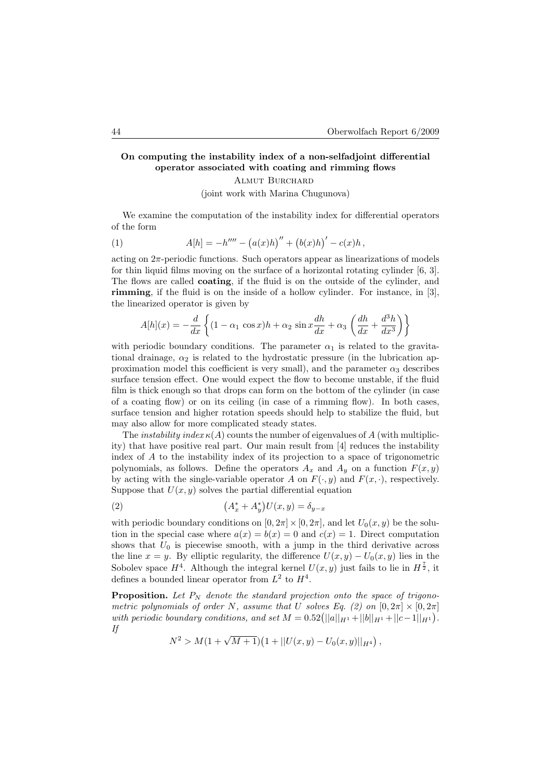# On computing the instability index of a non-selfadjoint differential operator associated with coating and rimming flows

Almut Burchard

(joint work with Marina Chugunova)

We examine the computation of the instability index for differential operators of the form

(1) 
$$
A[h] = -h'''' - (a(x)h)'' + (b(x)h)' - c(x)h,
$$

acting on  $2\pi$ -periodic functions. Such operators appear as linearizations of models for thin liquid films moving on the surface of a horizontal rotating cylinder [6, 3]. The flows are called coating, if the fluid is on the outside of the cylinder, and rimming, if the fluid is on the inside of a hollow cylinder. For instance, in [3], the linearized operator is given by

$$
A[h](x) = -\frac{d}{dx}\left\{ (1 - \alpha_1 \cos x)h + \alpha_2 \sin x \frac{dh}{dx} + \alpha_3 \left( \frac{dh}{dx} + \frac{d^3h}{dx^3} \right) \right\}
$$

with periodic boundary conditions. The parameter  $\alpha_1$  is related to the gravitational drainage,  $\alpha_2$  is related to the hydrostatic pressure (in the lubrication approximation model this coefficient is very small), and the parameter  $\alpha_3$  describes surface tension effect. One would expect the flow to become unstable, if the fluid film is thick enough so that drops can form on the bottom of the cylinder (in case of a coating flow) or on its ceiling (in case of a rimming flow). In both cases, surface tension and higher rotation speeds should help to stabilize the fluid, but may also allow for more complicated steady states.

The *instability index*  $\kappa(A)$  counts the number of eigenvalues of A (with multiplicity) that have positive real part. Our main result from [4] reduces the instability index of A to the instability index of its projection to a space of trigonometric polynomials, as follows. Define the operators  $A_x$  and  $A_y$  on a function  $F(x, y)$ by acting with the single-variable operator A on  $F(\cdot, y)$  and  $F(x, \cdot)$ , respectively. Suppose that  $U(x, y)$  solves the partial differential equation

(2) 
$$
(A_x^* + A_y^*)U(x, y) = \delta_{y-x}
$$

with periodic boundary conditions on  $[0, 2\pi] \times [0, 2\pi]$ , and let  $U_0(x, y)$  be the solution in the special case where  $a(x) = b(x) = 0$  and  $c(x) = 1$ . Direct computation shows that  $U_0$  is piecewise smooth, with a jump in the third derivative across the line  $x = y$ . By elliptic regularity, the difference  $U(x, y) - U_0(x, y)$  lies in the Sobolev space  $H^4$ . Although the integral kernel  $U(x, y)$  just fails to lie in  $H^{\frac{7}{2}}$ , it defines a bounded linear operator from  $L^2$  to  $H^4$ .

**Proposition.** Let  $P_N$  denote the standard projection onto the space of trigonometric polynomials of order N, assume that U solves Eq. (2) on  $[0, 2\pi] \times [0, 2\pi]$ with periodic boundary conditions, and set  $M = 0.52(||a||_{H_1} + ||b||_{H_1} + ||c-1||_{H_1}).$ If

$$
N^2 > M(1 + \sqrt{M+1})(1 + ||U(x, y) - U_0(x, y)||_{H^4}),
$$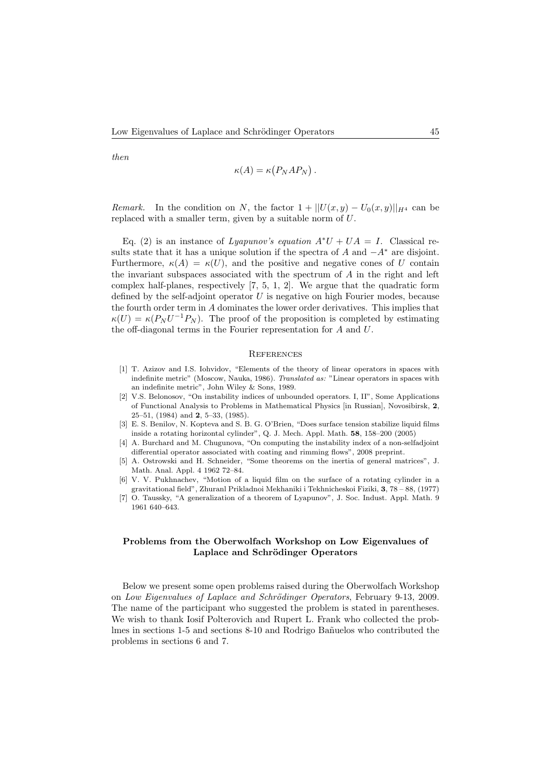then

$$
\kappa(A) = \kappa(P_N A P_N).
$$

Remark. In the condition on N, the factor  $1 + ||U(x,y) - U_0(x,y)||_{H^4}$  can be replaced with a smaller term, given by a suitable norm of U.

Eq. (2) is an instance of Lyapunov's equation  $A^*U + UA = I$ . Classical results state that it has a unique solution if the spectra of A and  $-A^*$  are disjoint. Furthermore,  $\kappa(A) = \kappa(U)$ , and the positive and negative cones of U contain the invariant subspaces associated with the spectrum of A in the right and left complex half-planes, respectively [7, 5, 1, 2]. We argue that the quadratic form defined by the self-adjoint operator  $U$  is negative on high Fourier modes, because the fourth order term in A dominates the lower order derivatives. This implies that  $\kappa(U) = \kappa(P_N U^{-1} P_N)$ . The proof of the proposition is completed by estimating the off-diagonal terms in the Fourier representation for A and U.

### **REFERENCES**

- [1] T. Azizov and I.S. Iohvidov, "Elements of the theory of linear operators in spaces with indefinite metric" (Moscow, Nauka, 1986). Translated as: "Linear operators in spaces with an indefinite metric", John Wiley & Sons, 1989.
- [2] V.S. Belonosov, "On instability indices of unbounded operators. I, II", Some Applications of Functional Analysis to Problems in Mathematical Physics [in Russian], Novosibirsk, 2, 25–51, (1984) and 2, 5–33, (1985).
- [3] E. S. Benilov, N. Kopteva and S. B. G. O'Brien, "Does surface tension stabilize liquid films inside a rotating horizontal cylinder", Q. J. Mech. Appl. Math. 58, 158–200 (2005)
- [4] A. Burchard and M. Chugunova, "On computing the instability index of a non-selfadjoint differential operator associated with coating and rimming flows", 2008 preprint.
- [5] A. Ostrowski and H. Schneider, "Some theorems on the inertia of general matrices", J. Math. Anal. Appl. 4 1962 72–84.
- [6] V. V. Pukhnachev, "Motion of a liquid film on the surface of a rotating cylinder in a gravitational field", Zhuranl Prikladnoi Mekhaniki i Tekhnicheskoi Fiziki, 3, 78 – 88, (1977)
- [7] O. Taussky, "A generalization of a theorem of Lyapunov", J. Soc. Indust. Appl. Math. 9 1961 640–643.

# Problems from the Oberwolfach Workshop on Low Eigenvalues of Laplace and Schrödinger Operators

Below we present some open problems raised during the Oberwolfach Workshop on Low Eigenvalues of Laplace and Schrödinger Operators, February 9-13, 2009. The name of the participant who suggested the problem is stated in parentheses. We wish to thank Iosif Polterovich and Rupert L. Frank who collected the problmes in sections 1-5 and sections 8-10 and Rodrigo Bañuelos who contributed the problems in sections 6 and 7.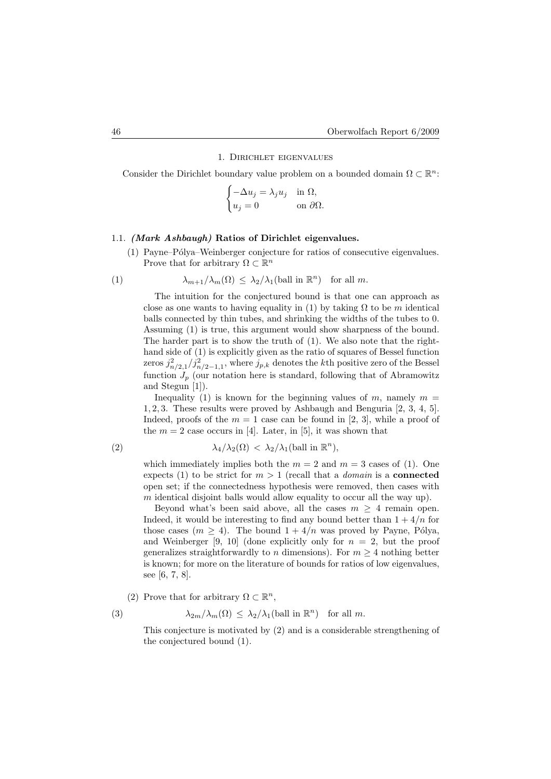# 1. Dirichlet eigenvalues

Consider the Dirichlet boundary value problem on a bounded domain  $\Omega \subset \mathbb{R}^n$ :

$$
\begin{cases}\n-\Delta u_j = \lambda_j u_j & \text{in } \Omega, \\
u_j = 0 & \text{on } \partial \Omega.\n\end{cases}
$$

# 1.1. (Mark Ashbaugh) Ratios of Dirichlet eigenvalues.

(1) Payne–P´olya–Weinberger conjecture for ratios of consecutive eigenvalues. Prove that for arbitrary  $\Omega \subset \mathbb{R}^n$ 

(1) 
$$
\lambda_{m+1}/\lambda_m(\Omega) \leq \lambda_2/\lambda_1(\text{ball in } \mathbb{R}^n) \text{ for all } m.
$$

The intuition for the conjectured bound is that one can approach as close as one wants to having equality in (1) by taking  $\Omega$  to be m identical balls connected by thin tubes, and shrinking the widths of the tubes to 0. Assuming (1) is true, this argument would show sharpness of the bound. The harder part is to show the truth of (1). We also note that the righthand side of (1) is explicitly given as the ratio of squares of Bessel function zeros  $j_{n/2,1}^2/j_{n/2-1,1}^2$ , where  $j_{p,k}$  denotes the kth positive zero of the Bessel function  $J_p$  (our notation here is standard, following that of Abramowitz and Stegun [1]).

Inequality (1) is known for the beginning values of m, namely  $m =$ 1, 2, 3. These results were proved by Ashbaugh and Benguria [2, 3, 4, 5]. Indeed, proofs of the  $m = 1$  case can be found in [2, 3], while a proof of the  $m = 2$  case occurs in [4]. Later, in [5], it was shown that

(2) 
$$
\lambda_4/\lambda_2(\Omega) < \lambda_2/\lambda_1(\text{ball in } \mathbb{R}^n),
$$

which immediately implies both the  $m = 2$  and  $m = 3$  cases of (1). One expects (1) to be strict for  $m > 1$  (recall that a *domain* is a **connected** open set; if the connectedness hypothesis were removed, then cases with m identical disjoint balls would allow equality to occur all the way up).

Beyond what's been said above, all the cases  $m \geq 4$  remain open. Indeed, it would be interesting to find any bound better than  $1 + 4/n$  for those cases  $(m \geq 4)$ . The bound  $1 + 4/n$  was proved by Payne, Pólya, and Weinberger [9, 10] (done explicitly only for  $n = 2$ , but the proof generalizes straightforwardly to n dimensions). For  $m \geq 4$  nothing better is known; for more on the literature of bounds for ratios of low eigenvalues, see [6, 7, 8].

(2) Prove that for arbitrary  $\Omega \subset \mathbb{R}^n$ ,

(3) 
$$
\lambda_{2m}/\lambda_m(\Omega) \leq \lambda_2/\lambda_1(\text{ball in } \mathbb{R}^n) \text{ for all } m.
$$

This conjecture is motivated by (2) and is a considerable strengthening of the conjectured bound (1).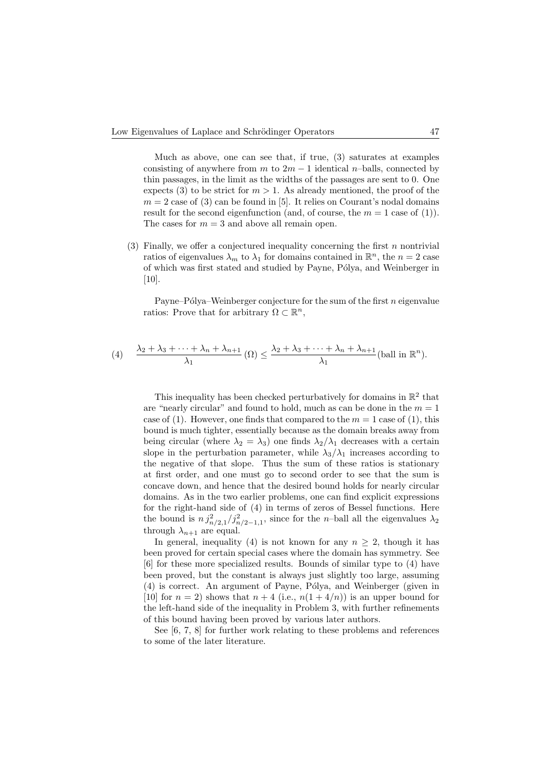Much as above, one can see that, if true, (3) saturates at examples consisting of anywhere from m to  $2m - 1$  identical n–balls, connected by thin passages, in the limit as the widths of the passages are sent to 0. One expects (3) to be strict for  $m > 1$ . As already mentioned, the proof of the  $m = 2$  case of (3) can be found in [5]. It relies on Courant's nodal domains result for the second eigenfunction (and, of course, the  $m = 1$  case of (1)). The cases for  $m = 3$  and above all remain open.

(3) Finally, we offer a conjectured inequality concerning the first  $n$  nontrivial ratios of eigenvalues  $\lambda_m$  to  $\lambda_1$  for domains contained in  $\mathbb{R}^n$ , the  $n = 2$  case of which was first stated and studied by Payne, Pólya, and Weinberger in  $[10]$ .

Payne–Pólya–Weinberger conjecture for the sum of the first  $n$  eigenvalue ratios: Prove that for arbitrary  $\Omega \subset \mathbb{R}^n$ ,

(4) 
$$
\frac{\lambda_2 + \lambda_3 + \dots + \lambda_n + \lambda_{n+1}}{\lambda_1} (\Omega) \leq \frac{\lambda_2 + \lambda_3 + \dots + \lambda_n + \lambda_{n+1}}{\lambda_1} (\text{ball in } \mathbb{R}^n).
$$

This inequality has been checked perturbatively for domains in  $\mathbb{R}^2$  that are "nearly circular" and found to hold, much as can be done in the  $m = 1$ case of (1). However, one finds that compared to the  $m = 1$  case of (1), this bound is much tighter, essentially because as the domain breaks away from being circular (where  $\lambda_2 = \lambda_3$ ) one finds  $\lambda_2/\lambda_1$  decreases with a certain slope in the perturbation parameter, while  $\lambda_3/\lambda_1$  increases according to the negative of that slope. Thus the sum of these ratios is stationary at first order, and one must go to second order to see that the sum is concave down, and hence that the desired bound holds for nearly circular domains. As in the two earlier problems, one can find explicit expressions for the right-hand side of (4) in terms of zeros of Bessel functions. Here the bound is  $n j_{n/2,1}^2 / j_{n/2-1,1}^2$ , since for the *n*-ball all the eigenvalues  $\lambda_2$ through  $\lambda_{n+1}$  are equal.

In general, inequality (4) is not known for any  $n > 2$ , though it has been proved for certain special cases where the domain has symmetry. See [6] for these more specialized results. Bounds of similar type to (4) have been proved, but the constant is always just slightly too large, assuming (4) is correct. An argument of Payne, Pólya, and Weinberger (given in [10] for  $n = 2$ ] shows that  $n + 4$  (i.e.,  $n(1 + 4/n)$ ) is an upper bound for the left-hand side of the inequality in Problem 3, with further refinements of this bound having been proved by various later authors.

See [6, 7, 8] for further work relating to these problems and references to some of the later literature.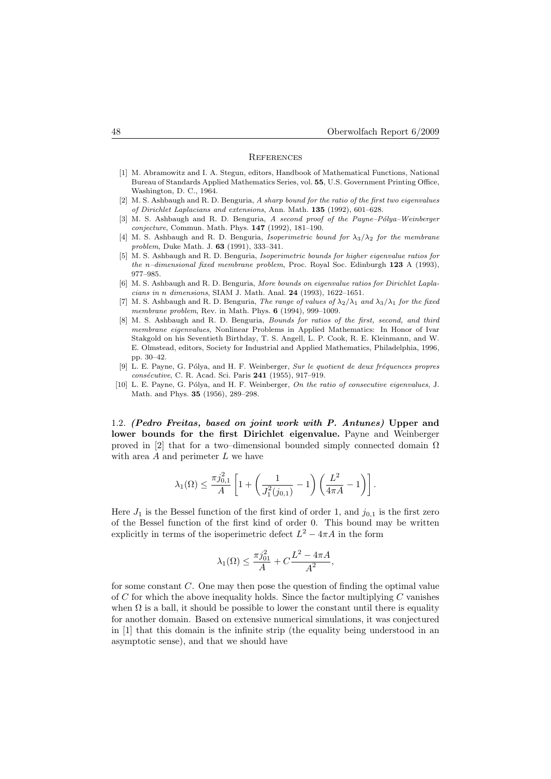#### **REFERENCES**

- [1] M. Abramowitz and I. A. Stegun, editors, Handbook of Mathematical Functions, National Bureau of Standards Applied Mathematics Series, vol. 55, U.S. Government Printing Office, Washington, D. C., 1964.
- $[2]$  M. S. Ashbaugh and R. D. Benguria, A sharp bound for the ratio of the first two eigenvalues of Dirichlet Laplacians and extensions, Ann. Math. 135 (1992), 601–628.
- [3] M. S. Ashbaugh and R. D. Benguria, A second proof of the Payne–Pólya–Weinberger conjecture, Commun. Math. Phys. 147 (1992), 181–190.
- [4] M. S. Ashbaugh and R. D. Benguria, Isoperimetric bound for  $\lambda_3/\lambda_2$  for the membrane problem, Duke Math. J. 63 (1991), 333–341.
- [5] M. S. Ashbaugh and R. D. Benguria, Isoperimetric bounds for higher eigenvalue ratios for the n–dimensional fixed membrane problem, Proc. Royal Soc. Edinburgh  $123$  A (1993), 977–985.
- [6] M. S. Ashbaugh and R. D. Benguria, More bounds on eigenvalue ratios for Dirichlet Laplacians in n dimensions, SIAM J. Math. Anal. 24 (1993), 1622–1651.
- [7] M. S. Ashbaugh and R. D. Benguria, The range of values of  $\lambda_2/\lambda_1$  and  $\lambda_3/\lambda_1$  for the fixed membrane problem, Rev. in Math. Phys. 6 (1994), 999-1009.
- [8] M. S. Ashbaugh and R. D. Benguria, Bounds for ratios of the first, second, and third membrane eigenvalues, Nonlinear Problems in Applied Mathematics: In Honor of Ivar Stakgold on his Seventieth Birthday, T. S. Angell, L. P. Cook, R. E. Kleinmann, and W. E. Olmstead, editors, Society for Industrial and Applied Mathematics, Philadelphia, 1996, pp. 30–42.
- [9] L. E. Payne, G. Pólya, and H. F. Weinberger, Sur le quotient de deux fréquences propres consécutive, C. R. Acad. Sci. Paris 241 (1955), 917-919.
- [10] L. E. Payne, G. Pólya, and H. F. Weinberger, On the ratio of consecutive eigenvalues, J. Math. and Phys. 35 (1956), 289–298.

1.2. (Pedro Freitas, based on joint work with P. Antunes) Upper and lower bounds for the first Dirichlet eigenvalue. Payne and Weinberger proved in [2] that for a two–dimensional bounded simply connected domain  $\Omega$ with area  $A$  and perimeter  $L$  we have

$$
\lambda_1(\Omega) \le \frac{\pi j_{0,1}^2}{A} \left[ 1 + \left( \frac{1}{J_1^2(j_{0,1})} - 1 \right) \left( \frac{L^2}{4\pi A} - 1 \right) \right].
$$

Here  $J_1$  is the Bessel function of the first kind of order 1, and  $j_{0,1}$  is the first zero of the Bessel function of the first kind of order 0. This bound may be written explicitly in terms of the isoperimetric defect  $L^2 - 4\pi A$  in the form

$$
\lambda_1(\Omega) \le \frac{\pi j_{01}^2}{A} + C \frac{L^2 - 4\pi A}{A^2},
$$

for some constant C. One may then pose the question of finding the optimal value of C for which the above inequality holds. Since the factor multiplying C vanishes when  $\Omega$  is a ball, it should be possible to lower the constant until there is equality for another domain. Based on extensive numerical simulations, it was conjectured in [1] that this domain is the infinite strip (the equality being understood in an asymptotic sense), and that we should have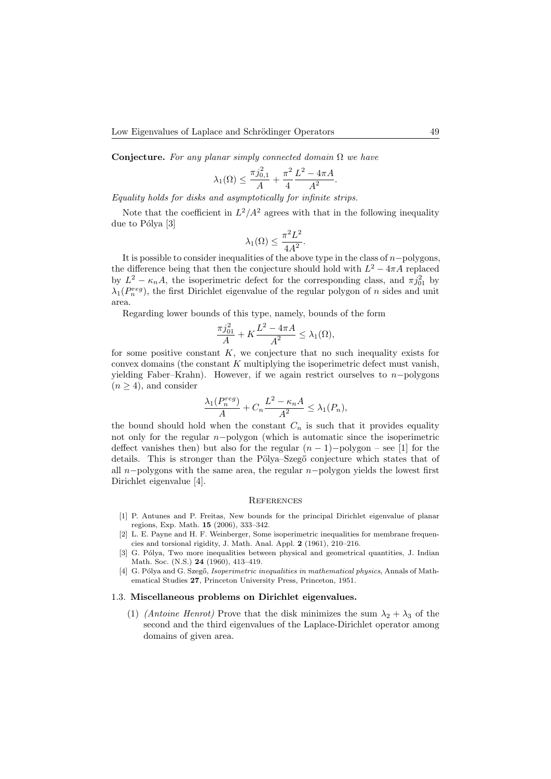Conjecture. For any planar simply connected domain  $\Omega$  we have

$$
\lambda_1(\Omega) \le \frac{\pi j_{0,1}^2}{A} + \frac{\pi^2}{4} \frac{L^2 - 4\pi A}{A^2}.
$$

Equality holds for disks and asymptotically for infinite strips.

Note that the coefficient in  $L^2/A^2$  agrees with that in the following inequality due to Pólya [3]

$$
\lambda_1(\Omega) \le \frac{\pi^2 L^2}{4A^2}.
$$

It is possible to consider inequalities of the above type in the class of  $n-polygons$ , the difference being that then the conjecture should hold with  $L^2 - 4\pi A$  replaced by  $L^2 - \kappa_n A$ , the isoperimetric defect for the corresponding class, and  $\pi j_{01}^2$  by  $\lambda_1(P_n^{reg})$ , the first Dirichlet eigenvalue of the regular polygon of n sides and unit area.

Regarding lower bounds of this type, namely, bounds of the form

$$
\frac{\pi j_{01}^2}{A} + K \frac{L^2 - 4\pi A}{A^2} \le \lambda_1(\Omega),
$$

for some positive constant  $K$ , we conjecture that no such inequality exists for convex domains (the constant K multiplying the isoperimetric defect must vanish, yielding Faber–Krahn). However, if we again restrict ourselves to  $n-polygons$  $(n \geq 4)$ , and consider

$$
\frac{\lambda_1(P_n^{reg})}{A} + C_n \frac{L^2 - \kappa_n A}{A^2} \le \lambda_1(P_n),
$$

the bound should hold when the constant  $C_n$  is such that it provides equality not only for the regular n−polygon (which is automatic since the isoperimetric deffect vanishes then) but also for the regular  $(n-1)$ –polygon – see [1] for the details. This is stronger than the Pölya–Szegő conjecture which states that of all n−polygons with the same area, the regular n−polygon yields the lowest first Dirichlet eigenvalue [4].

# **REFERENCES**

- [1] P. Antunes and P. Freitas, New bounds for the principal Dirichlet eigenvalue of planar regions, Exp. Math. 15 (2006), 333–342.
- [2] L. E. Payne and H. F. Weinberger, Some isoperimetric inequalities for membrane frequencies and torsional rigidity, J. Math. Anal. Appl. 2 (1961), 210–216.
- [3] G. Pólya, Two more inequalities between physical and geometrical quantities, J. Indian Math. Soc. (N.S.) 24 (1960), 413–419.
- [4] G. Pólya and G. Szegő, Isoperimetric inequalities in mathematical physics, Annals of Mathematical Studies 27, Princeton University Press, Princeton, 1951.

### 1.3. Miscellaneous problems on Dirichlet eigenvalues.

(1) (*Antoine Henrot*) Prove that the disk minimizes the sum  $\lambda_2 + \lambda_3$  of the second and the third eigenvalues of the Laplace-Dirichlet operator among domains of given area.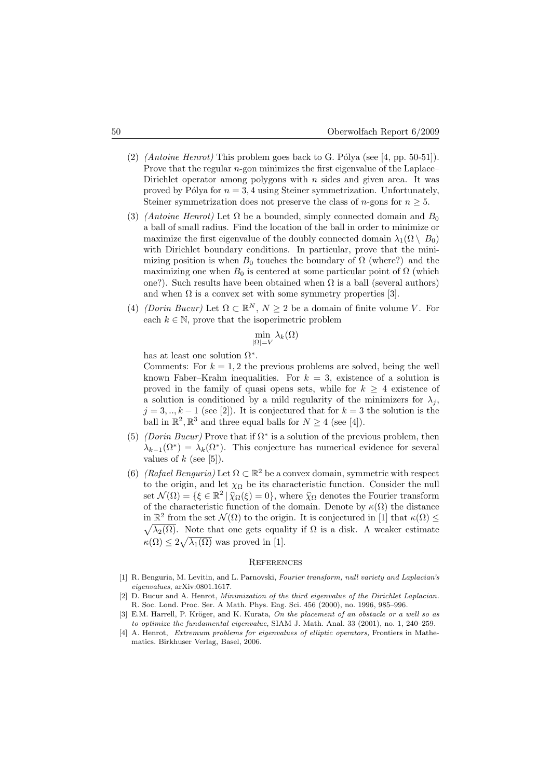- (2) (Antoine Henrot) This problem goes back to G. Pólya (see [4, pp. 50-51]). Prove that the regular  $n$ -gon minimizes the first eigenvalue of the Laplace– Dirichlet operator among polygons with  $n$  sides and given area. It was proved by Pólya for  $n = 3, 4$  using Steiner symmetrization. Unfortunately, Steiner symmetrization does not preserve the class of *n*-gons for  $n \geq 5$ .
- (3) (Antoine Henrot) Let  $\Omega$  be a bounded, simply connected domain and  $B_0$ a ball of small radius. Find the location of the ball in order to minimize or maximize the first eigenvalue of the doubly connected domain  $\lambda_1(\Omega \setminus B_0)$ with Dirichlet boundary conditions. In particular, prove that the minimizing position is when  $B_0$  touches the boundary of  $\Omega$  (where?) and the maximizing one when  $B_0$  is centered at some particular point of  $\Omega$  (which one?). Such results have been obtained when  $\Omega$  is a ball (several authors) and when  $\Omega$  is a convex set with some symmetry properties [3].
- (4) (Dorin Bucur) Let  $\Omega \subset \mathbb{R}^N$ ,  $N \geq 2$  be a domain of finite volume V. For each  $k \in \mathbb{N}$ , prove that the isoperimetric problem

$$
\min_{|\Omega|=V} \lambda_k(\Omega)
$$

has at least one solution  $\Omega^*$ .

Comments: For  $k = 1, 2$  the previous problems are solved, being the well known Faber–Krahn inequalities. For  $k = 3$ , existence of a solution is proved in the family of quasi opens sets, while for  $k \geq 4$  existence of a solution is conditioned by a mild regularity of the minimizers for  $\lambda_i$ ,  $j = 3, \dots, k-1$  (see [2]). It is conjectured that for  $k = 3$  the solution is the ball in  $\mathbb{R}^2$ ,  $\mathbb{R}^3$  and three equal balls for  $N \geq 4$  (see [4]).

- (5) (Dorin Bucur) Prove that if  $\Omega^*$  is a solution of the previous problem, then  $\lambda_{k-1}(\Omega^*) = \lambda_k(\Omega^*)$ . This conjecture has numerical evidence for several values of  $k$  (see [5]).
- (6) (Rafael Benguria) Let  $\Omega \subset \mathbb{R}^2$  be a convex domain, symmetric with respect to the origin, and let  $\chi_{\Omega}$  be its characteristic function. Consider the null set  $\mathcal{N}(\Omega) = \{\xi \in \mathbb{R}^2 \mid \hat{\chi}_{\Omega}(\xi) = 0\}$ , where  $\hat{\chi}_{\Omega}$  denotes the Fourier transform of the characteristic function of the domain. Denote by  $\kappa(\Omega)$  the distance in  $\mathbb{R}^2$  from the set  $\mathcal{N}(\Omega)$  to the origin. It is conjectured in [1] that  $\kappa(\Omega) \leq$  $\sqrt{\lambda_2(\Omega)}$ . Note that one gets equality if  $\Omega$  is a disk. A weaker estimate  $\kappa(\Omega) \leq 2\sqrt{\lambda_1(\Omega)}$  was proved in [1].

#### **REFERENCES**

- [1] R. Benguria, M. Levitin, and L. Parnovski, Fourier transform, null variety and Laplacian's eigenvalues, arXiv:0801.1617.
- D. Bucur and A. Henrot, Minimization of the third eigenvalue of the Dirichlet Laplacian. R. Soc. Lond. Proc. Ser. A Math. Phys. Eng. Sci. 456 (2000), no. 1996, 985–996.
- [3] E.M. Harrell, P. Kröger, and K. Kurata, On the placement of an obstacle or a well so as to optimize the fundamental eigenvalue, SIAM J. Math. Anal. 33 (2001), no. 1, 240–259.
- [4] A. Henrot, Extremum problems for eigenvalues of elliptic operators, Frontiers in Mathematics. Birkhuser Verlag, Basel, 2006.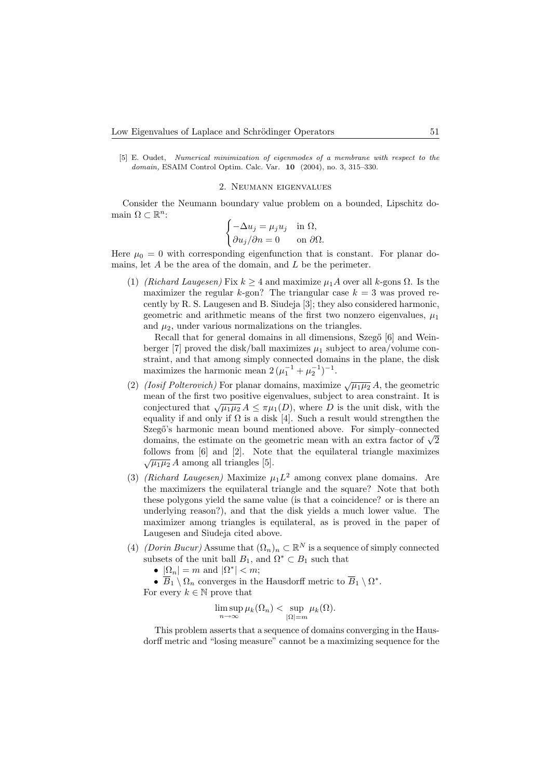[5] E. Oudet, Numerical minimization of eigenmodes of a membrane with respect to the domain, ESAIM Control Optim. Calc. Var. 10 (2004), no. 3, 315–330.

### 2. Neumann eigenvalues

Consider the Neumann boundary value problem on a bounded, Lipschitz domain  $\Omega \subset \mathbb{R}^n$ :  $\begin{array}{ccc} n \\ \vdots \end{array}$ 

$$
\begin{cases}\n-\Delta u_j = \mu_j u_j & \text{in } \Omega, \\
\partial u_j / \partial n = 0 & \text{on } \partial \Omega.\n\end{cases}
$$

Here  $\mu_0 = 0$  with corresponding eigenfunction that is constant. For planar domains, let  $A$  be the area of the domain, and  $L$  be the perimeter.

(1) (Richard Laugesen) Fix  $k \geq 4$  and maximize  $\mu_1 A$  over all k-gons  $\Omega$ . Is the maximizer the regular k-gon? The triangular case  $k = 3$  was proved recently by R. S. Laugesen and B. Siudeja [3]; they also considered harmonic, geometric and arithmetic means of the first two nonzero eigenvalues,  $\mu_1$ and  $\mu_2$ , under various normalizations on the triangles.

Recall that for general domains in all dimensions, Szegő [6] and Weinberger [7] proved the disk/ball maximizes  $\mu_1$  subject to area/volume constraint, and that among simply connected domains in the plane, the disk maximizes the harmonic mean  $2(\mu_1^{-1} + \mu_2^{-1})^{-1}$ .

- (2) (Iosif Polterovich) For planar domains, maximize  $\sqrt{\mu_1\mu_2} A$ , the geometric mean of the first two positive eigenvalues, subject to area constraint. It is conjectured that  $\sqrt{\mu_1\mu_2} A \leq \pi\mu_1(D)$ , where D is the unit disk, with the equality if and only if  $\Omega$  is a disk [4]. Such a result would strengthen the Szegő's harmonic mean bound mentioned above. For simply-connected Szego's narmonic mean bound mentioned above. For simply-connected domains, the estimate on the geometric mean with an extra factor of  $\sqrt{2}$ follows from [6] and [2]. Note that the equilateral triangle maximizes  $\sqrt{\mu_1\mu_2} A$  among all triangles [5].
- (3) (Richard Laugesen) Maximize  $\mu_1 L^2$  among convex plane domains. Are the maximizers the equilateral triangle and the square? Note that both these polygons yield the same value (is that a coincidence? or is there an underlying reason?), and that the disk yields a much lower value. The maximizer among triangles is equilateral, as is proved in the paper of Laugesen and Siudeja cited above.
- (4) (Dorin Bucur) Assume that  $(\Omega_n)_n \subset \mathbb{R}^N$  is a sequence of simply connected subsets of the unit ball  $B_1$ , and  $\Omega^* \subset B_1$  such that

•  $|\Omega_n| = m$  and  $|\Omega^*| < m$ ;

•  $\overline{B}_1 \setminus \Omega_n$  converges in the Hausdorff metric to  $\overline{B}_1 \setminus \Omega^*$ .

For every  $k \in \mathbb{N}$  prove that

$$
\limsup_{n \to \infty} \mu_k(\Omega_n) < \sup_{|\Omega| = m} \mu_k(\Omega).
$$

This problem asserts that a sequence of domains converging in the Hausdorff metric and "losing measure" cannot be a maximizing sequence for the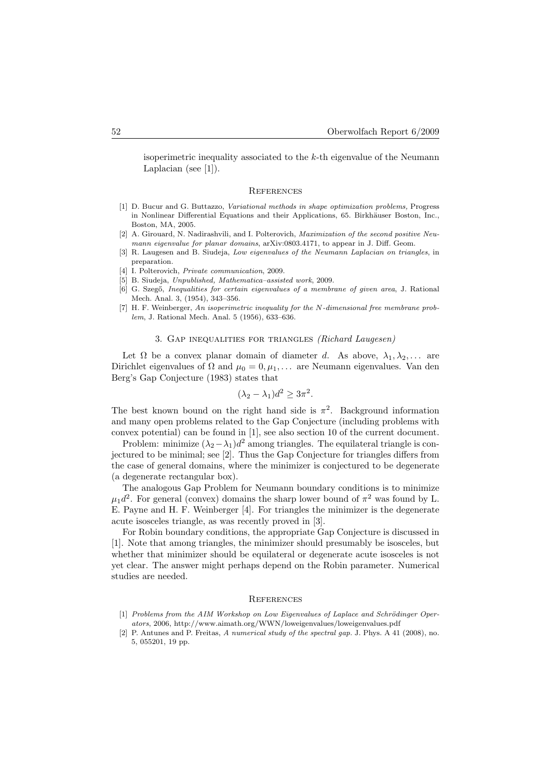isoperimetric inequality associated to the  $k$ -th eigenvalue of the Neumann Laplacian (see [1]).

#### **REFERENCES**

- [1] D. Bucur and G. Buttazzo, Variational methods in shape optimization problems, Progress in Nonlinear Differential Equations and their Applications, 65. Birkhäuser Boston, Inc., Boston, MA, 2005.
- [2] A. Girouard, N. Nadirashvili, and I. Polterovich, Maximization of the second positive Neumann eigenvalue for planar domains, arXiv:0803.4171, to appear in J. Diff. Geom.
- [3] R. Laugesen and B. Siudeja, *Low eigenvalues of the Neumann Laplacian on triangles*, in preparation.
- [4] I. Polterovich, *Private communication*, 2009.
- [5] B. Siudeja, Unpublished, Mathematica–assisted work, 2009.
- [6] G. Szegő, *Inequalities for certain eigenvalues of a membrane of given area*, J. Rational Mech. Anal. 3, (1954), 343–356.
- [7] H. F. Weinberger, An isoperimetric inequality for the N-dimensional free membrane problem, J. Rational Mech. Anal. 5 (1956), 633–636.

### 3. Gap inequalities for triangles (Richard Laugesen)

Let  $\Omega$  be a convex planar domain of diameter d. As above,  $\lambda_1, \lambda_2, \ldots$  are Dirichlet eigenvalues of  $\Omega$  and  $\mu_0 = 0, \mu_1, \ldots$  are Neumann eigenvalues. Van den Berg's Gap Conjecture (1983) states that

$$
(\lambda_2 - \lambda_1)d^2 \ge 3\pi^2.
$$

The best known bound on the right hand side is  $\pi^2$ . Background information and many open problems related to the Gap Conjecture (including problems with convex potential) can be found in [1], see also section 10 of the current document.

Problem: minimize  $(\lambda_2 - \lambda_1)d^2$  among triangles. The equilateral triangle is conjectured to be minimal; see [2]. Thus the Gap Conjecture for triangles differs from the case of general domains, where the minimizer is conjectured to be degenerate (a degenerate rectangular box).

The analogous Gap Problem for Neumann boundary conditions is to minimize  $\mu_1 d^2$ . For general (convex) domains the sharp lower bound of  $\pi^2$  was found by L. E. Payne and H. F. Weinberger [4]. For triangles the minimizer is the degenerate acute isosceles triangle, as was recently proved in [3].

For Robin boundary conditions, the appropriate Gap Conjecture is discussed in [1]. Note that among triangles, the minimizer should presumably be isosceles, but whether that minimizer should be equilateral or degenerate acute isosceles is not yet clear. The answer might perhaps depend on the Robin parameter. Numerical studies are needed.

#### **REFERENCES**

- $[1]$  Problems from the AIM Workshop on Low Eigenvalues of Laplace and Schrödinger Operators, 2006, http://www.aimath.org/WWN/loweigenvalues/loweigenvalues.pdf
- [2] P. Antunes and P. Freitas, A numerical study of the spectral gap. J. Phys. A 41 (2008), no. 5, 055201, 19 pp.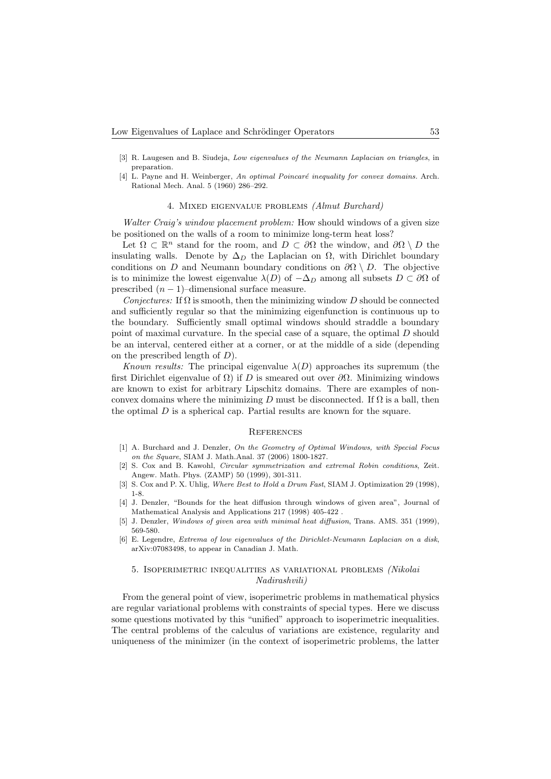- [3] R. Laugesen and B. Siudeja, Low eigenvalues of the Neumann Laplacian on triangles, in preparation.
- [4] L. Payne and H. Weinberger, An optimal Poincaré inequality for convex domains. Arch. Rational Mech. Anal. 5 (1960) 286–292.

### 4. Mixed eigenvalue problems (Almut Burchard)

Walter Craig's window placement problem: How should windows of a given size be positioned on the walls of a room to minimize long-term heat loss?

Let  $\Omega \subset \mathbb{R}^n$  stand for the room, and  $D \subset \partial\Omega$  the window, and  $\partial\Omega \setminus D$  the insulating walls. Denote by  $\Delta_D$  the Laplacian on  $\Omega$ , with Dirichlet boundary conditions on D and Neumann boundary conditions on  $\partial\Omega \setminus D$ . The objective is to minimize the lowest eigenvalue  $\lambda(D)$  of  $-\Delta_D$  among all subsets  $D \subset \partial\Omega$  of prescribed  $(n-1)$ –dimensional surface measure.

Conjectures: If  $\Omega$  is smooth, then the minimizing window D should be connected and sufficiently regular so that the minimizing eigenfunction is continuous up to the boundary. Sufficiently small optimal windows should straddle a boundary point of maximal curvature. In the special case of a square, the optimal D should be an interval, centered either at a corner, or at the middle of a side (depending on the prescribed length of  $D$ ).

Known results: The principal eigenvalue  $\lambda(D)$  approaches its supremum (the first Dirichlet eigenvalue of  $\Omega$ ) if D is smeared out over  $\partial\Omega$ . Minimizing windows are known to exist for arbitrary Lipschitz domains. There are examples of nonconvex domains where the minimizing D must be disconnected. If  $\Omega$  is a ball, then the optimal  $D$  is a spherical cap. Partial results are known for the square.

### **REFERENCES**

- [1] A. Burchard and J. Denzler, On the Geometry of Optimal Windows, with Special Focus on the Square, SIAM J. Math.Anal. 37 (2006) 1800-1827.
- [2] S. Cox and B. Kawohl, Circular symmetrization and extremal Robin conditions, Zeit. Angew. Math. Phys. (ZAMP) 50 (1999), 301-311.
- [3] S. Cox and P. X. Uhlig, Where Best to Hold a Drum Fast, SIAM J. Optimization 29 (1998), 1-8.
- [4] J. Denzler, "Bounds for the heat diffusion through windows of given area", Journal of Mathematical Analysis and Applications 217 (1998) 405-422 .
- [5] J. Denzler, Windows of given area with minimal heat diffusion, Trans. AMS. 351 (1999), 569-580.
- [6] E. Legendre, Extrema of low eigenvalues of the Dirichlet-Neumann Laplacian on a disk, arXiv:07083498, to appear in Canadian J. Math.

# 5. Isoperimetric inequalities as variational problems (Nikolai Nadirashvili)

From the general point of view, isoperimetric problems in mathematical physics are regular variational problems with constraints of special types. Here we discuss some questions motivated by this "unified" approach to isoperimetric inequalities. The central problems of the calculus of variations are existence, regularity and uniqueness of the minimizer (in the context of isoperimetric problems, the latter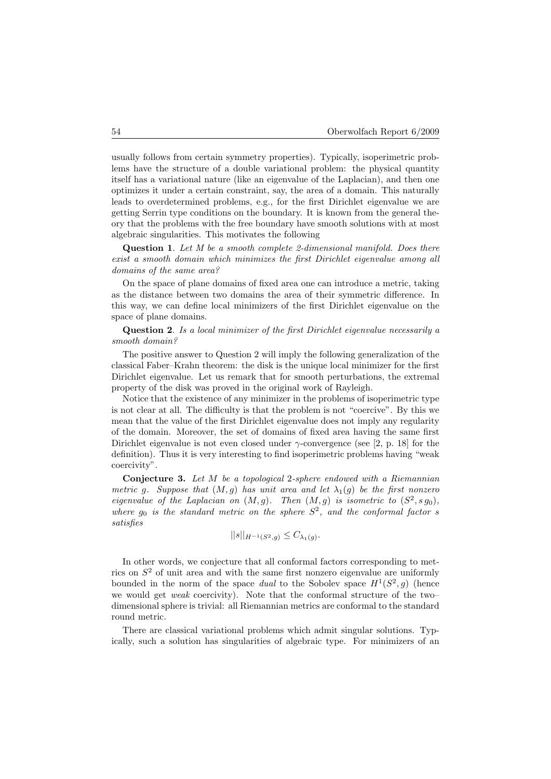usually follows from certain symmetry properties). Typically, isoperimetric problems have the structure of a double variational problem: the physical quantity itself has a variational nature (like an eigenvalue of the Laplacian), and then one optimizes it under a certain constraint, say, the area of a domain. This naturally leads to overdetermined problems, e.g., for the first Dirichlet eigenvalue we are getting Serrin type conditions on the boundary. It is known from the general theory that the problems with the free boundary have smooth solutions with at most algebraic singularities. This motivates the following

Question 1. Let M be a smooth complete 2-dimensional manifold. Does there exist a smooth domain which minimizes the first Dirichlet eigenvalue among all domains of the same area?

On the space of plane domains of fixed area one can introduce a metric, taking as the distance between two domains the area of their symmetric difference. In this way, we can define local minimizers of the first Dirichlet eigenvalue on the space of plane domains.

Question 2. Is a local minimizer of the first Dirichlet eigenvalue necessarily a smooth domain?

The positive answer to Question 2 will imply the following generalization of the classical Faber–Krahn theorem: the disk is the unique local minimizer for the first Dirichlet eigenvalue. Let us remark that for smooth perturbations, the extremal property of the disk was proved in the original work of Rayleigh.

Notice that the existence of any minimizer in the problems of isoperimetric type is not clear at all. The difficulty is that the problem is not "coercive". By this we mean that the value of the first Dirichlet eigenvalue does not imply any regularity of the domain. Moreover, the set of domains of fixed area having the same first Dirichlet eigenvalue is not even closed under  $\gamma$ -convergence (see [2, p. 18] for the definition). Thus it is very interesting to find isoperimetric problems having "weak coercivity".

Conjecture 3. Let M be a topological 2-sphere endowed with a Riemannian metric g. Suppose that  $(M, g)$  has unit area and let  $\lambda_1(g)$  be the first nonzero eigenvalue of the Laplacian on  $(M, g)$ . Then  $(M, g)$  is isometric to  $(S^2, s g_0)$ , where  $g_0$  is the standard metric on the sphere  $S^2$ , and the conformal factor s satisfies

$$
||s||_{H^{-1}(S^2,g)} \leq C_{\lambda_1(g)}.
$$

In other words, we conjecture that all conformal factors corresponding to metrics on  $S<sup>2</sup>$  of unit area and with the same first nonzero eigenvalue are uniformly bounded in the norm of the space dual to the Sobolev space  $H^1(S^2, g)$  (hence we would get *weak* coercivity). Note that the conformal structure of the two– dimensional sphere is trivial: all Riemannian metrics are conformal to the standard round metric.

There are classical variational problems which admit singular solutions. Typically, such a solution has singularities of algebraic type. For minimizers of an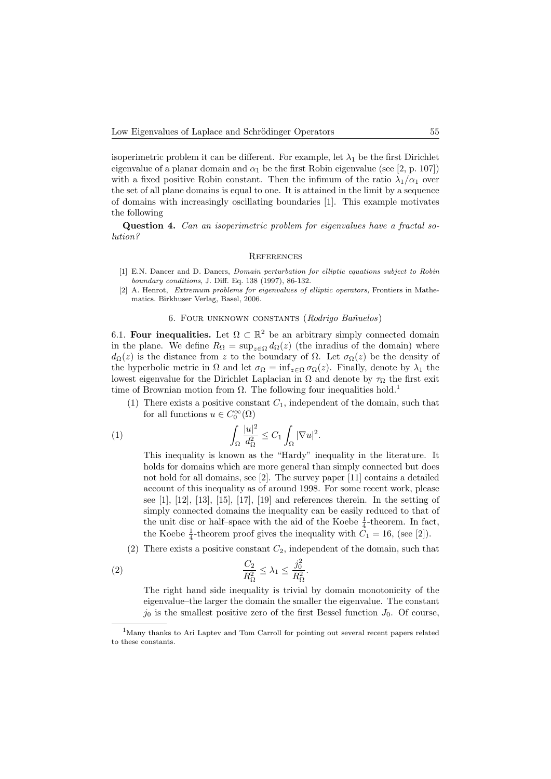isoperimetric problem it can be different. For example, let  $\lambda_1$  be the first Dirichlet eigenvalue of a planar domain and  $\alpha_1$  be the first Robin eigenvalue (see [2, p. 107]) with a fixed positive Robin constant. Then the infimum of the ratio  $\lambda_1/\alpha_1$  over the set of all plane domains is equal to one. It is attained in the limit by a sequence of domains with increasingly oscillating boundaries [1]. This example motivates the following

Question 4. Can an isoperimetric problem for eigenvalues have a fractal solution?

### **REFERENCES**

- [1] E.N. Dancer and D. Daners, Domain perturbation for elliptic equations subject to Robin boundary conditions, J. Diff. Eq. 138 (1997), 86-132.
- [2] A. Henrot, Extremum problems for eigenvalues of elliptic operators, Frontiers in Mathematics. Birkhuser Verlag, Basel, 2006.

# 6. FOUR UNKNOWN CONSTANTS (Rodrigo Bañuelos)

6.1. Four inequalities. Let  $\Omega \subset \mathbb{R}^2$  be an arbitrary simply connected domain in the plane. We define  $R_{\Omega} = \sup_{z \in \Omega} d_{\Omega}(z)$  (the inradius of the domain) where  $d_{\Omega}(z)$  is the distance from z to the boundary of  $\Omega$ . Let  $\sigma_{\Omega}(z)$  be the density of the hyperbolic metric in  $\Omega$  and let  $\sigma_{\Omega} = \inf_{z \in \Omega} \sigma_{\Omega}(z)$ . Finally, denote by  $\lambda_1$  the lowest eigenvalue for the Dirichlet Laplacian in  $\Omega$  and denote by  $\tau_{\Omega}$  the first exit time of Brownian motion from  $\Omega$ . The following four inequalities hold.<sup>1</sup>

(1) There exists a positive constant  $C_1$ , independent of the domain, such that for all functions  $u \in C_0^{\infty}(\Omega)$ 

(1) 
$$
\int_{\Omega} \frac{|u|^2}{d_{\Omega}^2} \leq C_1 \int_{\Omega} |\nabla u|^2.
$$

This inequality is known as the "Hardy" inequality in the literature. It holds for domains which are more general than simply connected but does not hold for all domains, see [2]. The survey paper [11] contains a detailed account of this inequality as of around 1998. For some recent work, please see  $[1]$ ,  $[12]$ ,  $[13]$ ,  $[15]$ ,  $[17]$ ,  $[19]$  and references therein. In the setting of simply connected domains the inequality can be easily reduced to that of the unit disc or half–space with the aid of the Koebe  $\frac{1}{4}$ -theorem. In fact, the Koebe  $\frac{1}{4}$ -theorem proof gives the inequality with  $C_1 = 16$ , (see [2]).

(2) There exists a positive constant  $C_2$ , independent of the domain, such that

$$
\frac{C_2}{R_\Omega^2} \le \lambda_1 \le \frac{j_0^2}{R_\Omega^2}.
$$

The right hand side inequality is trivial by domain monotonicity of the eigenvalue–the larger the domain the smaller the eigenvalue. The constant  $j_0$  is the smallest positive zero of the first Bessel function  $J_0$ . Of course,

<sup>1</sup>Many thanks to Ari Laptev and Tom Carroll for pointing out several recent papers related to these constants.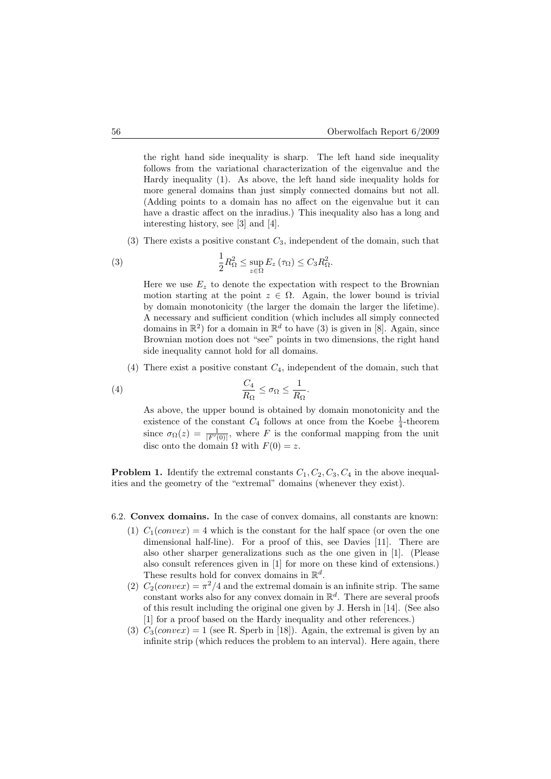the right hand side inequality is sharp. The left hand side inequality follows from the variational characterization of the eigenvalue and the Hardy inequality (1). As above, the left hand side inequality holds for more general domains than just simply connected domains but not all. (Adding points to a domain has no affect on the eigenvalue but it can have a drastic affect on the inradius.) This inequality also has a long and interesting history, see [3] and [4].

(3) There exists a positive constant  $C_3$ , independent of the domain, such that

(3) 
$$
\frac{1}{2}R_{\Omega}^2 \leq \sup_{z \in \Omega} E_z(\tau_{\Omega}) \leq C_3 R_{\Omega}^2.
$$

Here we use  $E_z$  to denote the expectation with respect to the Brownian motion starting at the point  $z \in \Omega$ . Again, the lower bound is trivial by domain monotonicity (the larger the domain the larger the lifetime). A necessary and sufficient condition (which includes all simply connected domains in  $\mathbb{R}^2$ ) for a domain in  $\mathbb{R}^d$  to have (3) is given in [8]. Again, since Brownian motion does not "see" points in two dimensions, the right hand side inequality cannot hold for all domains.

(4) There exist a positive constant  $C_4$ , independent of the domain, such that

(4) 
$$
\frac{C_4}{R_{\Omega}} \leq \sigma_{\Omega} \leq \frac{1}{R_{\Omega}}.
$$

As above, the upper bound is obtained by domain monotonicity and the existence of the constant  $C_4$  follows at once from the Koebe  $\frac{1}{4}$ -theorem since  $\sigma_{\Omega}(z) = \frac{1}{|F'(0)|}$ , where F is the conformal mapping from the unit disc onto the domain  $\Omega$  with  $F(0) = z$ .

**Problem 1.** Identify the extremal constants  $C_1, C_2, C_3, C_4$  in the above inequalities and the geometry of the "extremal" domains (whenever they exist).

### 6.2. Convex domains. In the case of convex domains, all constants are known:

- (1)  $C_1$ (*convex*) = 4 which is the constant for the half space (or oven the one dimensional half-line). For a proof of this, see Davies [11]. There are also other sharper generalizations such as the one given in [1]. (Please also consult references given in [1] for more on these kind of extensions.) These results hold for convex domains in  $\mathbb{R}^d$ .
- (2)  $C_2(convex) = \pi^2/4$  and the extremal domain is an infinite strip. The same constant works also for any convex domain in  $\mathbb{R}^d$ . There are several proofs of this result including the original one given by J. Hersh in [14]. (See also [1] for a proof based on the Hardy inequality and other references.)
- (3)  $C_3$ (convex) = 1 (see R. Sperb in [18]). Again, the extremal is given by an infinite strip (which reduces the problem to an interval). Here again, there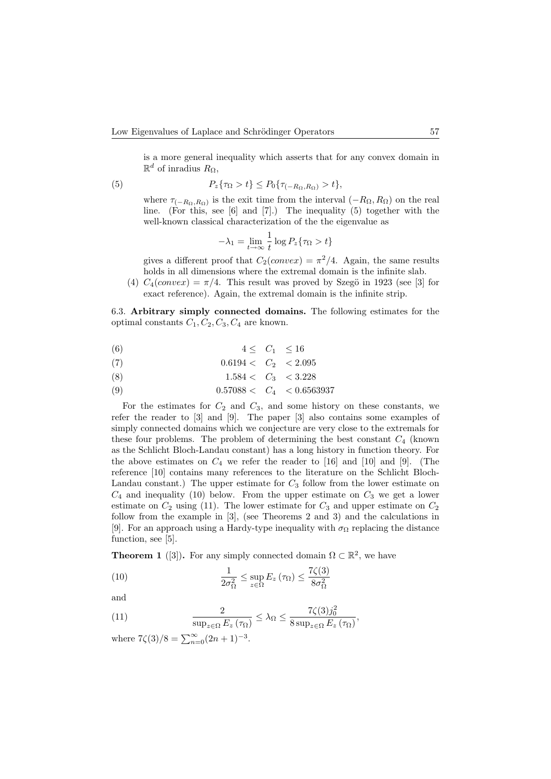is a more general inequality which asserts that for any convex domain in  $\mathbb{R}^d$  of inradius  $R_{\Omega}$ ,

(5) 
$$
P_z{\tau_{\Omega > t} \le P_0{\tau_{(-R_{\Omega},R_{\Omega}) > t}},
$$

where  $\tau_{(-R_{\Omega},R_{\Omega})}$  is the exit time from the interval  $(-R_{\Omega},R_{\Omega})$  on the real line. (For this, see [6] and [7].) The inequality (5) together with the well-known classical characterization of the the eigenvalue as

$$
-\lambda_1 = \lim_{t \to \infty} \frac{1}{t} \log P_z \{ \tau_\Omega > t \}
$$

gives a different proof that  $C_2(convex) = \pi^2/4$ . Again, the same results holds in all dimensions where the extremal domain is the infinite slab.

(4)  $C_4(convex) = \pi/4$ . This result was proved by Szegö in 1923 (see [3] for exact reference). Again, the extremal domain is the infinite strip.

6.3. Arbitrary simply connected domains. The following estimates for the optimal constants  $C_1, C_2, C_3, C_4$  are known.

$$
(6) \qquad \qquad 4 \leq C_1 \leq 16
$$

$$
(7) \t\t\t 0.6194 < C_2 < 2.095
$$

$$
(8) \t\t\t 1.584 < C_3 < 3.228
$$

$$
(9) \t\t 0.57088 < C_4 < 0.6563937
$$

For the estimates for  $C_2$  and  $C_3$ , and some history on these constants, we refer the reader to [3] and [9]. The paper [3] also contains some examples of simply connected domains which we conjecture are very close to the extremals for these four problems. The problem of determining the best constant  $C_4$  (known as the Schlicht Bloch-Landau constant) has a long history in function theory. For the above estimates on  $C_4$  we refer the reader to [16] and [10] and [9]. (The reference [10] contains many references to the literature on the Schlicht Bloch-Landau constant.) The upper estimate for  $C_3$  follow from the lower estimate on  $C_4$  and inequality (10) below. From the upper estimate on  $C_3$  we get a lower estimate on  $C_2$  using (11). The lower estimate for  $C_3$  and upper estimate on  $C_2$ follow from the example in [3], (see Theorems 2 and 3) and the calculations in [9]. For an approach using a Hardy-type inequality with  $\sigma_{\Omega}$  replacing the distance function, see [5].

**Theorem 1** ([3]). For any simply connected domain  $\Omega \subset \mathbb{R}^2$ , we have

(10) 
$$
\frac{1}{2\sigma_{\Omega}^2} \leq \sup_{z \in \Omega} E_z(\tau_{\Omega}) \leq \frac{7\zeta(3)}{8\sigma_{\Omega}^2}
$$

and

(11) 
$$
\frac{2}{\sup_{z \in \Omega} E_z(\tau_{\Omega})} \leq \lambda_{\Omega} \leq \frac{7\zeta(3)j_0^2}{8 \sup_{z \in \Omega} E_z(\tau_{\Omega})},
$$

where  $7\zeta(3)/8 = \sum_{n=0}^{\infty} (2n+1)^{-3}$ .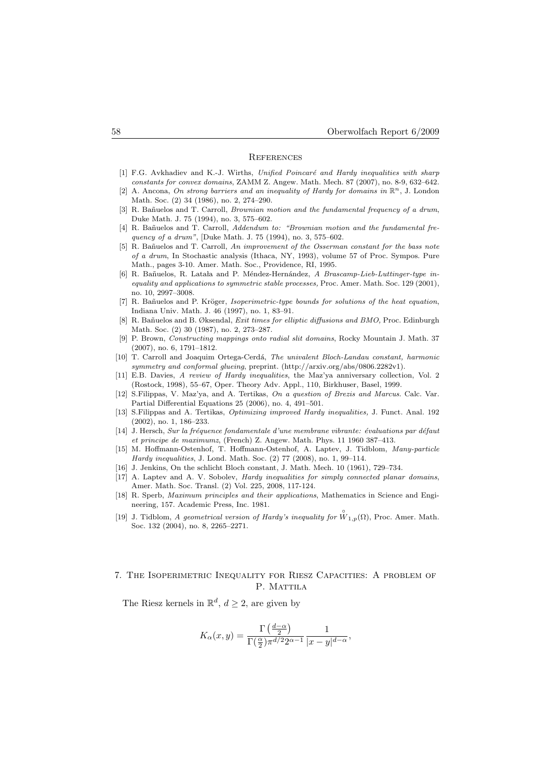#### **REFERENCES**

- [1] F.G. Avkhadiev and K.-J. Wirths, Unified Poincaré and Hardy inequalities with sharp constants for convex domains, ZAMM Z. Angew. Math. Mech. 87 (2007), no. 8-9, 632–642.
- A. Ancona, On strong barriers and an inequality of Hardy for domains in  $\mathbb{R}^n$ , J. London Math. Soc. (2) 34 (1986), no. 2, 274–290.
- [3] R. Bañuelos and T. Carroll, *Brownian motion and the fundamental frequency of a drum*, Duke Math. J. 75 (1994), no. 3, 575–602.
- [4] R. Bañuelos and T. Carroll, Addendum to: "Brownian motion and the fundamental frequency of a drum", [Duke Math. J. 75 (1994), no. 3, 575–602.
- [5] R. Bañuelos and T. Carroll, An improvement of the Osserman constant for the bass note of a drum, In Stochastic analysis (Ithaca, NY, 1993), volume 57 of Proc. Sympos. Pure Math., pages 3-10. Amer. Math. Soc., Providence, RI, 1995.
- [6] R. Bañuelos, R. Latala and P. Méndez-Hernández, A Brascamp-Lieb-Luttinger-type inequality and applications to symmetric stable processes, Proc. Amer. Math. Soc. 129 (2001), no. 10, 2997–3008.
- [7] R. Bañuelos and P. Kröger, Isoperimetric-type bounds for solutions of the heat equation, Indiana Univ. Math. J. 46 (1997), no. 1, 83–91.
- [8] R. Bañuelos and B. Øksendal, *Exit times for elliptic diffusions and BMO*, Proc. Edinburgh Math. Soc. (2) 30 (1987), no. 2, 273–287.
- [9] P. Brown, Constructing mappings onto radial slit domains, Rocky Mountain J. Math. 37 (2007), no. 6, 1791–1812.
- [10] T. Carroll and Joaquim Ortega-Cerdá, The univalent Bloch-Landau constant, harmonic symmetry and conformal glueing, preprint. (http://arxiv.org/abs/0806.2282v1).
- [11] E.B. Davies, A review of Hardy inequalities, the Maz'ya anniversary collection, Vol. 2 (Rostock, 1998), 55–67, Oper. Theory Adv. Appl., 110, Birkhuser, Basel, 1999.
- [12] S.Filippas, V. Maz'ya, and A. Tertikas, On a question of Brezis and Marcus. Calc. Var. Partial Differential Equations 25 (2006), no. 4, 491–501.
- [13] S.Filippas and A. Tertikas, Optimizing improved Hardy inequalities, J. Funct. Anal. 192 (2002), no. 1, 186–233.
- [14] J. Hersch, Sur la fréquence fondamentale d'une membrane vibrante: évaluations par défaut et principe de maximumz, (French) Z. Angew. Math. Phys. 11 1960 387–413.
- [15] M. Hoffmann-Ostenhof, T. Hoffmann-Ostenhof, A. Laptev, J. Tidblom, Many-particle Hardy inequalities, J. Lond. Math. Soc. (2) 77 (2008), no. 1, 99–114.
- [16] J. Jenkins, On the schlicht Bloch constant, J. Math. Mech. 10 (1961), 729–734.
- [17] A. Laptev and A. V. Sobolev, *Hardy inequalities for simply connected planar domains*, Amer. Math. Soc. Transl. (2) Vol. 225, 2008, 117-124.
- [18] R. Sperb, Maximum principles and their applications, Mathematics in Science and Engineering, 157. Academic Press, Inc. 1981.
- [19] J. Tidblom, A geometrical version of Hardy's inequality for  $\overset{\circ}{W}_{1,p}(\Omega)$ , Proc. Amer. Math. Soc. 132 (2004), no. 8, 2265–2271.

# 7. The Isoperimetric Inequality for Riesz Capacities: A problem of P. MATTILA

The Riesz kernels in  $\mathbb{R}^d$ ,  $d \geq 2$ , are given by

$$
K_{\alpha}(x,y) = \frac{\Gamma\left(\frac{d-\alpha}{2}\right)}{\Gamma\left(\frac{\alpha}{2}\right)\pi^{d/2}2^{\alpha-1}} \frac{1}{|x-y|^{d-\alpha}},
$$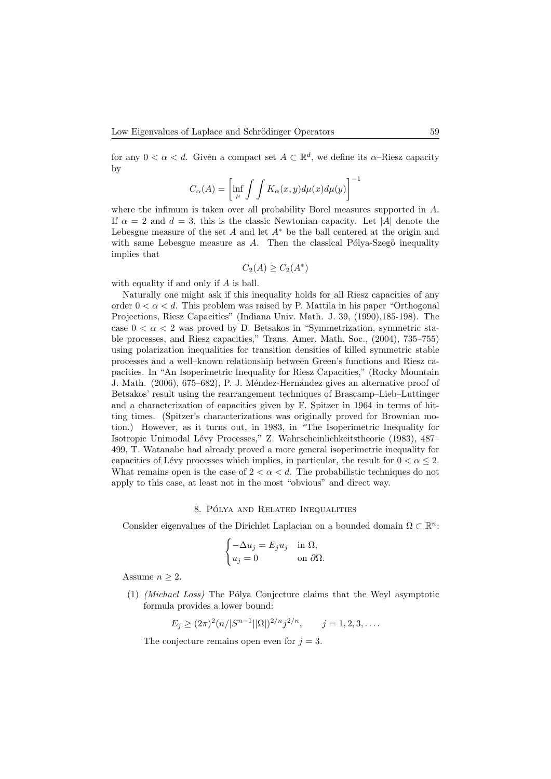for any  $0 < \alpha < d$ . Given a compact set  $A \subset \mathbb{R}^d$ , we define its  $\alpha$ -Riesz capacity by

$$
C_{\alpha}(A) = \left[\inf_{\mu} \int \int K_{\alpha}(x, y) d\mu(x) d\mu(y)\right]^{-1}
$$

where the infimum is taken over all probability Borel measures supported in A. If  $\alpha = 2$  and  $d = 3$ , this is the classic Newtonian capacity. Let |A| denote the Lebesgue measure of the set  $A$  and let  $A^*$  be the ball centered at the origin and with same Lebesgue measure as  $A$ . Then the classical Pólya-Szegö inequality implies that

$$
C_2(A) \ge C_2(A^*)
$$

with equality if and only if A is ball.

Naturally one might ask if this inequality holds for all Riesz capacities of any order  $0 < \alpha < d$ . This problem was raised by P. Mattila in his paper "Orthogonal" Projections, Riesz Capacities" (Indiana Univ. Math. J. 39, (1990),185-198). The case  $0 < \alpha < 2$  was proved by D. Betsakos in "Symmetrization, symmetric stable processes, and Riesz capacities," Trans. Amer. Math. Soc., (2004), 735–755) using polarization inequalities for transition densities of killed symmetric stable processes and a well–known relationship between Green's functions and Riesz capacities. In "An Isoperimetric Inequality for Riesz Capacities," (Rocky Mountain J. Math. (2006), 675–682), P. J. Méndez-Hernández gives an alternative proof of Betsakos' result using the rearrangement techniques of Brascamp–Lieb–Luttinger and a characterization of capacities given by F. Spitzer in 1964 in terms of hitting times. (Spitzer's characterizations was originally proved for Brownian motion.) However, as it turns out, in 1983, in "The Isoperimetric Inequality for Isotropic Unimodal L´evy Processes," Z. Wahrscheinlichkeitstheorie (1983), 487– 499, T. Watanabe had already proved a more general isoperimetric inequality for capacities of Lévy processes which implies, in particular, the result for  $0 < \alpha \leq 2$ . What remains open is the case of  $2 < \alpha < d$ . The probabilistic techniques do not apply to this case, at least not in the most "obvious" and direct way.

# 8. PÓLYA AND RELATED INEQUALITIES

Consider eigenvalues of the Dirichlet Laplacian on a bounded domain  $\Omega \subset \mathbb{R}^n$ :

$$
\begin{cases}\n-\Delta u_j = E_j u_j & \text{in } \Omega, \\
u_j = 0 & \text{on } \partial \Omega.\n\end{cases}
$$

Assume  $n \geq 2$ .

 $(1)$  *(Michael Loss)* The Pólya Conjecture claims that the Weyl asymptotic formula provides a lower bound:

$$
E_j \ge (2\pi)^2 (n/|S^{n-1}||\Omega|)^{2/n} j^{2/n}, \qquad j = 1, 2, 3, ....
$$

The conjecture remains open even for  $j = 3$ .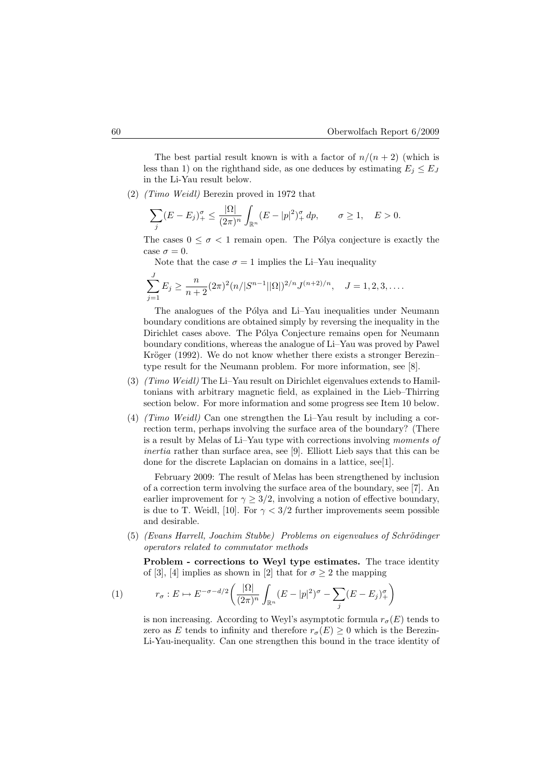The best partial result known is with a factor of  $n/(n+2)$  (which is less than 1) on the righthand side, as one deduces by estimating  $E_i \le E_J$ in the Li-Yau result below.

(2) (Timo Weidl) Berezin proved in 1972 that

$$
\sum_{j} (E - E_j)_+^{\sigma} \le \frac{|\Omega|}{(2\pi)^n} \int_{\mathbb{R}^n} (E - |p|^2)_+^{\sigma} dp, \qquad \sigma \ge 1, \quad E > 0.
$$

The cases  $0 \leq \sigma \leq 1$  remain open. The Pólya conjecture is exactly the case  $\sigma = 0$ .

Note that the case  $\sigma = 1$  implies the Li–Yau inequality

$$
\sum_{j=1}^{J} E_j \ge \frac{n}{n+2} (2\pi)^2 (n/|S^{n-1}| |\Omega|)^{2/n} J^{(n+2)/n}, \quad J = 1, 2, 3, ....
$$

The analogues of the Pólya and Li–Yau inequalities under Neumann boundary conditions are obtained simply by reversing the inequality in the Dirichlet cases above. The Pólya Conjecture remains open for Neumann boundary conditions, whereas the analogue of Li–Yau was proved by Pawel Kröger (1992). We do not know whether there exists a stronger Berezin– type result for the Neumann problem. For more information, see [8].

- (3) (Timo Weidl) The Li–Yau result on Dirichlet eigenvalues extends to Hamiltonians with arbitrary magnetic field, as explained in the Lieb–Thirring section below. For more information and some progress see Item 10 below.
- (4) (Timo Weidl) Can one strengthen the Li–Yau result by including a correction term, perhaps involving the surface area of the boundary? (There is a result by Melas of Li–Yau type with corrections involving moments of inertia rather than surface area, see [9]. Elliott Lieb says that this can be done for the discrete Laplacian on domains in a lattice, see[1].

February 2009: The result of Melas has been strengthened by inclusion of a correction term involving the surface area of the boundary, see [7]. An earlier improvement for  $\gamma \geq 3/2$ , involving a notion of effective boundary, is due to T. Weidl, [10]. For  $\gamma < 3/2$  further improvements seem possible and desirable.

 $(5)$  (Evans Harrell, Joachim Stubbe) Problems on eigenvalues of Schrödinger operators related to commutator methods

Problem - corrections to Weyl type estimates. The trace identity of [3], [4] implies as shown in [2] that for  $\sigma \geq 2$  the mapping

(1) 
$$
r_{\sigma}: E \mapsto E^{-\sigma - d/2} \left( \frac{|\Omega|}{(2\pi)^n} \int_{\mathbb{R}^n} (E - |p|^2)^{\sigma} - \sum_j (E - E_j)^{\sigma} \right)
$$

is non increasing. According to Weyl's asymptotic formula  $r_{\sigma}(E)$  tends to zero as E tends to infinity and therefore  $r_{\sigma}(E) \geq 0$  which is the Berezin-Li-Yau-inequality. Can one strengthen this bound in the trace identity of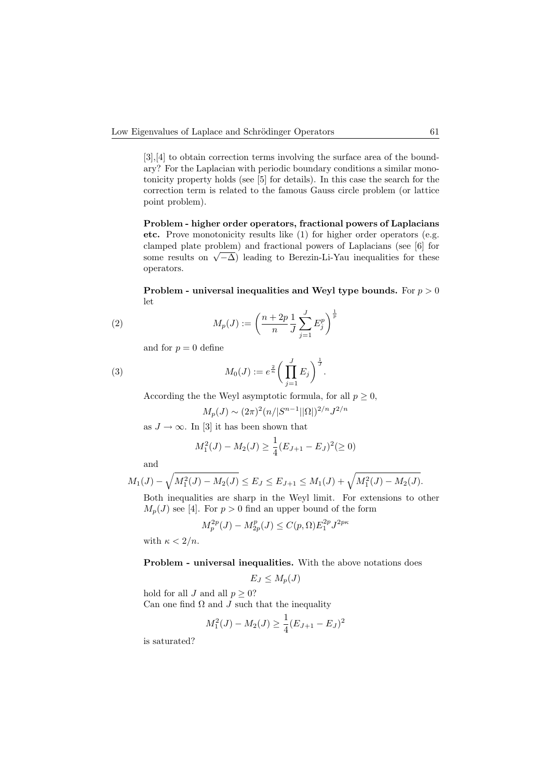[3],[4] to obtain correction terms involving the surface area of the boundary? For the Laplacian with periodic boundary conditions a similar monotonicity property holds (see [5] for details). In this case the search for the correction term is related to the famous Gauss circle problem (or lattice point problem).

Problem - higher order operators, fractional powers of Laplacians etc. Prove monotonicity results like (1) for higher order operators (e.g. clamped plate problem) and fractional powers of Laplacians (see [6] for clamped plate problem) and fractional powers of Laplacians (see [0] for some results on  $\sqrt{-\Delta}$ ) leading to Berezin-Li-Yau inequalities for these operators.

Problem - universal inequalities and Weyl type bounds. For  $p > 0$ let

(2) 
$$
M_p(J) := \left(\frac{n+2p}{n}\frac{1}{J}\sum_{j=1}^J E_j^p\right)^{\frac{1}{p}}
$$

and for  $p = 0$  define

(3) 
$$
M_0(J) := e^{\frac{2}{n}} \bigg( \prod_{j=1}^J E_j \bigg)^{\frac{1}{J}}.
$$

According the the Weyl asymptotic formula, for all  $p \geq 0$ ,

$$
M_p(J) \sim (2\pi)^2 (n/|S^{n-1}||\Omega|)^{2/n} J^{2/n}
$$

as  $J \to \infty$ . In [3] it has been shown that

$$
M_1^2(J) - M_2(J) \ge \frac{1}{4}(E_{J+1} - E_J)^2 \ge 0
$$

and

$$
M_1(J) - \sqrt{M_1^2(J) - M_2(J)} \le E_J \le E_{J+1} \le M_1(J) + \sqrt{M_1^2(J) - M_2(J)}.
$$

Both inequalities are sharp in the Weyl limit. For extensions to other  $M_p(J)$  see [4]. For  $p > 0$  find an upper bound of the form

$$
M_p^{2p}(J) - M_{2p}^p(J) \le C(p,\Omega) E_1^{2p} J^{2p\kappa}
$$

with  $\kappa < 2/n$ .

Problem - universal inequalities. With the above notations does

$$
E_J \le M_p(J)
$$

hold for all J and all  $p \geq 0$ ? Can one find  $\Omega$  and  $J$  such that the inequality

$$
M_1^2(J) - M_2(J) \ge \frac{1}{4}(E_{J+1} - E_J)^2
$$

is saturated?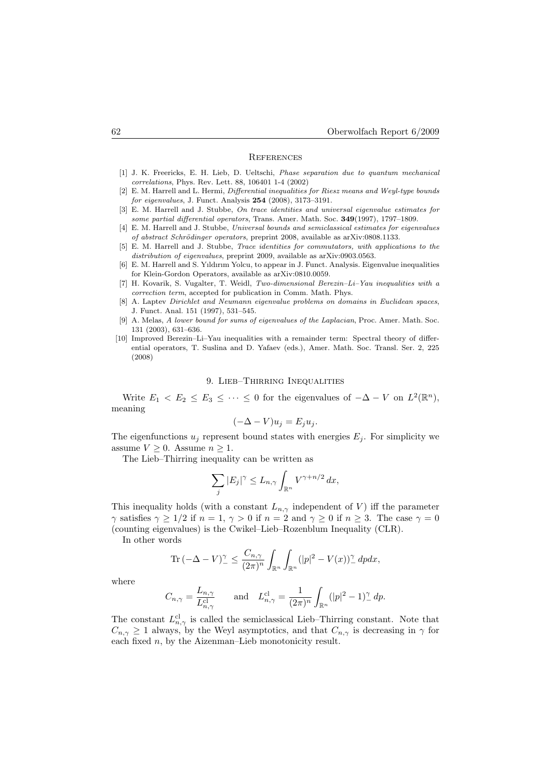#### **REFERENCES**

- [1] J. K. Freericks, E. H. Lieb, D. Ueltschi, Phase separation due to quantum mechanical correlations, Phys. Rev. Lett. 88, 106401 1-4 (2002)
- [2] E. M. Harrell and L. Hermi, Differential inequalities for Riesz means and Weyl-type bounds for eigenvalues, J. Funct. Analysis 254 (2008), 3173–3191.
- [3] E. M. Harrell and J. Stubbe, On trace identities and universal eigenvalue estimates for some partial differential operators, Trans. Amer. Math. Soc. 349(1997), 1797–1809.
- [4] E. M. Harrell and J. Stubbe, Universal bounds and semiclassical estimates for eigenvalues of abstract Schrödinger operators, preprint 2008, available as arXiv:0808.1133.
- [5] E. M. Harrell and J. Stubbe, Trace identities for commutators, with applications to the distribution of eigenvalues, preprint 2009, available as arXiv:0903.0563.
- [6] E. M. Harrell and S. Yıldırım Yolcu, to appear in J. Funct. Analysis. Eigenvalue inequalities for Klein-Gordon Operators, available as arXiv:0810.0059.
- [7] H. Kovarik, S. Vugalter, T. Weidl, Two-dimensional Berezin–Li–Yau inequalities with a correction term, accepted for publication in Comm. Math. Phys.
- [8] A. Laptev Dirichlet and Neumann eigenvalue problems on domains in Euclidean spaces, J. Funct. Anal. 151 (1997), 531–545.
- [9] A. Melas, A lower bound for sums of eigenvalues of the Laplacian, Proc. Amer. Math. Soc. 131 (2003), 631–636.
- [10] Improved Berezin–Li–Yau inequalities with a remainder term: Spectral theory of differential operators, T. Suslina and D. Yafaev (eds.), Amer. Math. Soc. Transl. Ser. 2, 225 (2008)

### 9. Lieb–Thirring Inequalities

Write  $E_1 \leq E_2 \leq E_3 \leq \cdots \leq 0$  for the eigenvalues of  $-\Delta - V$  on  $L^2(\mathbb{R}^n)$ , meaning

$$
(-\Delta - V)u_j = E_j u_j.
$$

The eigenfunctions  $u_j$  represent bound states with energies  $E_j$ . For simplicity we assume  $V \geq 0$ . Assume  $n \geq 1$ .

The Lieb–Thirring inequality can be written as

$$
\sum_{j} |E_j|^\gamma \le L_{n,\gamma} \int_{\mathbb{R}^n} V^{\gamma + n/2} \, dx,
$$

This inequality holds (with a constant  $L_{n,\gamma}$  independent of V) iff the parameter  $\gamma$  satisfies  $\gamma \geq 1/2$  if  $n = 1$ ,  $\gamma > 0$  if  $n = 2$  and  $\gamma \geq 0$  if  $n \geq 3$ . The case  $\gamma = 0$ (counting eigenvalues) is the Cwikel–Lieb–Rozenblum Inequality (CLR).

In other words

$$
\operatorname{Tr}\left(-\Delta-V\right)^{\gamma}_{-} \leq \frac{C_{n,\gamma}}{(2\pi)^n} \int_{\mathbb{R}^n} \int_{\mathbb{R}^n} (|p|^2 - V(x))^{\gamma}_{-} dp dx,
$$

where

$$
C_{n,\gamma} = \frac{L_{n,\gamma}}{L_{n,\gamma}^{\text{cl}}} \quad \text{and} \quad L_{n,\gamma}^{\text{cl}} = \frac{1}{(2\pi)^n} \int_{\mathbb{R}^n} (|p|^2 - 1)^\gamma_- \, dp.
$$

The constant  $L_{n,\gamma}^{cl}$  is called the semiclassical Lieb–Thirring constant. Note that  $C_{n,\gamma} \geq 1$  always, by the Weyl asymptotics, and that  $C_{n,\gamma}$  is decreasing in  $\gamma$  for each fixed  $n$ , by the Aizenman–Lieb monotonicity result.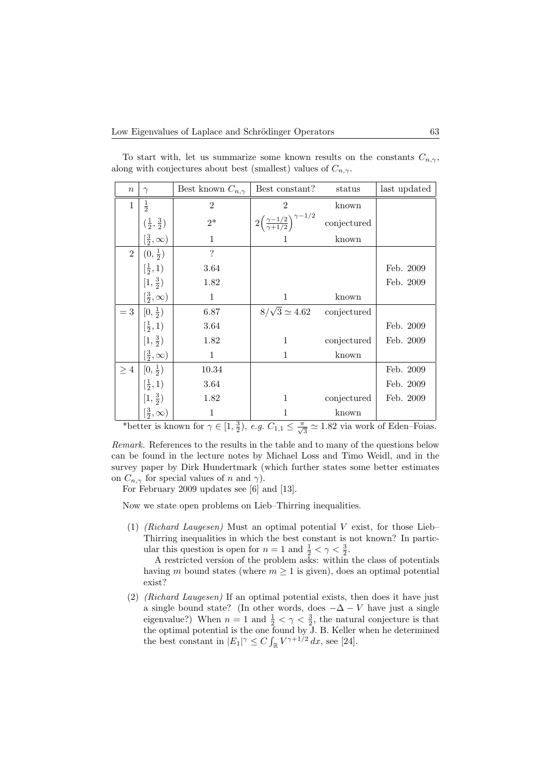| $\boldsymbol{n}$ | $\gamma$                          | Best known $C_{n,\gamma}$ | Best constant?                                             | status      | last updated |
|------------------|-----------------------------------|---------------------------|------------------------------------------------------------|-------------|--------------|
| $\mathbf{1}$     | $\frac{1}{2}$                     | $\overline{2}$            | $\overline{2}$                                             | known       |              |
|                  | $(\frac{1}{2}, \frac{3}{2})$      | $2^\ast$                  | $2\left(\frac{\gamma-1/2}{\gamma+1/2}\right)^{\gamma-1/2}$ | conjectured |              |
|                  | $\left[\frac{3}{2},\infty\right)$ | $\mathbf{1}$              |                                                            | known       |              |
| $\overline{2}$   | $(0, \frac{1}{2})$                | $\overline{\mathcal{L}}$  |                                                            |             |              |
|                  | $[\frac{1}{2}, 1)$                | 3.64                      |                                                            |             | Feb. 2009    |
|                  | $[1, \frac{3}{2})$                | 1.82                      |                                                            |             | Feb. 2009    |
|                  | $\left[\frac{3}{2},\infty\right)$ | $\mathbf{1}$              | 1                                                          | known       |              |
| $=$ 3            | $[0, \frac{1}{2})$                | 6.87                      | $8/\sqrt{3} \simeq 4.62$                                   | conjectured |              |
|                  | $[\frac{1}{2}, 1)$                | $3.64\,$                  |                                                            |             | Feb. 2009    |
|                  | $[1, \frac{3}{2})$                | 1.82                      | $\mathbf{1}$                                               | conjectured | Feb. 2009    |
|                  | $\left[\frac{3}{2},\infty\right)$ | $\mathbf{1}$              | 1                                                          | known       |              |
| $\geq 4$         | $[0, \frac{1}{2})$                | 10.34                     |                                                            |             | Feb. 2009    |
|                  | $\left[\frac{1}{2},1\right)$      | 3.64                      |                                                            |             | Feb. 2009    |
|                  | $[1, \frac{3}{2})$                | 1.82                      | 1                                                          | conjectured | Feb. 2009    |
|                  | $\left[\frac{3}{2},\infty\right)$ | $\mathbf{1}$              | 1                                                          | known       |              |

To start with, let us summarize some known results on the constants  $C_{n,\gamma}$ , along with conjectures about best (smallest) values of  $C_{n,\gamma}$ .

\*better is known for  $\gamma \in [1, \frac{3}{2}), e.g.$   $C_{1,1} \leq \frac{\pi}{\sqrt{3}} \simeq 1.82$  via work of Eden–Foias.

Remark. References to the results in the table and to many of the questions below can be found in the lecture notes by Michael Loss and Timo Weidl, and in the survey paper by Dirk Hundertmark (which further states some better estimates on  $C_{n,\gamma}$  for special values of n and  $\gamma$ ).

For February 2009 updates see [6] and [13].

Now we state open problems on Lieb–Thirring inequalities.

(1) (Richard Laugesen) Must an optimal potential V exist, for those Lieb– Thirring inequalities in which the best constant is not known? In particular this question is open for  $n = 1$  and  $\frac{1}{2} < \gamma < \frac{3}{2}$ .

A restricted version of the problem asks: within the class of potentials having m bound states (where  $m \geq 1$  is given), does an optimal potential exist?

(2) (Richard Laugesen) If an optimal potential exists, then does it have just a single bound state? (In other words, does  $-\Delta - V$  have just a single eigenvalue?) When  $n = 1$  and  $\frac{1}{2} < \gamma < \frac{3}{2}$ , the natural conjecture is that the optimal potential is the one found by J. B. Keller when he determined the best constant in  $|E_1|^{\gamma} \leq C \int_{\mathbb{R}} V^{\gamma+1/2} dx$ , see [24].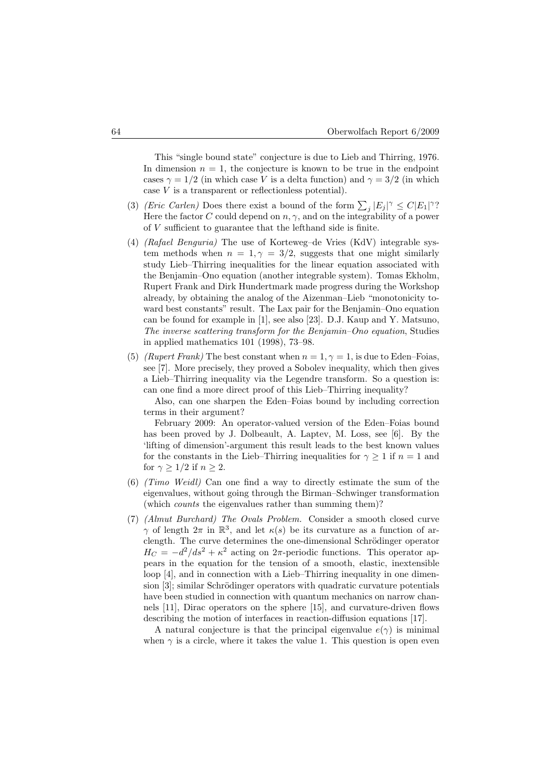This "single bound state" conjecture is due to Lieb and Thirring, 1976. In dimension  $n = 1$ , the conjecture is known to be true in the endpoint cases  $\gamma = 1/2$  (in which case V is a delta function) and  $\gamma = 3/2$  (in which case  $V$  is a transparent or reflectionless potential).

- (3) (Eric Carlen) Does there exist a bound of the form  $\sum_j |E_j|^\gamma \leq C |E_1|^\gamma$ ? Here the factor  $C$  could depend on  $n, \gamma$ , and on the integrability of a power of V sufficient to guarantee that the lefthand side is finite.
- (4) (Rafael Benguria) The use of Korteweg–de Vries (KdV) integrable system methods when  $n = 1, \gamma = 3/2$ , suggests that one might similarly study Lieb–Thirring inequalities for the linear equation associated with the Benjamin–Ono equation (another integrable system). Tomas Ekholm, Rupert Frank and Dirk Hundertmark made progress during the Workshop already, by obtaining the analog of the Aizenman–Lieb "monotonicity toward best constants" result. The Lax pair for the Benjamin–Ono equation can be found for example in [1], see also [23]. D.J. Kaup and Y. Matsuno, The inverse scattering transform for the Benjamin–Ono equation, Studies in applied mathematics 101 (1998), 73–98.
- (5) (Rupert Frank) The best constant when  $n = 1, \gamma = 1$ , is due to Eden–Foias, see [7]. More precisely, they proved a Sobolev inequality, which then gives a Lieb–Thirring inequality via the Legendre transform. So a question is: can one find a more direct proof of this Lieb–Thirring inequality?

Also, can one sharpen the Eden–Foias bound by including correction terms in their argument?

February 2009: An operator-valued version of the Eden–Foias bound has been proved by J. Dolbeault, A. Laptev, M. Loss, see [6]. By the 'lifting of dimension'-argument this result leads to the best known values for the constants in the Lieb–Thirring inequalities for  $\gamma \geq 1$  if  $n = 1$  and for  $\gamma \geq 1/2$  if  $n \geq 2$ .

- (6) (Timo Weidl) Can one find a way to directly estimate the sum of the eigenvalues, without going through the Birman–Schwinger transformation (which counts the eigenvalues rather than summing them)?
- (7) (Almut Burchard) The Ovals Problem. Consider a smooth closed curve  $\gamma$  of length  $2\pi$  in  $\mathbb{R}^3$ , and let  $\kappa(s)$  be its curvature as a function of arclength. The curve determines the one-dimensional Schrödinger operator  $H_C = -d^2/ds^2 + \kappa^2$  acting on  $2\pi$ -periodic functions. This operator appears in the equation for the tension of a smooth, elastic, inextensible loop [4], and in connection with a Lieb–Thirring inequality in one dimension  $[3]$ ; similar Schrödinger operators with quadratic curvature potentials have been studied in connection with quantum mechanics on narrow channels [11], Dirac operators on the sphere [15], and curvature-driven flows describing the motion of interfaces in reaction-diffusion equations [17].

A natural conjecture is that the principal eigenvalue  $e(\gamma)$  is minimal when  $\gamma$  is a circle, where it takes the value 1. This question is open even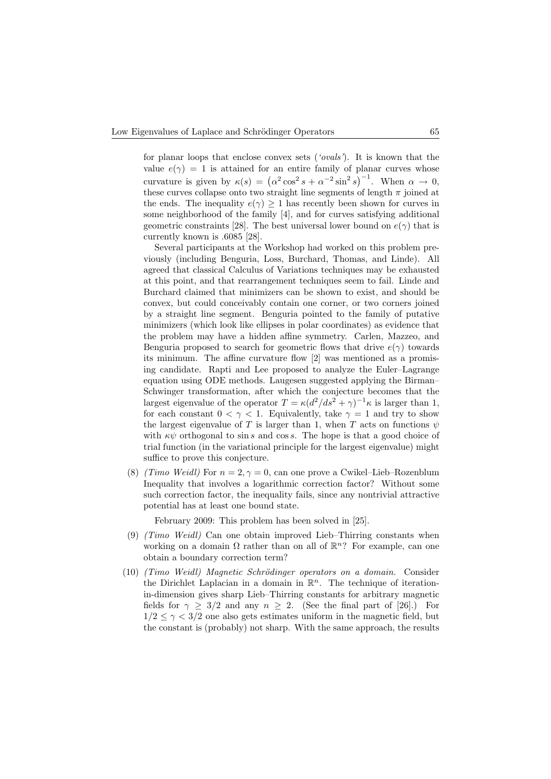for planar loops that enclose convex sets ('ovals'). It is known that the value  $e(\gamma) = 1$  is attained for an entire family of planar curves whose curvature is given by  $\kappa(s) = (\alpha^2 \cos^2 s + \alpha^{-2} \sin^2 s)^{-1}$ . When  $\alpha \to 0$ , these curves collapse onto two straight line segments of length  $\pi$  joined at the ends. The inequality  $e(\gamma) \geq 1$  has recently been shown for curves in some neighborhood of the family [4], and for curves satisfying additional geometric constraints [28]. The best universal lower bound on  $e(\gamma)$  that is currently known is .6085 [28].

Several participants at the Workshop had worked on this problem previously (including Benguria, Loss, Burchard, Thomas, and Linde). All agreed that classical Calculus of Variations techniques may be exhausted at this point, and that rearrangement techniques seem to fail. Linde and Burchard claimed that minimizers can be shown to exist, and should be convex, but could conceivably contain one corner, or two corners joined by a straight line segment. Benguria pointed to the family of putative minimizers (which look like ellipses in polar coordinates) as evidence that the problem may have a hidden affine symmetry. Carlen, Mazzeo, and Benguria proposed to search for geometric flows that drive  $e(\gamma)$  towards its minimum. The affine curvature flow [2] was mentioned as a promising candidate. Rapti and Lee proposed to analyze the Euler–Lagrange equation using ODE methods. Laugesen suggested applying the Birman– Schwinger transformation, after which the conjecture becomes that the largest eigenvalue of the operator  $T = \kappa (d^2/ds^2 + \gamma)^{-1} \kappa$  is larger than 1, for each constant  $0 < \gamma < 1$ . Equivalently, take  $\gamma = 1$  and try to show the largest eigenvalue of T is larger than 1, when T acts on functions  $\psi$ with  $\kappa \psi$  orthogonal to sin s and cos s. The hope is that a good choice of trial function (in the variational principle for the largest eigenvalue) might suffice to prove this conjecture.

(8) (Timo Weidl) For  $n = 2, \gamma = 0$ , can one prove a Cwikel–Lieb–Rozenblum Inequality that involves a logarithmic correction factor? Without some such correction factor, the inequality fails, since any nontrivial attractive potential has at least one bound state.

February 2009: This problem has been solved in [25].

- (9) (Timo Weidl) Can one obtain improved Lieb–Thirring constants when working on a domain  $\Omega$  rather than on all of  $\mathbb{R}^n$ ? For example, can one obtain a boundary correction term?
- (10) (Timo Weidl) Magnetic Schrödinger operators on a domain. Consider the Dirichlet Laplacian in a domain in  $\mathbb{R}^n$ . The technique of iterationin-dimension gives sharp Lieb–Thirring constants for arbitrary magnetic fields for  $\gamma \geq 3/2$  and any  $n \geq 2$ . (See the final part of [26].) For  $1/2 \leq \gamma < 3/2$  one also gets estimates uniform in the magnetic field, but the constant is (probably) not sharp. With the same approach, the results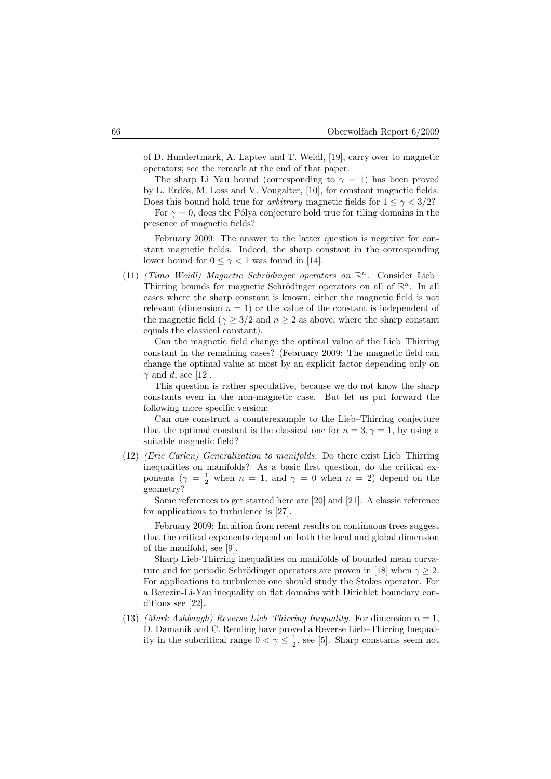of D. Hundertmark, A. Laptev and T. Weidl, [19], carry over to magnetic operators; see the remark at the end of that paper.

The sharp Li–Yau bound (corresponding to  $\gamma = 1$ ) has been proved by L. Erdös, M. Loss and V. Vougalter, [10], for constant magnetic fields. Does this bound hold true for *arbitrary* magnetic fields for  $1 \leq \gamma < 3/2$ ?

For  $\gamma = 0$ , does the Pólya conjecture hold true for tiling domains in the presence of magnetic fields?

February 2009: The answer to the latter question is negative for constant magnetic fields. Indeed, the sharp constant in the corresponding lower bound for  $0 \leq \gamma < 1$  was found in [14].

(11) (Timo Weidl) Magnetic Schrödinger operators on  $\mathbb{R}^n$ . Consider Lieb-Thirring bounds for magnetic Schrödinger operators on all of  $\mathbb{R}^n$ . In all cases where the sharp constant is known, either the magnetic field is not relevant (dimension  $n = 1$ ) or the value of the constant is independent of the magnetic field ( $\gamma \geq 3/2$  and  $n \geq 2$  as above, where the sharp constant equals the classical constant).

Can the magnetic field change the optimal value of the Lieb–Thirring constant in the remaining cases? (February 2009: The magnetic field can change the optimal value at most by an explicit factor depending only on  $\gamma$  and d; see [12].

This question is rather speculative, because we do not know the sharp constants even in the non-magnetic case. But let us put forward the following more specific version:

Can one construct a counterexample to the Lieb–Thirring conjecture that the optimal constant is the classical one for  $n = 3, \gamma = 1$ , by using a suitable magnetic field?

(12) (Eric Carlen) Generalization to manifolds. Do there exist Lieb–Thirring inequalities on manifolds? As a basic first question, do the critical exponents  $(\gamma = \frac{1}{2}$  when  $n = 1$ , and  $\gamma = 0$  when  $n = 2$ ) depend on the geometry?

Some references to get started here are [20] and [21]. A classic reference for applications to turbulence is [27].

February 2009: Intuition from recent results on continuous trees suggest that the critical exponents depend on both the local and global dimension of the manifold, see [9].

Sharp Lieb-Thirring inequalities on manifolds of bounded mean curvature and for periodic Schrödinger operators are proven in [18] when  $\gamma \geq 2$ . For applications to turbulence one should study the Stokes operator. For a Berezin-Li-Yau inequality on flat domains with Dirichlet boundary conditions see [22].

(13) (Mark Ashbaugh) Reverse Lieb–Thirring Inequality. For dimension  $n = 1$ , D. Damanik and C. Remling have proved a Reverse Lieb–Thirring Inequality in the subcritical range  $0 < \gamma \leq \frac{1}{2}$ , see [5]. Sharp constants seem not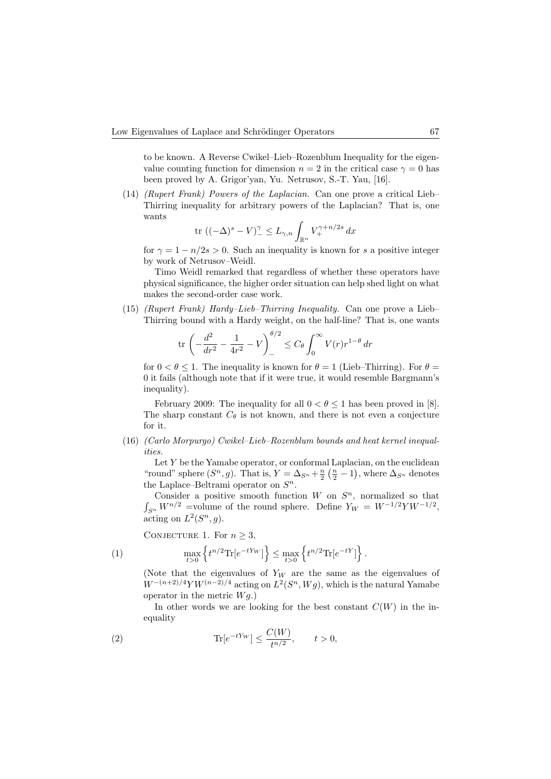to be known. A Reverse Cwikel–Lieb–Rozenblum Inequality for the eigenvalue counting function for dimension  $n = 2$  in the critical case  $\gamma = 0$  has been proved by A. Grigor'yan, Yu. Netrusov, S.-T. Yau, [16].

(14) (Rupert Frank) Powers of the Laplacian. Can one prove a critical Lieb– Thirring inequality for arbitrary powers of the Laplacian? That is, one wants

$$
\text{tr } ((-\Delta)^s - V)_-^{\gamma} \le L_{\gamma,n} \int_{\mathbb{R}^n} V_+^{\gamma + n/2s} \, dx
$$

for  $\gamma = 1 - n/2s > 0$ . Such an inequality is known for s a positive integer by work of Netrusov–Weidl.

Timo Weidl remarked that regardless of whether these operators have physical significance, the higher order situation can help shed light on what makes the second-order case work.

(15) (Rupert Frank) Hardy–Lieb–Thirring Inequality. Can one prove a Lieb– Thirring bound with a Hardy weight, on the half-line? That is, one wants

$$
\text{tr}\left(-\frac{d^2}{dr^2} - \frac{1}{4r^2} - V\right)_{-}^{\theta/2} \le C_\theta \int_0^\infty V(r) r^{1-\theta} \, dr
$$

for  $0 < \theta \leq 1$ . The inequality is known for  $\theta = 1$  (Lieb–Thirring). For  $\theta =$ 0 it fails (although note that if it were true, it would resemble Bargmann's inequality).

February 2009: The inequality for all  $0 < \theta \leq 1$  has been proved in [8]. The sharp constant  $C_{\theta}$  is not known, and there is not even a conjecture for it.

(16) (Carlo Morpurgo) Cwikel–Lieb–Rozenblum bounds and heat kernel inequalities.

Let  $Y$  be the Yamabe operator, or conformal Laplacian, on the euclidean "round" sphere  $(S^n, g)$ . That is,  $Y = \Delta_{S^n} + \frac{n}{2} (\frac{n}{2} - 1)$ , where  $\Delta_{S^n}$  denotes the Laplace–Beltrami operator on  $S<sup>n</sup>$ .

Consider a positive smooth function  $W$  on  $S<sup>n</sup>$ , normalized so that  $\int_{S^n} W^{n/2} =$ volume of the round sphere. Define  $Y_W = W^{-1/2} Y W^{-1/2}$ , acting on  $L^2(S^n, g)$ .

CONJECTURE 1. For  $n \geq 3$ ,

(1) 
$$
\max_{t>0} \left\{ t^{n/2} \text{Tr} [e^{-tY_W}] \right\} \leq \max_{t>0} \left\{ t^{n/2} \text{Tr} [e^{-tY}] \right\}.
$$

(Note that the eigenvalues of  $Y_W$  are the same as the eigenvalues of  $W^{-(n+2)/4}YW^{(n-2)/4}$  acting on  $L^2(S^n, Wg)$ , which is the natural Yamabe operator in the metric  $Wq$ .)

In other words we are looking for the best constant  $C(W)$  in the inequality

(2) 
$$
\text{Tr}[e^{-tY_W}] \le \frac{C(W)}{t^{n/2}}, \qquad t > 0,
$$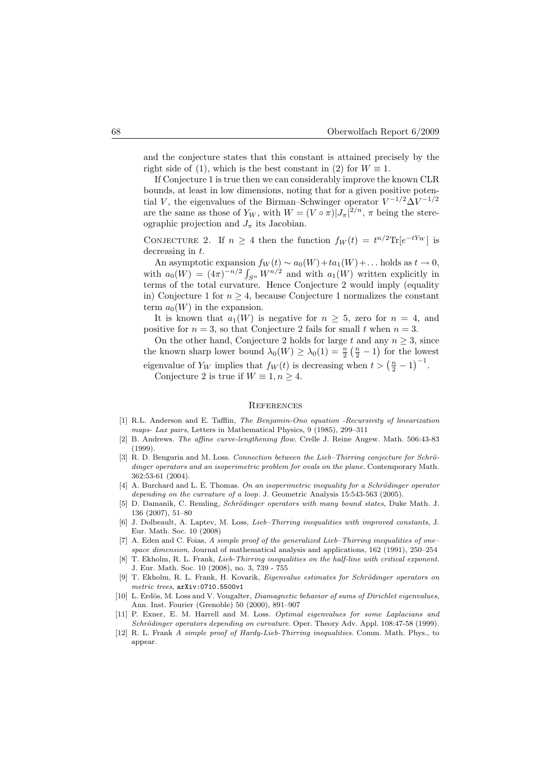and the conjecture states that this constant is attained precisely by the right side of (1), which is the best constant in (2) for  $W \equiv 1$ .

If Conjecture 1 is true then we can considerably improve the known CLR bounds, at least in low dimensions, noting that for a given positive potential V, the eigenvalues of the Birman–Schwinger operator  $V^{-1/2}\Delta V^{-1/2}$ are the same as those of  $Y_W$ , with  $W = (V \circ \pi) |J_\pi|^{2/n}$ ,  $\pi$  being the stereographic projection and  $J_{\pi}$  its Jacobian.

CONJECTURE 2. If  $n \geq 4$  then the function  $f_W(t) = t^{n/2} \text{Tr}[e^{-tY_W}]$  is decreasing in t.

An asymptotic expansion  $f_W(t) \sim a_0(W) + ta_1(W) + \dots$  holds as  $t \to 0$ , with  $a_0(W) = (4\pi)^{-n/2} \int_{S^n} W^{n/2}$  and with  $a_1(W)$  written explicitly in terms of the total curvature. Hence Conjecture 2 would imply (equality in) Conjecture 1 for  $n \geq 4$ , because Conjecture 1 normalizes the constant term  $a_0(W)$  in the expansion.

It is known that  $a_1(W)$  is negative for  $n \geq 5$ , zero for  $n = 4$ , and positive for  $n = 3$ , so that Conjecture 2 fails for small t when  $n = 3$ .

On the other hand, Conjecture 2 holds for large t and any  $n \geq 3$ , since the known sharp lower bound  $\lambda_0(W) \geq \lambda_0(1) = \frac{n}{2} \left( \frac{n}{2} - 1 \right)$  for the lowest eigenvalue of  $Y_W$  implies that  $f_W(t)$  is decreasing when  $t > (\frac{n}{2} - 1)^{-1}$ . Conjecture 2 is true if  $W \equiv 1, n \geq 4$ .

#### **REFERENCES**

- [1] R.L. Anderson and E. Tafflin, The Benjamin-Ono equation -Recursivity of linearization maps- Lax pairs, Letters in Mathematical Physics, 9 (1985), 299–311
- [2] B. Andrews. The affine curve-lengthening flow. Crelle J. Reine Angew. Math. 506:43-83 (1999).
- [3] R. D. Benguria and M. Loss. Connection between the Lieb–Thirring conjecture for Schrödinger operators and an isoperimetric problem for ovals on the plane. Contemporary Math. 362:53-61 (2004).
- [4] A. Burchard and L. E. Thomas. On an isoperimetric inequality for a Schrödinger operator depending on the curvature of a loop. J. Geometric Analysis 15:543-563 (2005).
- [5] D. Damanik, C. Remling, Schrödinger operators with many bound states, Duke Math. J. 136 (2007), 51–80
- [6] J. Dolbeault, A. Laptev, M. Loss, Lieb–Thirring inequalities with improved constants, J. Eur. Math. Soc. 10 (2008)
- [7] A. Eden and C. Foias, A simple proof of the generalized Lieb-Thirring inequalities of onespace dimension, Journal of mathematical analysis and applications, 162 (1991), 250–254
- [8] T. Ekholm, R. L. Frank, *Lieb-Thirring inequalities on the half-line with critical exponent.* J. Eur. Math. Soc. 10 (2008), no. 3, 739 - 755
- [9] T. Ekholm, R. L. Frank, H. Kovarik, Eigenvalue estimates for Schrödinger operators on metric trees, arXiv:0710.5500v1
- [10] L. Erdös, M. Loss and V. Vougalter, *Diamagnetic behavior of sums of Dirichlet eigenvalues*, Ann. Inst. Fourier (Grenoble) 50 (2000), 891–907
- [11] P. Exner, E. M. Harrell and M. Loss. Optimal eigenvalues for some Laplacians and Schrödinger operators depending on curvature. Oper. Theory Adv. Appl. 108:47-58 (1999).
- [12] R. L. Frank A simple proof of Hardy-Lieb-Thirring inequalities. Comm. Math. Phys., to appear.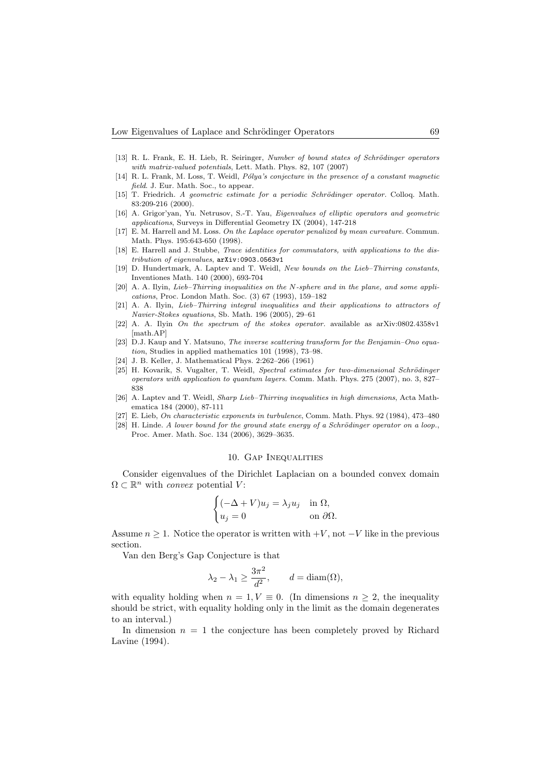- [13] R. L. Frank, E. H. Lieb, R. Seiringer, Number of bound states of Schrödinger operators with matrix-valued potentials, Lett. Math. Phys. 82, 107 (2007)
- [14] R. L. Frank, M. Loss, T. Weidl, Pólya's conjecture in the presence of a constant magnetic field. J. Eur. Math. Soc., to appear.
- [15] T. Friedrich. A geometric estimate for a periodic Schrödinger operator. Colloq. Math. 83:209-216 (2000).
- [16] A. Grigor'yan, Yu. Netrusov, S.-T. Yau, Eigenvalues of elliptic operators and geometric applications, Surveys in Differential Geometry IX (2004), 147-218
- [17] E. M. Harrell and M. Loss. On the Laplace operator penalized by mean curvature. Commun. Math. Phys. 195:643-650 (1998).
- [18] E. Harrell and J. Stubbe, *Trace identities for commutators, with applications to the dis*tribution of eigenvalues, arXiv:0903.0563v1
- [19] D. Hundertmark, A. Laptev and T. Weidl, New bounds on the Lieb–Thirring constants, Inventiones Math. 140 (2000), 693-704
- [20] A. A. Ilyin, Lieb-Thirring inequalities on the N-sphere and in the plane, and some applications, Proc. London Math. Soc. (3) 67 (1993), 159–182
- [21] A. A. Ilyin, Lieb–Thirring integral inequalities and their applications to attractors of Navier-Stokes equations, Sb. Math. 196 (2005), 29–61
- [22] A. A. Ilyin On the spectrum of the stokes operator. available as arXiv:0802.4358v1 [math.AP]
- [23] D.J. Kaup and Y. Matsuno, The inverse scattering transform for the Benjamin–Ono equation, Studies in applied mathematics 101 (1998), 73–98.
- [24] J. B. Keller, J. Mathematical Phys. 2:262–266 (1961)
- [25] H. Kovarik, S. Vugalter, T. Weidl, Spectral estimates for two-dimensional Schrödinger operators with application to quantum layers. Comm. Math. Phys. 275 (2007), no. 3, 827– 838
- [26] A. Laptev and T. Weidl, Sharp Lieb–Thirring inequalities in high dimensions, Acta Mathematica 184 (2000), 87-111
- [27] E. Lieb, On characteristic exponents in turbulence, Comm. Math. Phys. 92 (1984), 473–480
- $[28]$  H. Linde. A lower bound for the ground state energy of a Schrödinger operator on a loop., Proc. Amer. Math. Soc. 134 (2006), 3629–3635.

### 10. Gap Inequalities

Consider eigenvalues of the Dirichlet Laplacian on a bounded convex domain  $\Omega \subset \mathbb{R}^n$  with *convex* potential V:

$$
\begin{cases}\n(-\Delta + V)u_j = \lambda_j u_j & \text{in } \Omega, \\
u_j = 0 & \text{on } \partial\Omega.\n\end{cases}
$$

Assume  $n \geq 1$ . Notice the operator is written with  $+V$ , not  $-V$  like in the previous section.

Van den Berg's Gap Conjecture is that

$$
\lambda_2 - \lambda_1 \ge \frac{3\pi^2}{d^2}
$$
,  $d = \text{diam}(\Omega)$ ,

with equality holding when  $n = 1, V \equiv 0$ . (In dimensions  $n \geq 2$ , the inequality should be strict, with equality holding only in the limit as the domain degenerates to an interval.)

In dimension  $n = 1$  the conjecture has been completely proved by Richard Lavine (1994).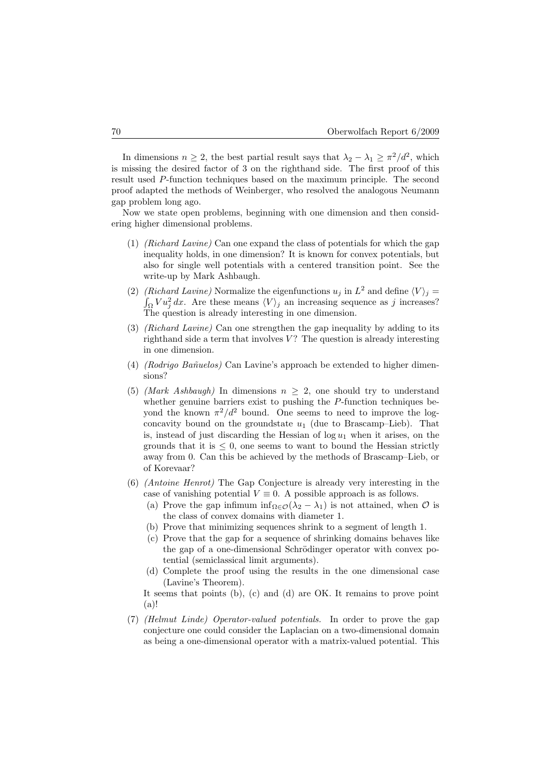In dimensions  $n \geq 2$ , the best partial result says that  $\lambda_2 - \lambda_1 \geq \pi^2/d^2$ , which is missing the desired factor of 3 on the righthand side. The first proof of this result used P-function techniques based on the maximum principle. The second proof adapted the methods of Weinberger, who resolved the analogous Neumann gap problem long ago.

Now we state open problems, beginning with one dimension and then considering higher dimensional problems.

- (1) (Richard Lavine) Can one expand the class of potentials for which the gap inequality holds, in one dimension? It is known for convex potentials, but also for single well potentials with a centered transition point. See the write-up by Mark Ashbaugh.
- (2) (Richard Lavine) Normalize the eigenfunctions  $u_j$  in  $L^2$  and define  $\langle V \rangle_j =$  $\int_{\Omega} V u_j^2 dx$ . Are these means  $\langle V \rangle_j$  an increasing sequence as j increases? The question is already interesting in one dimension.
- (3) (Richard Lavine) Can one strengthen the gap inequality by adding to its righthand side a term that involves  $V$ ? The question is already interesting in one dimension.
- (4) (Rodrigo Bañuelos) Can Lavine's approach be extended to higher dimensions?
- (5) (Mark Ashbaugh) In dimensions  $n > 2$ , one should try to understand whether genuine barriers exist to pushing the P-function techniques beyond the known  $\pi^2/d^2$  bound. One seems to need to improve the logconcavity bound on the groundstate  $u_1$  (due to Brascamp–Lieb). That is, instead of just discarding the Hessian of  $log u_1$  when it arises, on the grounds that it is  $\leq 0$ , one seems to want to bound the Hessian strictly away from 0. Can this be achieved by the methods of Brascamp–Lieb, or of Korevaar?
- (6) (Antoine Henrot) The Gap Conjecture is already very interesting in the case of vanishing potential  $V \equiv 0$ . A possible approach is as follows.
	- (a) Prove the gap infimum inf<sub>Ω∈ $\mathcal{O}(\lambda_2 \lambda_1)$  is not attained, when  $\mathcal O$  is</sub> the class of convex domains with diameter 1.
	- (b) Prove that minimizing sequences shrink to a segment of length 1.
	- (c) Prove that the gap for a sequence of shrinking domains behaves like the gap of a one-dimensional Schrödinger operator with convex potential (semiclassical limit arguments).
	- (d) Complete the proof using the results in the one dimensional case (Lavine's Theorem).

It seems that points (b), (c) and (d) are OK. It remains to prove point (a)!

(7) (Helmut Linde) Operator-valued potentials. In order to prove the gap conjecture one could consider the Laplacian on a two-dimensional domain as being a one-dimensional operator with a matrix-valued potential. This